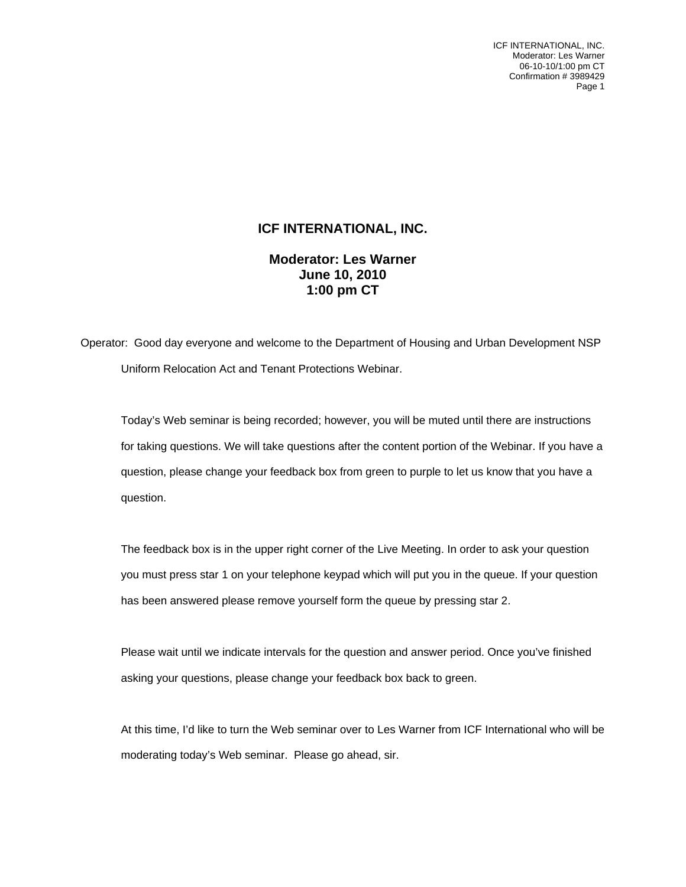ICF INTERNATIONAL, INC. Moderator: Les Warner 06-10-10/1:00 pm CT Confirmation # 3989429 Page 1

## **ICF INTERNATIONAL, INC.**

**Moderator: Les Warner June 10, 2010 1:00 pm CT** 

Operator: Good day everyone and welcome to the Department of Housing and Urban Development NSP Uniform Relocation Act and Tenant Protections Webinar.

Today's Web seminar is being recorded; however, you will be muted until there are instructions for taking questions. We will take questions after the content portion of the Webinar. If you have a question, please change your feedback box from green to purple to let us know that you have a question.

The feedback box is in the upper right corner of the Live Meeting. In order to ask your question you must press star 1 on your telephone keypad which will put you in the queue. If your question has been answered please remove yourself form the queue by pressing star 2.

Please wait until we indicate intervals for the question and answer period. Once you've finished asking your questions, please change your feedback box back to green.

At this time, I'd like to turn the Web seminar over to Les Warner from ICF International who will be moderating today's Web seminar. Please go ahead, sir.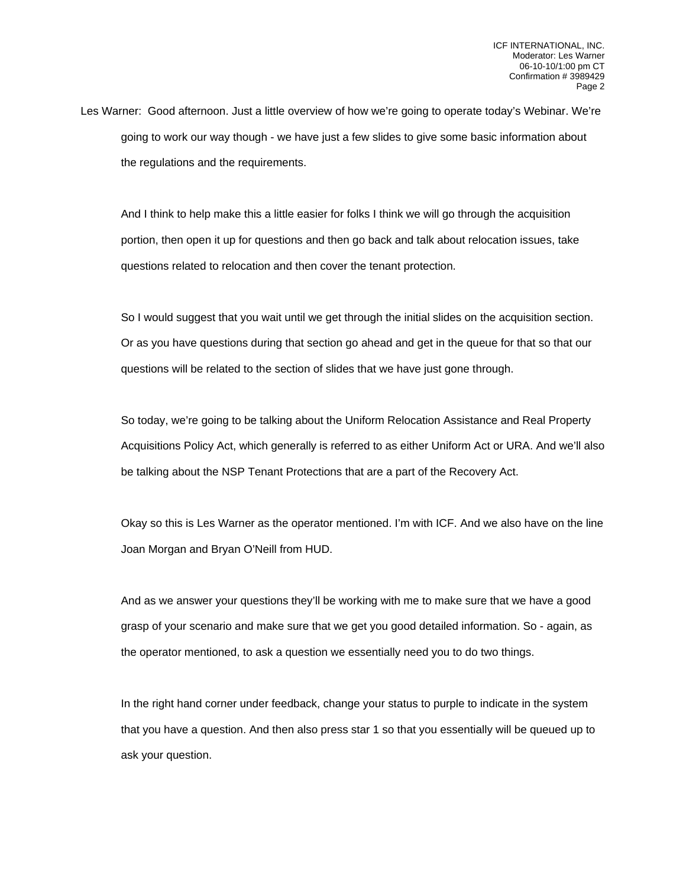Les Warner: Good afternoon. Just a little overview of how we're going to operate today's Webinar. We're going to work our way though - we have just a few slides to give some basic information about the regulations and the requirements.

And I think to help make this a little easier for folks I think we will go through the acquisition portion, then open it up for questions and then go back and talk about relocation issues, take questions related to relocation and then cover the tenant protection.

So I would suggest that you wait until we get through the initial slides on the acquisition section. Or as you have questions during that section go ahead and get in the queue for that so that our questions will be related to the section of slides that we have just gone through.

So today, we're going to be talking about the Uniform Relocation Assistance and Real Property Acquisitions Policy Act, which generally is referred to as either Uniform Act or URA. And we'll also be talking about the NSP Tenant Protections that are a part of the Recovery Act.

Okay so this is Les Warner as the operator mentioned. I'm with ICF. And we also have on the line Joan Morgan and Bryan O'Neill from HUD.

And as we answer your questions they'll be working with me to make sure that we have a good grasp of your scenario and make sure that we get you good detailed information. So - again, as the operator mentioned, to ask a question we essentially need you to do two things.

In the right hand corner under feedback, change your status to purple to indicate in the system that you have a question. And then also press star 1 so that you essentially will be queued up to ask your question.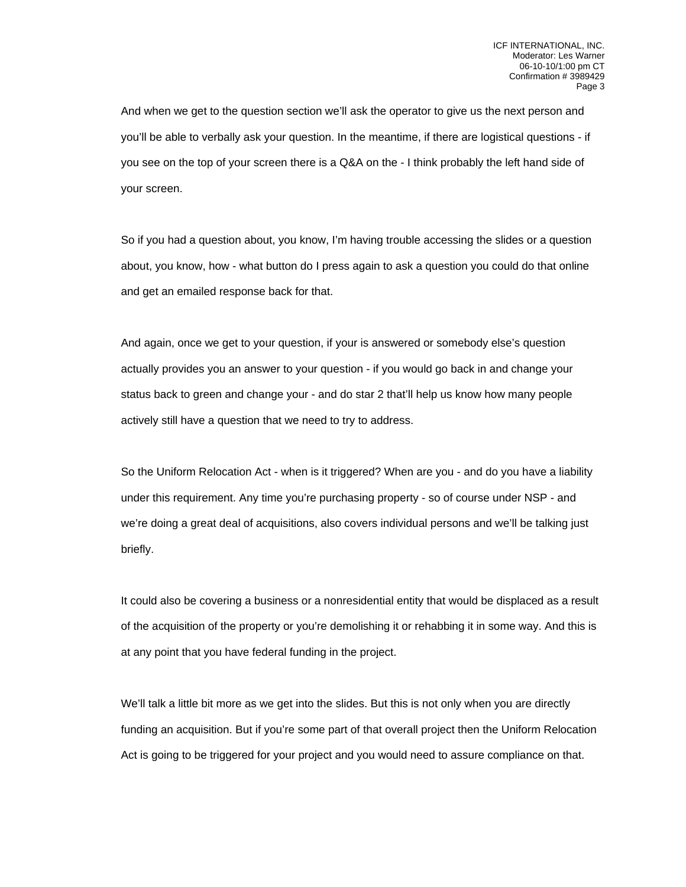And when we get to the question section we'll ask the operator to give us the next person and you'll be able to verbally ask your question. In the meantime, if there are logistical questions - if you see on the top of your screen there is a Q&A on the - I think probably the left hand side of your screen.

So if you had a question about, you know, I'm having trouble accessing the slides or a question about, you know, how - what button do I press again to ask a question you could do that online and get an emailed response back for that.

And again, once we get to your question, if your is answered or somebody else's question actually provides you an answer to your question - if you would go back in and change your status back to green and change your - and do star 2 that'll help us know how many people actively still have a question that we need to try to address.

So the Uniform Relocation Act - when is it triggered? When are you - and do you have a liability under this requirement. Any time you're purchasing property - so of course under NSP - and we're doing a great deal of acquisitions, also covers individual persons and we'll be talking just briefly.

It could also be covering a business or a nonresidential entity that would be displaced as a result of the acquisition of the property or you're demolishing it or rehabbing it in some way. And this is at any point that you have federal funding in the project.

We'll talk a little bit more as we get into the slides. But this is not only when you are directly funding an acquisition. But if you're some part of that overall project then the Uniform Relocation Act is going to be triggered for your project and you would need to assure compliance on that.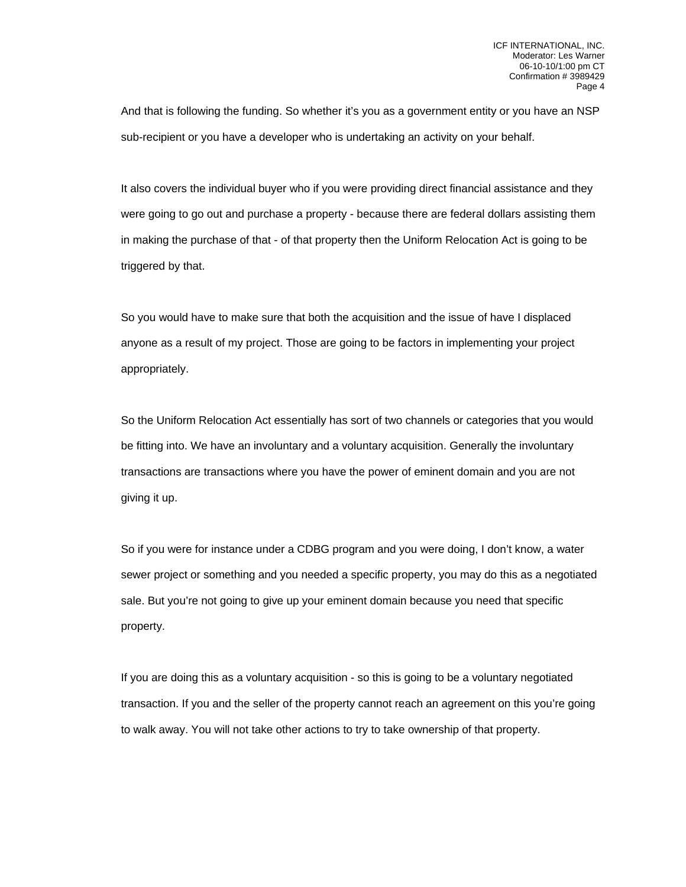And that is following the funding. So whether it's you as a government entity or you have an NSP sub-recipient or you have a developer who is undertaking an activity on your behalf.

It also covers the individual buyer who if you were providing direct financial assistance and they were going to go out and purchase a property - because there are federal dollars assisting them in making the purchase of that - of that property then the Uniform Relocation Act is going to be triggered by that.

So you would have to make sure that both the acquisition and the issue of have I displaced anyone as a result of my project. Those are going to be factors in implementing your project appropriately.

So the Uniform Relocation Act essentially has sort of two channels or categories that you would be fitting into. We have an involuntary and a voluntary acquisition. Generally the involuntary transactions are transactions where you have the power of eminent domain and you are not giving it up.

So if you were for instance under a CDBG program and you were doing, I don't know, a water sewer project or something and you needed a specific property, you may do this as a negotiated sale. But you're not going to give up your eminent domain because you need that specific property.

If you are doing this as a voluntary acquisition - so this is going to be a voluntary negotiated transaction. If you and the seller of the property cannot reach an agreement on this you're going to walk away. You will not take other actions to try to take ownership of that property.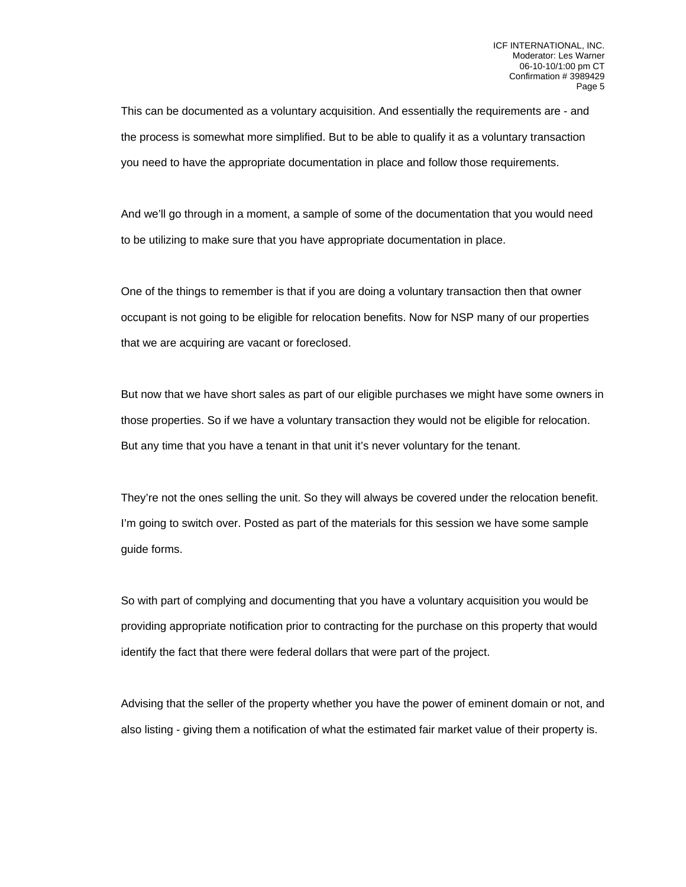This can be documented as a voluntary acquisition. And essentially the requirements are - and the process is somewhat more simplified. But to be able to qualify it as a voluntary transaction you need to have the appropriate documentation in place and follow those requirements.

And we'll go through in a moment, a sample of some of the documentation that you would need to be utilizing to make sure that you have appropriate documentation in place.

One of the things to remember is that if you are doing a voluntary transaction then that owner occupant is not going to be eligible for relocation benefits. Now for NSP many of our properties that we are acquiring are vacant or foreclosed.

But now that we have short sales as part of our eligible purchases we might have some owners in those properties. So if we have a voluntary transaction they would not be eligible for relocation. But any time that you have a tenant in that unit it's never voluntary for the tenant.

They're not the ones selling the unit. So they will always be covered under the relocation benefit. I'm going to switch over. Posted as part of the materials for this session we have some sample guide forms.

So with part of complying and documenting that you have a voluntary acquisition you would be providing appropriate notification prior to contracting for the purchase on this property that would identify the fact that there were federal dollars that were part of the project.

Advising that the seller of the property whether you have the power of eminent domain or not, and also listing - giving them a notification of what the estimated fair market value of their property is.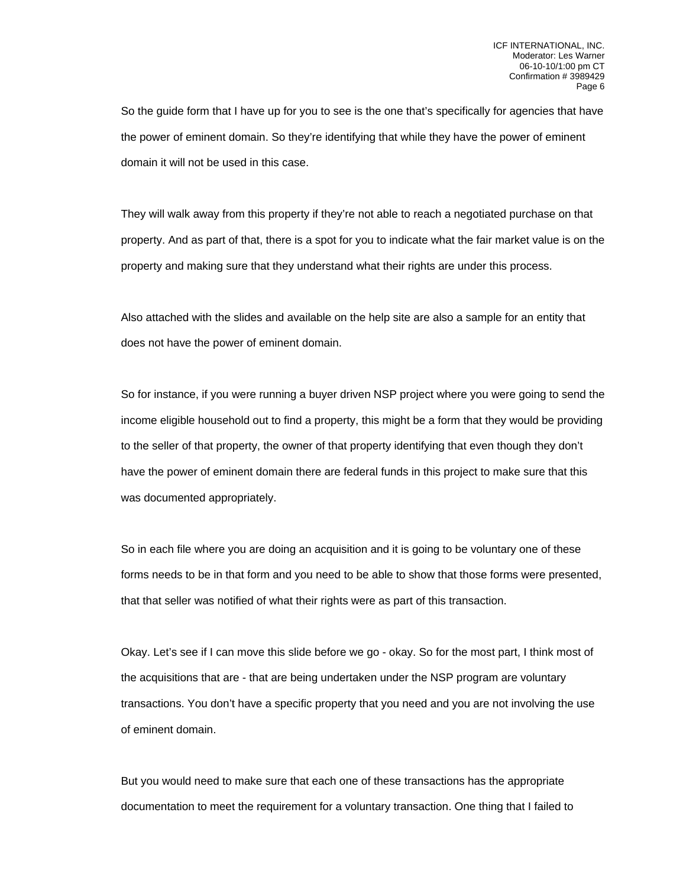So the guide form that I have up for you to see is the one that's specifically for agencies that have the power of eminent domain. So they're identifying that while they have the power of eminent domain it will not be used in this case.

They will walk away from this property if they're not able to reach a negotiated purchase on that property. And as part of that, there is a spot for you to indicate what the fair market value is on the property and making sure that they understand what their rights are under this process.

Also attached with the slides and available on the help site are also a sample for an entity that does not have the power of eminent domain.

So for instance, if you were running a buyer driven NSP project where you were going to send the income eligible household out to find a property, this might be a form that they would be providing to the seller of that property, the owner of that property identifying that even though they don't have the power of eminent domain there are federal funds in this project to make sure that this was documented appropriately.

So in each file where you are doing an acquisition and it is going to be voluntary one of these forms needs to be in that form and you need to be able to show that those forms were presented, that that seller was notified of what their rights were as part of this transaction.

Okay. Let's see if I can move this slide before we go - okay. So for the most part, I think most of the acquisitions that are - that are being undertaken under the NSP program are voluntary transactions. You don't have a specific property that you need and you are not involving the use of eminent domain.

But you would need to make sure that each one of these transactions has the appropriate documentation to meet the requirement for a voluntary transaction. One thing that I failed to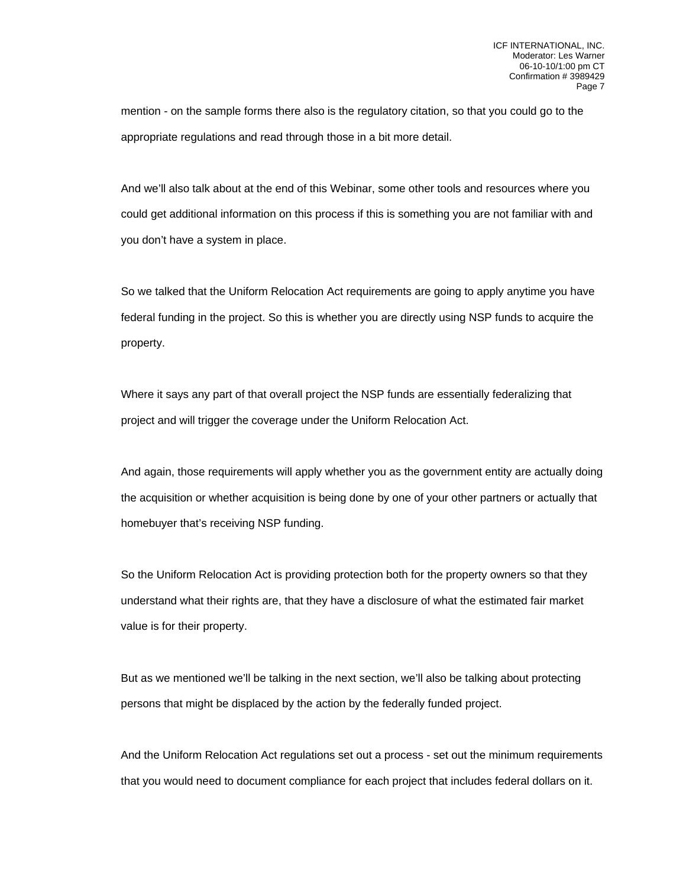mention - on the sample forms there also is the regulatory citation, so that you could go to the appropriate regulations and read through those in a bit more detail.

And we'll also talk about at the end of this Webinar, some other tools and resources where you could get additional information on this process if this is something you are not familiar with and you don't have a system in place.

So we talked that the Uniform Relocation Act requirements are going to apply anytime you have federal funding in the project. So this is whether you are directly using NSP funds to acquire the property.

Where it says any part of that overall project the NSP funds are essentially federalizing that project and will trigger the coverage under the Uniform Relocation Act.

And again, those requirements will apply whether you as the government entity are actually doing the acquisition or whether acquisition is being done by one of your other partners or actually that homebuyer that's receiving NSP funding.

So the Uniform Relocation Act is providing protection both for the property owners so that they understand what their rights are, that they have a disclosure of what the estimated fair market value is for their property.

But as we mentioned we'll be talking in the next section, we'll also be talking about protecting persons that might be displaced by the action by the federally funded project.

And the Uniform Relocation Act regulations set out a process - set out the minimum requirements that you would need to document compliance for each project that includes federal dollars on it.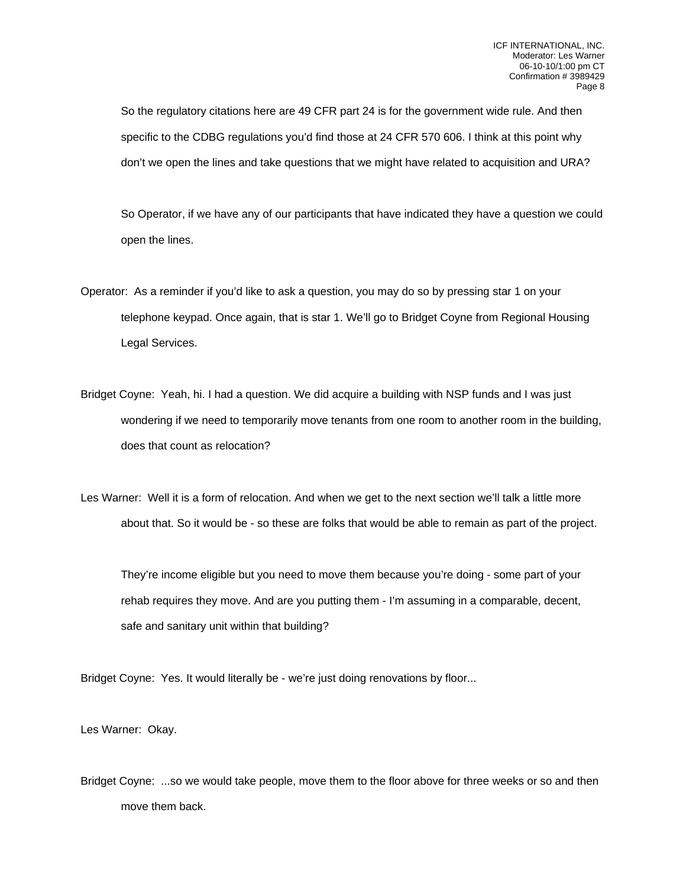So the regulatory citations here are 49 CFR part 24 is for the government wide rule. And then specific to the CDBG regulations you'd find those at 24 CFR 570 606. I think at this point why don't we open the lines and take questions that we might have related to acquisition and URA?

So Operator, if we have any of our participants that have indicated they have a question we could open the lines.

- Operator: As a reminder if you'd like to ask a question, you may do so by pressing star 1 on your telephone keypad. Once again, that is star 1. We'll go to Bridget Coyne from Regional Housing Legal Services.
- Bridget Coyne: Yeah, hi. I had a question. We did acquire a building with NSP funds and I was just wondering if we need to temporarily move tenants from one room to another room in the building, does that count as relocation?

Les Warner: Well it is a form of relocation. And when we get to the next section we'll talk a little more about that. So it would be - so these are folks that would be able to remain as part of the project.

They're income eligible but you need to move them because you're doing - some part of your rehab requires they move. And are you putting them - I'm assuming in a comparable, decent, safe and sanitary unit within that building?

Bridget Coyne: Yes. It would literally be - we're just doing renovations by floor...

Les Warner: Okay.

Bridget Coyne: ...so we would take people, move them to the floor above for three weeks or so and then move them back.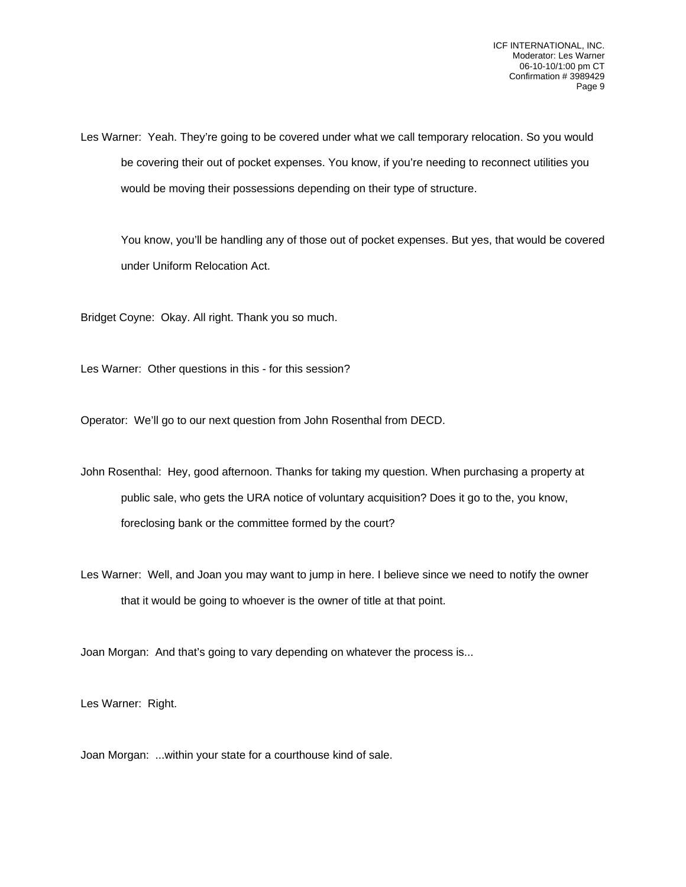Les Warner: Yeah. They're going to be covered under what we call temporary relocation. So you would be covering their out of pocket expenses. You know, if you're needing to reconnect utilities you would be moving their possessions depending on their type of structure.

You know, you'll be handling any of those out of pocket expenses. But yes, that would be covered under Uniform Relocation Act.

Bridget Coyne: Okay. All right. Thank you so much.

Les Warner: Other questions in this - for this session?

Operator: We'll go to our next question from John Rosenthal from DECD.

John Rosenthal: Hey, good afternoon. Thanks for taking my question. When purchasing a property at public sale, who gets the URA notice of voluntary acquisition? Does it go to the, you know, foreclosing bank or the committee formed by the court?

Les Warner: Well, and Joan you may want to jump in here. I believe since we need to notify the owner that it would be going to whoever is the owner of title at that point.

Joan Morgan: And that's going to vary depending on whatever the process is...

Les Warner: Right.

Joan Morgan: ...within your state for a courthouse kind of sale.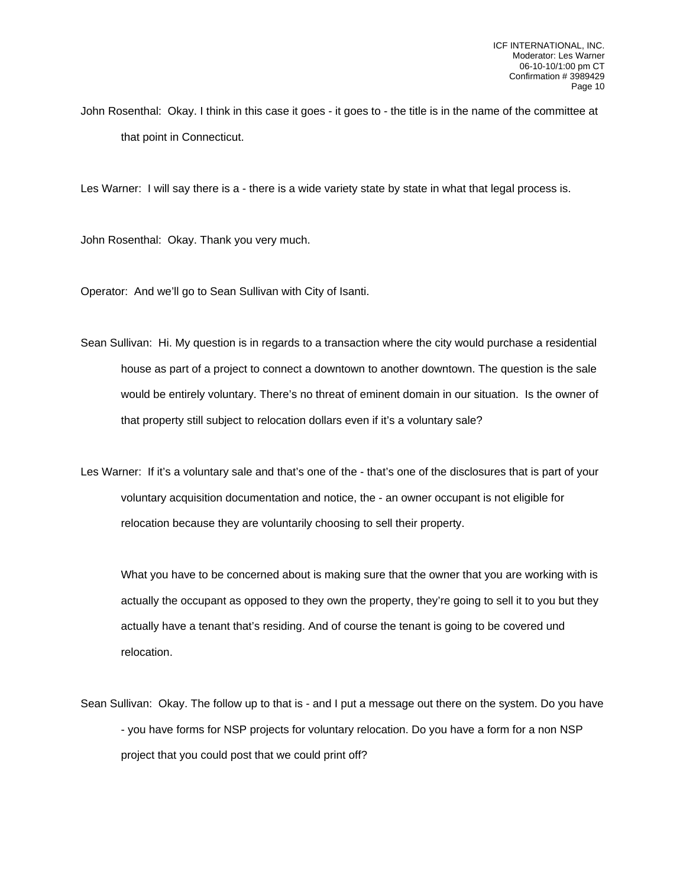John Rosenthal: Okay. I think in this case it goes - it goes to - the title is in the name of the committee at that point in Connecticut.

Les Warner: I will say there is a - there is a wide variety state by state in what that legal process is.

John Rosenthal: Okay. Thank you very much.

Operator: And we'll go to Sean Sullivan with City of Isanti.

Sean Sullivan: Hi. My question is in regards to a transaction where the city would purchase a residential house as part of a project to connect a downtown to another downtown. The question is the sale would be entirely voluntary. There's no threat of eminent domain in our situation. Is the owner of that property still subject to relocation dollars even if it's a voluntary sale?

Les Warner: If it's a voluntary sale and that's one of the - that's one of the disclosures that is part of your voluntary acquisition documentation and notice, the - an owner occupant is not eligible for relocation because they are voluntarily choosing to sell their property.

What you have to be concerned about is making sure that the owner that you are working with is actually the occupant as opposed to they own the property, they're going to sell it to you but they actually have a tenant that's residing. And of course the tenant is going to be covered und relocation.

Sean Sullivan: Okay. The follow up to that is - and I put a message out there on the system. Do you have - you have forms for NSP projects for voluntary relocation. Do you have a form for a non NSP project that you could post that we could print off?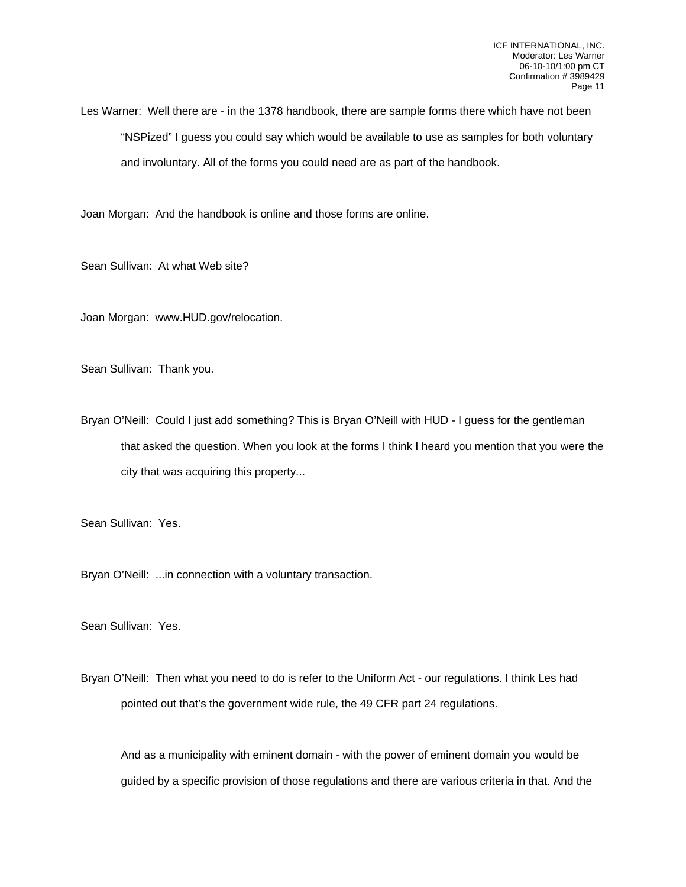Les Warner: Well there are - in the 1378 handbook, there are sample forms there which have not been "NSPized" I guess you could say which would be available to use as samples for both voluntary and involuntary. All of the forms you could need are as part of the handbook.

Joan Morgan: And the handbook is online and those forms are online.

Sean Sullivan: At what Web site?

Joan Morgan: www.HUD.gov/relocation.

Sean Sullivan: Thank you.

Bryan O'Neill: Could I just add something? This is Bryan O'Neill with HUD - I guess for the gentleman that asked the question. When you look at the forms I think I heard you mention that you were the city that was acquiring this property...

Sean Sullivan: Yes.

Bryan O'Neill: ...in connection with a voluntary transaction.

Sean Sullivan: Yes.

Bryan O'Neill: Then what you need to do is refer to the Uniform Act - our regulations. I think Les had pointed out that's the government wide rule, the 49 CFR part 24 regulations.

And as a municipality with eminent domain - with the power of eminent domain you would be guided by a specific provision of those regulations and there are various criteria in that. And the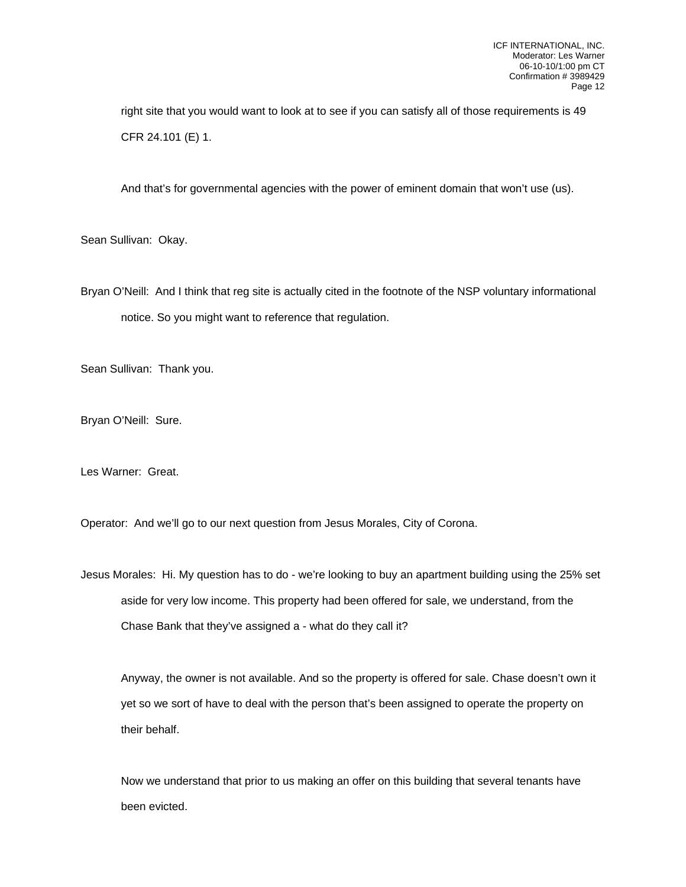right site that you would want to look at to see if you can satisfy all of those requirements is 49 CFR 24.101 (E) 1.

And that's for governmental agencies with the power of eminent domain that won't use (us).

Sean Sullivan: Okay.

Bryan O'Neill: And I think that reg site is actually cited in the footnote of the NSP voluntary informational notice. So you might want to reference that regulation.

Sean Sullivan: Thank you.

Bryan O'Neill: Sure.

Les Warner: Great.

Operator: And we'll go to our next question from Jesus Morales, City of Corona.

Jesus Morales: Hi. My question has to do - we're looking to buy an apartment building using the 25% set aside for very low income. This property had been offered for sale, we understand, from the Chase Bank that they've assigned a - what do they call it?

Anyway, the owner is not available. And so the property is offered for sale. Chase doesn't own it yet so we sort of have to deal with the person that's been assigned to operate the property on their behalf.

Now we understand that prior to us making an offer on this building that several tenants have been evicted.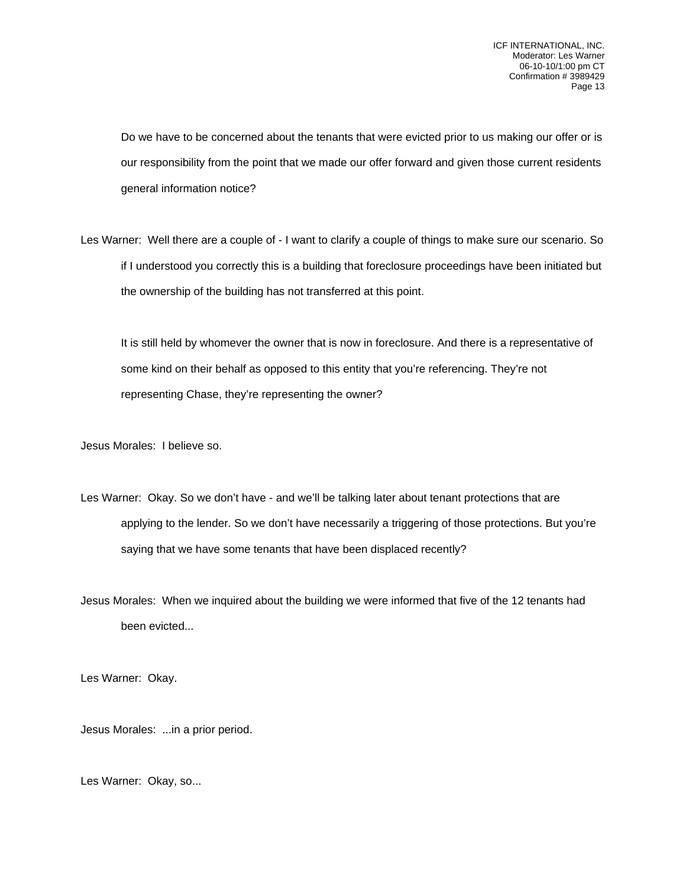Do we have to be concerned about the tenants that were evicted prior to us making our offer or is our responsibility from the point that we made our offer forward and given those current residents general information notice?

Les Warner: Well there are a couple of - I want to clarify a couple of things to make sure our scenario. So if I understood you correctly this is a building that foreclosure proceedings have been initiated but the ownership of the building has not transferred at this point.

It is still held by whomever the owner that is now in foreclosure. And there is a representative of some kind on their behalf as opposed to this entity that you're referencing. They're not representing Chase, they're representing the owner?

Jesus Morales: I believe so.

Les Warner: Okay. So we don't have - and we'll be talking later about tenant protections that are applying to the lender. So we don't have necessarily a triggering of those protections. But you're saying that we have some tenants that have been displaced recently?

Jesus Morales: When we inquired about the building we were informed that five of the 12 tenants had been evicted...

Les Warner: Okay.

Jesus Morales: ...in a prior period.

Les Warner: Okay, so...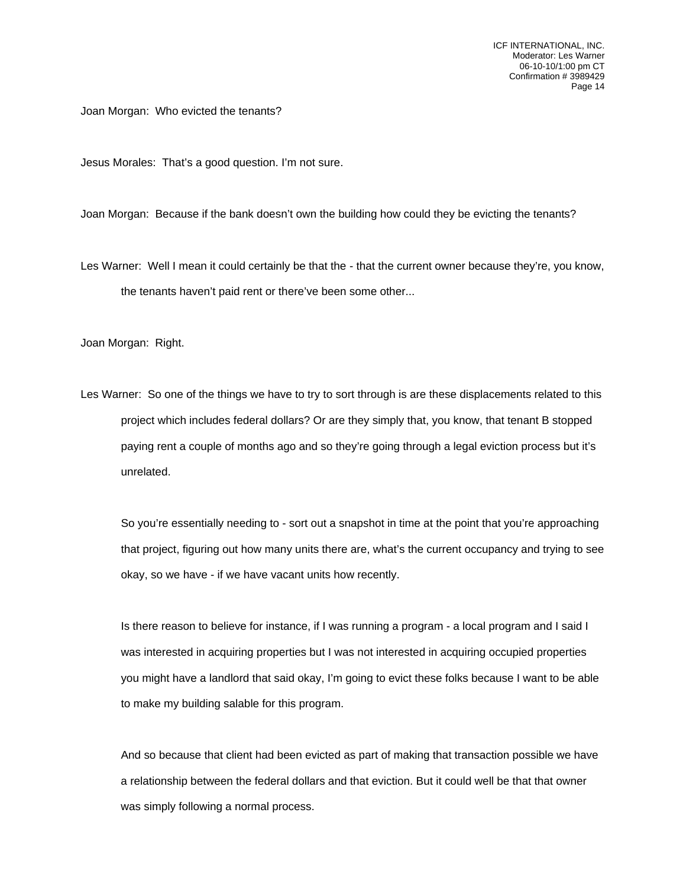ICF INTERNATIONAL, INC. Moderator: Les Warner 06-10-10/1:00 pm CT Confirmation # 3989429 Page 14

Joan Morgan: Who evicted the tenants?

Jesus Morales: That's a good question. I'm not sure.

Joan Morgan: Because if the bank doesn't own the building how could they be evicting the tenants?

Les Warner: Well I mean it could certainly be that the - that the current owner because they're, you know, the tenants haven't paid rent or there've been some other...

Joan Morgan: Right.

Les Warner: So one of the things we have to try to sort through is are these displacements related to this project which includes federal dollars? Or are they simply that, you know, that tenant B stopped paying rent a couple of months ago and so they're going through a legal eviction process but it's unrelated.

So you're essentially needing to - sort out a snapshot in time at the point that you're approaching that project, figuring out how many units there are, what's the current occupancy and trying to see okay, so we have - if we have vacant units how recently.

Is there reason to believe for instance, if I was running a program - a local program and I said I was interested in acquiring properties but I was not interested in acquiring occupied properties you might have a landlord that said okay, I'm going to evict these folks because I want to be able to make my building salable for this program.

And so because that client had been evicted as part of making that transaction possible we have a relationship between the federal dollars and that eviction. But it could well be that that owner was simply following a normal process.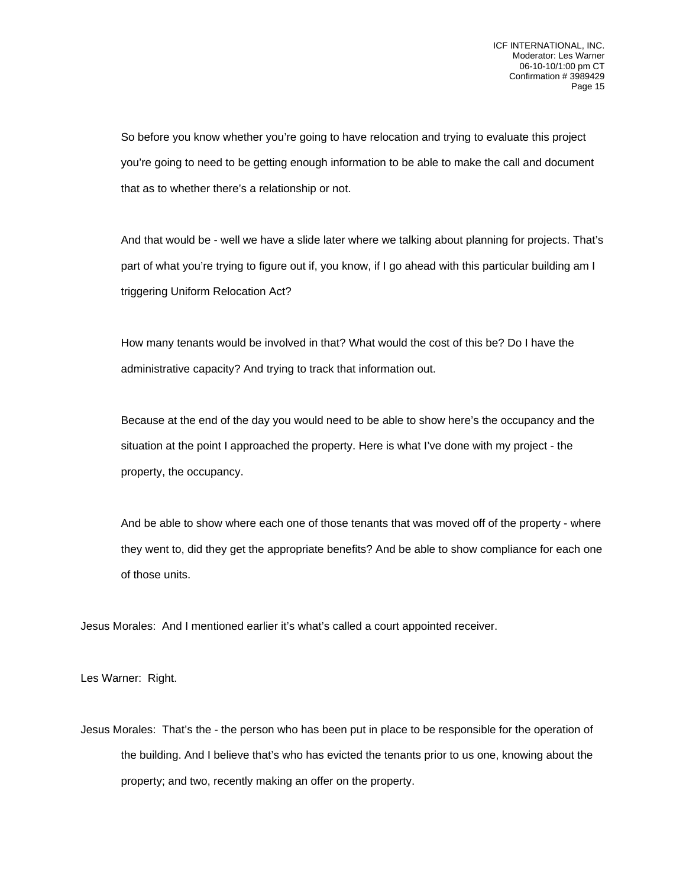So before you know whether you're going to have relocation and trying to evaluate this project you're going to need to be getting enough information to be able to make the call and document that as to whether there's a relationship or not.

And that would be - well we have a slide later where we talking about planning for projects. That's part of what you're trying to figure out if, you know, if I go ahead with this particular building am I triggering Uniform Relocation Act?

How many tenants would be involved in that? What would the cost of this be? Do I have the administrative capacity? And trying to track that information out.

Because at the end of the day you would need to be able to show here's the occupancy and the situation at the point I approached the property. Here is what I've done with my project - the property, the occupancy.

And be able to show where each one of those tenants that was moved off of the property - where they went to, did they get the appropriate benefits? And be able to show compliance for each one of those units.

Jesus Morales: And I mentioned earlier it's what's called a court appointed receiver.

Les Warner: Right.

Jesus Morales: That's the - the person who has been put in place to be responsible for the operation of the building. And I believe that's who has evicted the tenants prior to us one, knowing about the property; and two, recently making an offer on the property.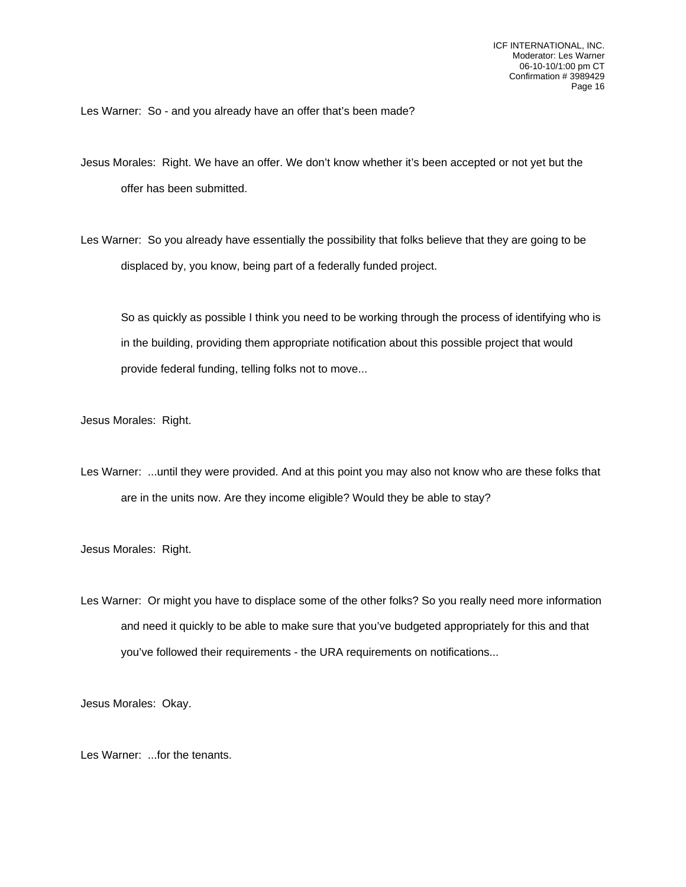Les Warner: So - and you already have an offer that's been made?

Jesus Morales: Right. We have an offer. We don't know whether it's been accepted or not yet but the offer has been submitted.

Les Warner: So you already have essentially the possibility that folks believe that they are going to be displaced by, you know, being part of a federally funded project.

So as quickly as possible I think you need to be working through the process of identifying who is in the building, providing them appropriate notification about this possible project that would provide federal funding, telling folks not to move...

Jesus Morales: Right.

Les Warner: ...until they were provided. And at this point you may also not know who are these folks that are in the units now. Are they income eligible? Would they be able to stay?

Jesus Morales: Right.

Les Warner: Or might you have to displace some of the other folks? So you really need more information and need it quickly to be able to make sure that you've budgeted appropriately for this and that you've followed their requirements - the URA requirements on notifications...

Jesus Morales: Okay.

Les Warner: ...for the tenants.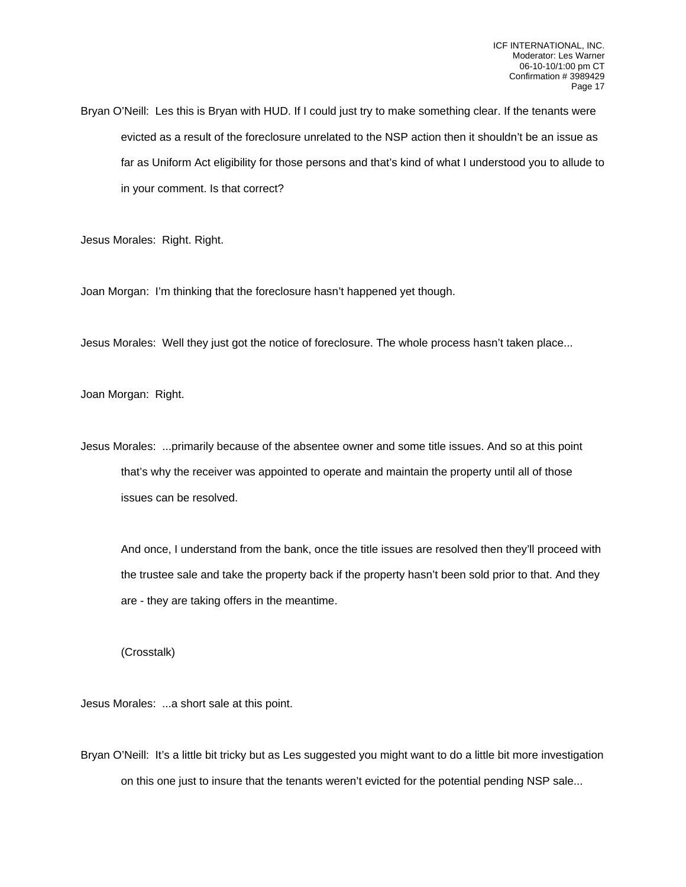Bryan O'Neill: Les this is Bryan with HUD. If I could just try to make something clear. If the tenants were evicted as a result of the foreclosure unrelated to the NSP action then it shouldn't be an issue as far as Uniform Act eligibility for those persons and that's kind of what I understood you to allude to in your comment. Is that correct?

Jesus Morales: Right. Right.

Joan Morgan: I'm thinking that the foreclosure hasn't happened yet though.

Jesus Morales: Well they just got the notice of foreclosure. The whole process hasn't taken place...

Joan Morgan: Right.

Jesus Morales: ...primarily because of the absentee owner and some title issues. And so at this point that's why the receiver was appointed to operate and maintain the property until all of those issues can be resolved.

And once, I understand from the bank, once the title issues are resolved then they'll proceed with the trustee sale and take the property back if the property hasn't been sold prior to that. And they are - they are taking offers in the meantime.

(Crosstalk)

Jesus Morales: ...a short sale at this point.

Bryan O'Neill: It's a little bit tricky but as Les suggested you might want to do a little bit more investigation on this one just to insure that the tenants weren't evicted for the potential pending NSP sale...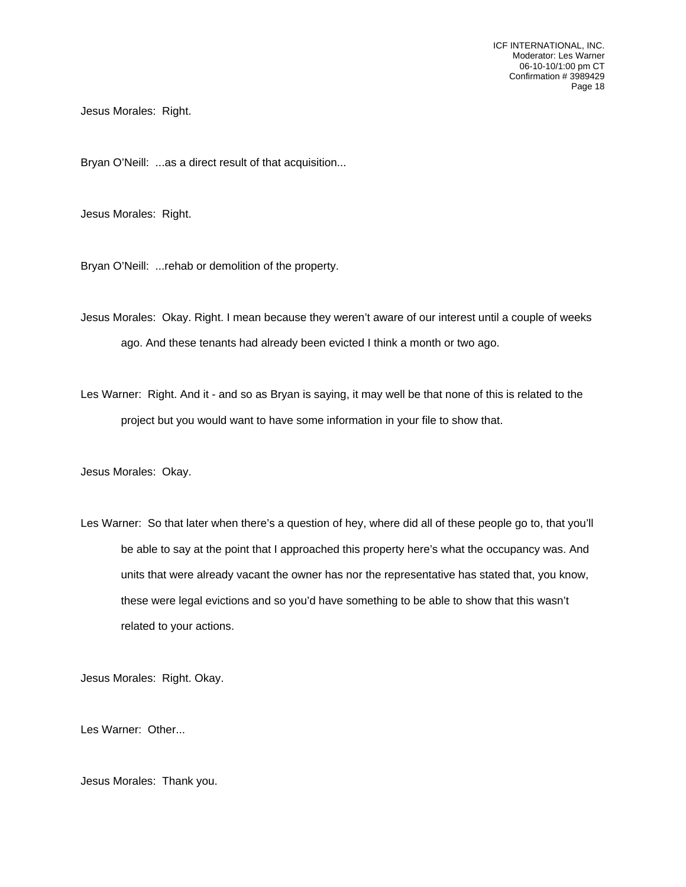ICF INTERNATIONAL, INC. Moderator: Les Warner 06-10-10/1:00 pm CT Confirmation # 3989429 Page 18

Jesus Morales: Right.

Bryan O'Neill: ...as a direct result of that acquisition...

Jesus Morales: Right.

Bryan O'Neill: ...rehab or demolition of the property.

Jesus Morales: Okay. Right. I mean because they weren't aware of our interest until a couple of weeks ago. And these tenants had already been evicted I think a month or two ago.

Les Warner: Right. And it - and so as Bryan is saying, it may well be that none of this is related to the project but you would want to have some information in your file to show that.

Jesus Morales: Okay.

Les Warner: So that later when there's a question of hey, where did all of these people go to, that you'll be able to say at the point that I approached this property here's what the occupancy was. And units that were already vacant the owner has nor the representative has stated that, you know, these were legal evictions and so you'd have something to be able to show that this wasn't related to your actions.

Jesus Morales: Right. Okay.

Les Warner: Other...

Jesus Morales: Thank you.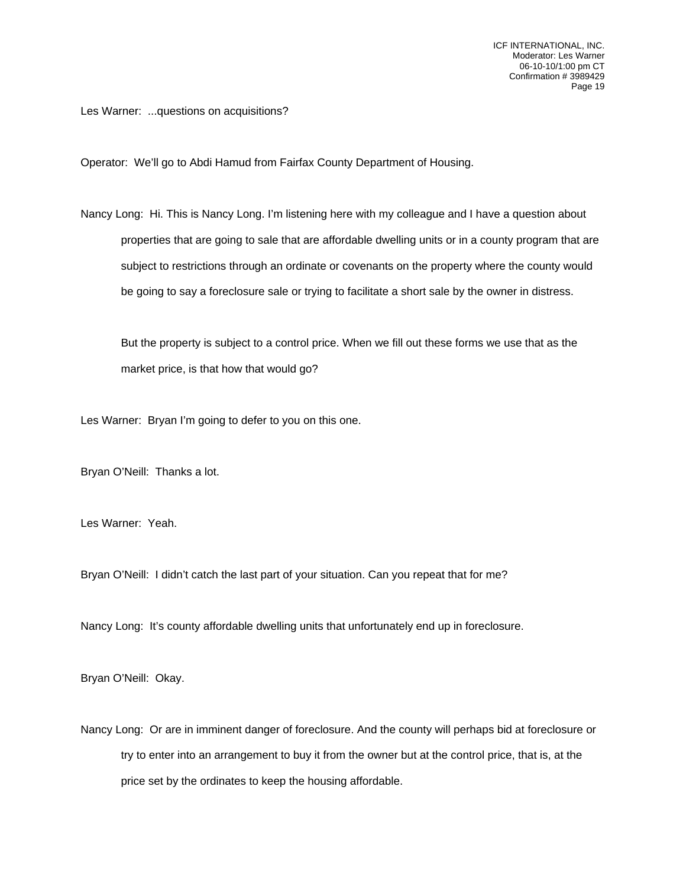Les Warner: ...questions on acquisitions?

Operator: We'll go to Abdi Hamud from Fairfax County Department of Housing.

Nancy Long: Hi. This is Nancy Long. I'm listening here with my colleague and I have a question about properties that are going to sale that are affordable dwelling units or in a county program that are subject to restrictions through an ordinate or covenants on the property where the county would be going to say a foreclosure sale or trying to facilitate a short sale by the owner in distress.

But the property is subject to a control price. When we fill out these forms we use that as the market price, is that how that would go?

Les Warner: Bryan I'm going to defer to you on this one.

Bryan O'Neill: Thanks a lot.

Les Warner: Yeah.

Bryan O'Neill: I didn't catch the last part of your situation. Can you repeat that for me?

Nancy Long: It's county affordable dwelling units that unfortunately end up in foreclosure.

Bryan O'Neill: Okay.

Nancy Long: Or are in imminent danger of foreclosure. And the county will perhaps bid at foreclosure or try to enter into an arrangement to buy it from the owner but at the control price, that is, at the price set by the ordinates to keep the housing affordable.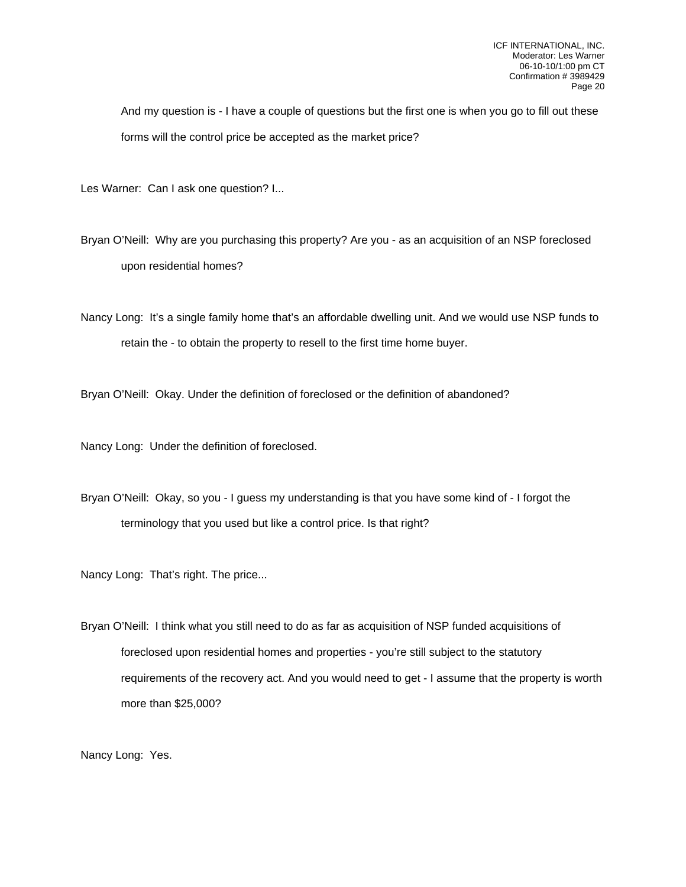And my question is - I have a couple of questions but the first one is when you go to fill out these forms will the control price be accepted as the market price?

Les Warner: Can I ask one question? I...

Bryan O'Neill: Why are you purchasing this property? Are you - as an acquisition of an NSP foreclosed upon residential homes?

Nancy Long: It's a single family home that's an affordable dwelling unit. And we would use NSP funds to retain the - to obtain the property to resell to the first time home buyer.

Bryan O'Neill: Okay. Under the definition of foreclosed or the definition of abandoned?

Nancy Long: Under the definition of foreclosed.

Bryan O'Neill: Okay, so you - I guess my understanding is that you have some kind of - I forgot the terminology that you used but like a control price. Is that right?

Nancy Long: That's right. The price...

Bryan O'Neill: I think what you still need to do as far as acquisition of NSP funded acquisitions of foreclosed upon residential homes and properties - you're still subject to the statutory requirements of the recovery act. And you would need to get - I assume that the property is worth more than \$25,000?

Nancy Long: Yes.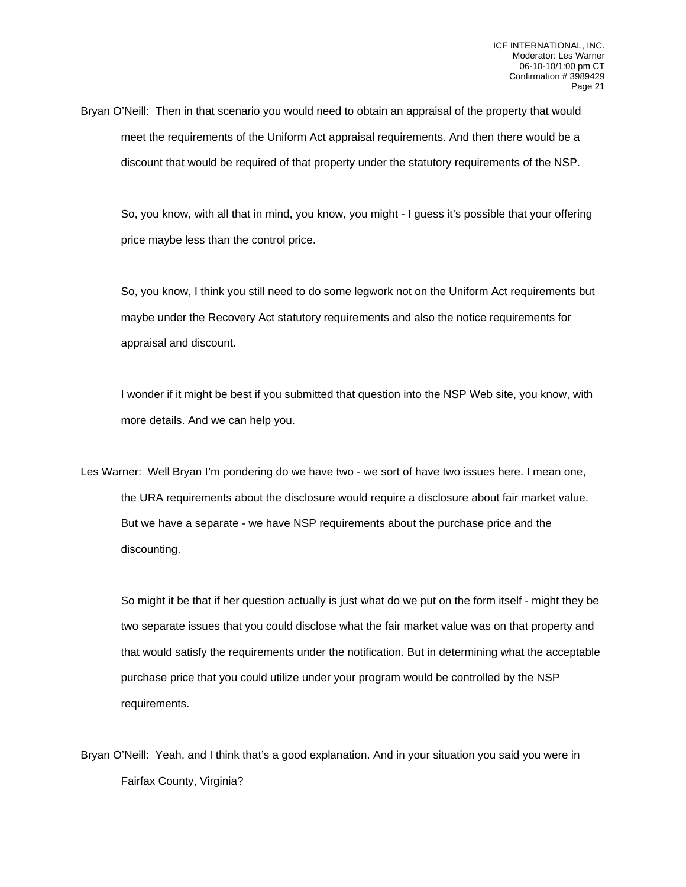Bryan O'Neill: Then in that scenario you would need to obtain an appraisal of the property that would meet the requirements of the Uniform Act appraisal requirements. And then there would be a discount that would be required of that property under the statutory requirements of the NSP.

So, you know, with all that in mind, you know, you might - I guess it's possible that your offering price maybe less than the control price.

So, you know, I think you still need to do some legwork not on the Uniform Act requirements but maybe under the Recovery Act statutory requirements and also the notice requirements for appraisal and discount.

I wonder if it might be best if you submitted that question into the NSP Web site, you know, with more details. And we can help you.

Les Warner: Well Bryan I'm pondering do we have two - we sort of have two issues here. I mean one, the URA requirements about the disclosure would require a disclosure about fair market value. But we have a separate - we have NSP requirements about the purchase price and the discounting.

So might it be that if her question actually is just what do we put on the form itself - might they be two separate issues that you could disclose what the fair market value was on that property and that would satisfy the requirements under the notification. But in determining what the acceptable purchase price that you could utilize under your program would be controlled by the NSP requirements.

Bryan O'Neill: Yeah, and I think that's a good explanation. And in your situation you said you were in Fairfax County, Virginia?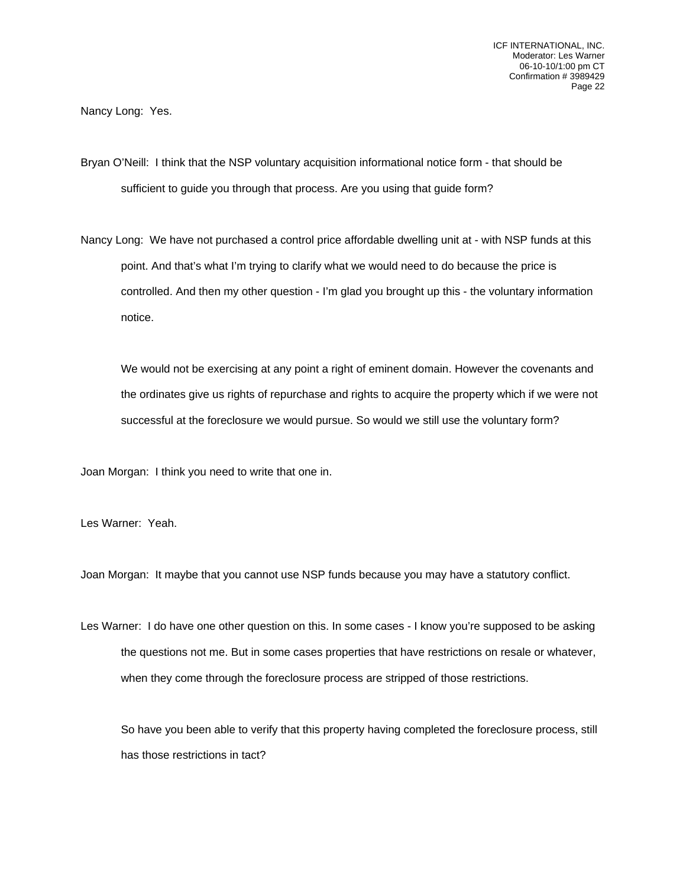Nancy Long: Yes.

Bryan O'Neill: I think that the NSP voluntary acquisition informational notice form - that should be sufficient to guide you through that process. Are you using that guide form?

Nancy Long: We have not purchased a control price affordable dwelling unit at - with NSP funds at this point. And that's what I'm trying to clarify what we would need to do because the price is controlled. And then my other question - I'm glad you brought up this - the voluntary information notice.

We would not be exercising at any point a right of eminent domain. However the covenants and the ordinates give us rights of repurchase and rights to acquire the property which if we were not successful at the foreclosure we would pursue. So would we still use the voluntary form?

Joan Morgan: I think you need to write that one in.

Les Warner: Yeah.

Joan Morgan: It maybe that you cannot use NSP funds because you may have a statutory conflict.

Les Warner: I do have one other question on this. In some cases - I know you're supposed to be asking the questions not me. But in some cases properties that have restrictions on resale or whatever, when they come through the foreclosure process are stripped of those restrictions.

So have you been able to verify that this property having completed the foreclosure process, still has those restrictions in tact?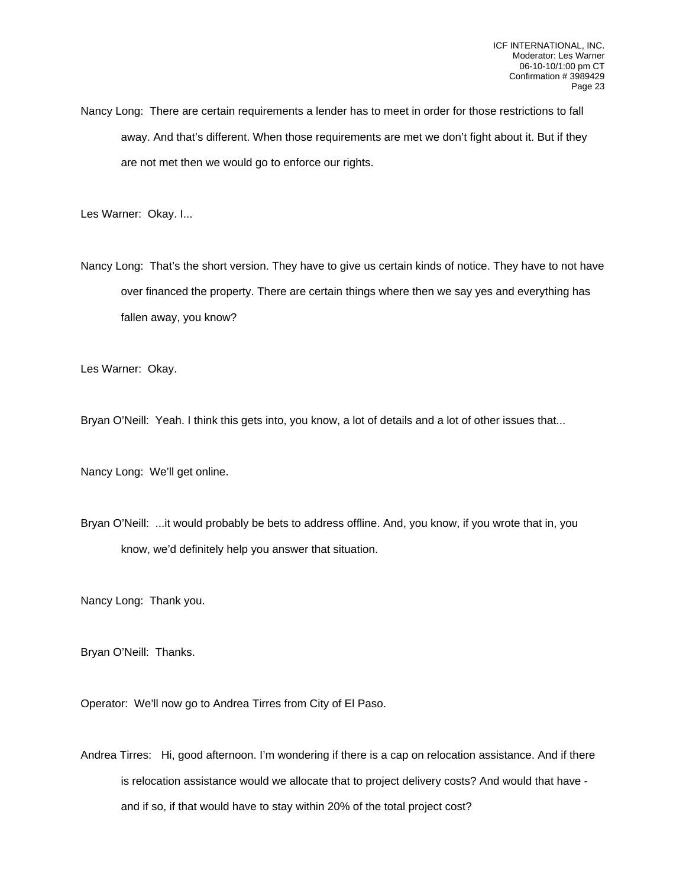Nancy Long: There are certain requirements a lender has to meet in order for those restrictions to fall away. And that's different. When those requirements are met we don't fight about it. But if they are not met then we would go to enforce our rights.

Les Warner: Okay. I...

Nancy Long: That's the short version. They have to give us certain kinds of notice. They have to not have over financed the property. There are certain things where then we say yes and everything has fallen away, you know?

Les Warner: Okay.

Bryan O'Neill: Yeah. I think this gets into, you know, a lot of details and a lot of other issues that...

Nancy Long: We'll get online.

Bryan O'Neill: ...it would probably be bets to address offline. And, you know, if you wrote that in, you know, we'd definitely help you answer that situation.

Nancy Long: Thank you.

Bryan O'Neill: Thanks.

Operator: We'll now go to Andrea Tirres from City of El Paso.

Andrea Tirres: Hi, good afternoon. I'm wondering if there is a cap on relocation assistance. And if there is relocation assistance would we allocate that to project delivery costs? And would that have and if so, if that would have to stay within 20% of the total project cost?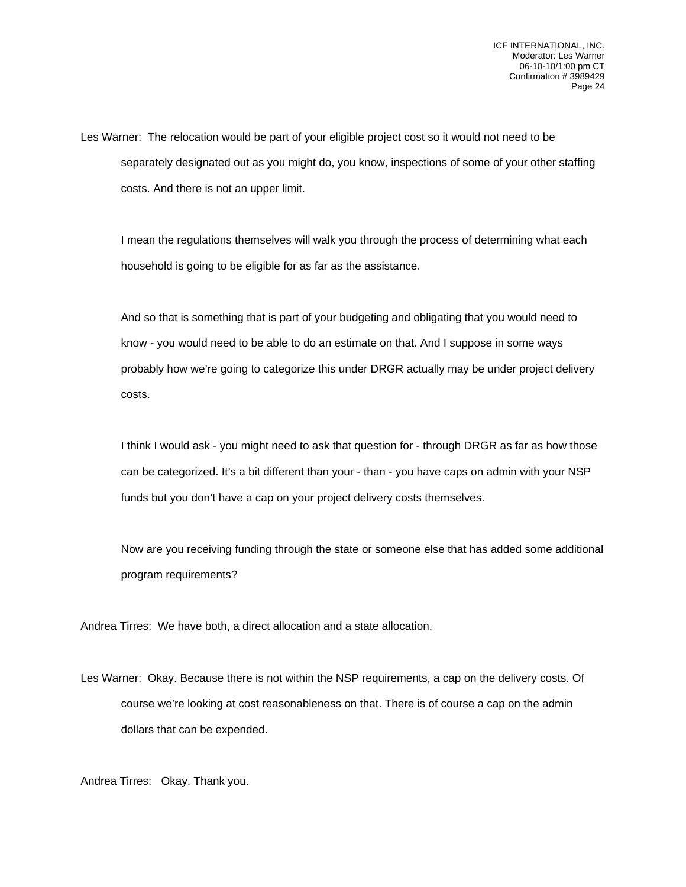Les Warner: The relocation would be part of your eligible project cost so it would not need to be separately designated out as you might do, you know, inspections of some of your other staffing costs. And there is not an upper limit.

I mean the regulations themselves will walk you through the process of determining what each household is going to be eligible for as far as the assistance.

And so that is something that is part of your budgeting and obligating that you would need to know - you would need to be able to do an estimate on that. And I suppose in some ways probably how we're going to categorize this under DRGR actually may be under project delivery costs.

I think I would ask - you might need to ask that question for - through DRGR as far as how those can be categorized. It's a bit different than your - than - you have caps on admin with your NSP funds but you don't have a cap on your project delivery costs themselves.

Now are you receiving funding through the state or someone else that has added some additional program requirements?

Andrea Tirres: We have both, a direct allocation and a state allocation.

Les Warner: Okay. Because there is not within the NSP requirements, a cap on the delivery costs. Of course we're looking at cost reasonableness on that. There is of course a cap on the admin dollars that can be expended.

Andrea Tirres: Okay. Thank you.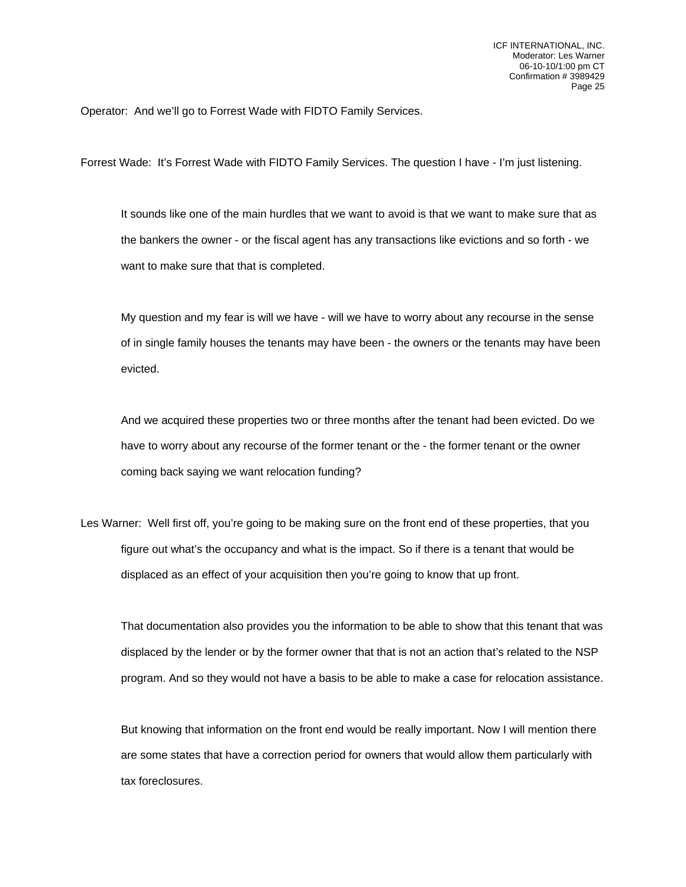Operator: And we'll go to Forrest Wade with FIDTO Family Services.

Forrest Wade: It's Forrest Wade with FIDTO Family Services. The question I have - I'm just listening.

It sounds like one of the main hurdles that we want to avoid is that we want to make sure that as the bankers the owner - or the fiscal agent has any transactions like evictions and so forth - we want to make sure that that is completed.

My question and my fear is will we have - will we have to worry about any recourse in the sense of in single family houses the tenants may have been - the owners or the tenants may have been evicted.

And we acquired these properties two or three months after the tenant had been evicted. Do we have to worry about any recourse of the former tenant or the - the former tenant or the owner coming back saying we want relocation funding?

Les Warner: Well first off, you're going to be making sure on the front end of these properties, that you figure out what's the occupancy and what is the impact. So if there is a tenant that would be displaced as an effect of your acquisition then you're going to know that up front.

That documentation also provides you the information to be able to show that this tenant that was displaced by the lender or by the former owner that that is not an action that's related to the NSP program. And so they would not have a basis to be able to make a case for relocation assistance.

But knowing that information on the front end would be really important. Now I will mention there are some states that have a correction period for owners that would allow them particularly with tax foreclosures.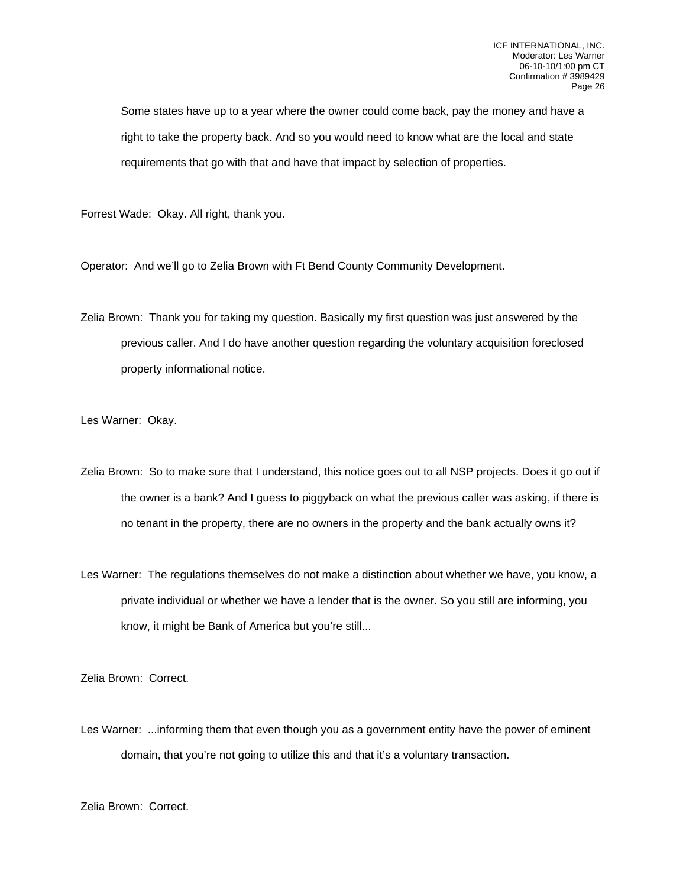Some states have up to a year where the owner could come back, pay the money and have a right to take the property back. And so you would need to know what are the local and state requirements that go with that and have that impact by selection of properties.

Forrest Wade: Okay. All right, thank you.

Operator: And we'll go to Zelia Brown with Ft Bend County Community Development.

Zelia Brown: Thank you for taking my question. Basically my first question was just answered by the previous caller. And I do have another question regarding the voluntary acquisition foreclosed property informational notice.

Les Warner: Okay.

- Zelia Brown: So to make sure that I understand, this notice goes out to all NSP projects. Does it go out if the owner is a bank? And I guess to piggyback on what the previous caller was asking, if there is no tenant in the property, there are no owners in the property and the bank actually owns it?
- Les Warner: The regulations themselves do not make a distinction about whether we have, you know, a private individual or whether we have a lender that is the owner. So you still are informing, you know, it might be Bank of America but you're still...

Zelia Brown: Correct.

Les Warner: ...informing them that even though you as a government entity have the power of eminent domain, that you're not going to utilize this and that it's a voluntary transaction.

Zelia Brown: Correct.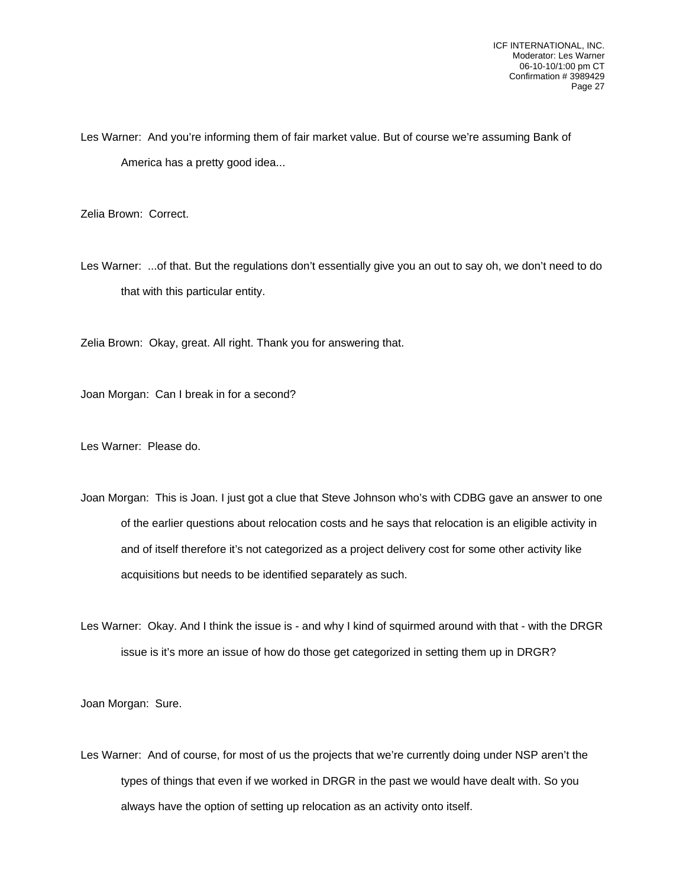Les Warner: And you're informing them of fair market value. But of course we're assuming Bank of America has a pretty good idea...

Zelia Brown: Correct.

Les Warner: ...of that. But the regulations don't essentially give you an out to say oh, we don't need to do that with this particular entity.

Zelia Brown: Okay, great. All right. Thank you for answering that.

Joan Morgan: Can I break in for a second?

Les Warner: Please do.

Joan Morgan: This is Joan. I just got a clue that Steve Johnson who's with CDBG gave an answer to one of the earlier questions about relocation costs and he says that relocation is an eligible activity in and of itself therefore it's not categorized as a project delivery cost for some other activity like acquisitions but needs to be identified separately as such.

Les Warner: Okay. And I think the issue is - and why I kind of squirmed around with that - with the DRGR issue is it's more an issue of how do those get categorized in setting them up in DRGR?

Joan Morgan: Sure.

Les Warner: And of course, for most of us the projects that we're currently doing under NSP aren't the types of things that even if we worked in DRGR in the past we would have dealt with. So you always have the option of setting up relocation as an activity onto itself.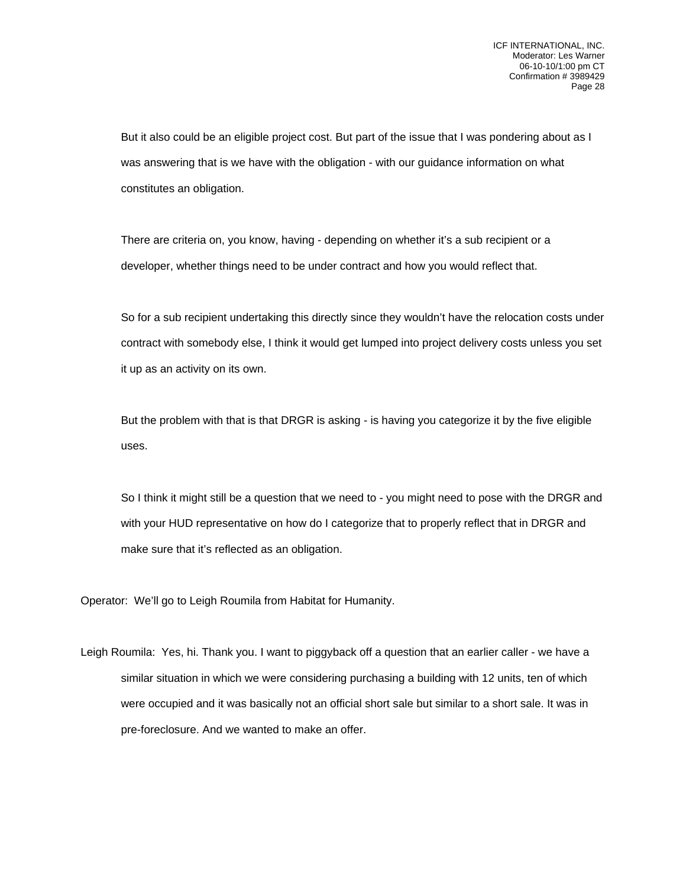But it also could be an eligible project cost. But part of the issue that I was pondering about as I was answering that is we have with the obligation - with our guidance information on what constitutes an obligation.

There are criteria on, you know, having - depending on whether it's a sub recipient or a developer, whether things need to be under contract and how you would reflect that.

So for a sub recipient undertaking this directly since they wouldn't have the relocation costs under contract with somebody else, I think it would get lumped into project delivery costs unless you set it up as an activity on its own.

But the problem with that is that DRGR is asking - is having you categorize it by the five eligible uses.

So I think it might still be a question that we need to - you might need to pose with the DRGR and with your HUD representative on how do I categorize that to properly reflect that in DRGR and make sure that it's reflected as an obligation.

Operator: We'll go to Leigh Roumila from Habitat for Humanity.

Leigh Roumila: Yes, hi. Thank you. I want to piggyback off a question that an earlier caller - we have a similar situation in which we were considering purchasing a building with 12 units, ten of which were occupied and it was basically not an official short sale but similar to a short sale. It was in pre-foreclosure. And we wanted to make an offer.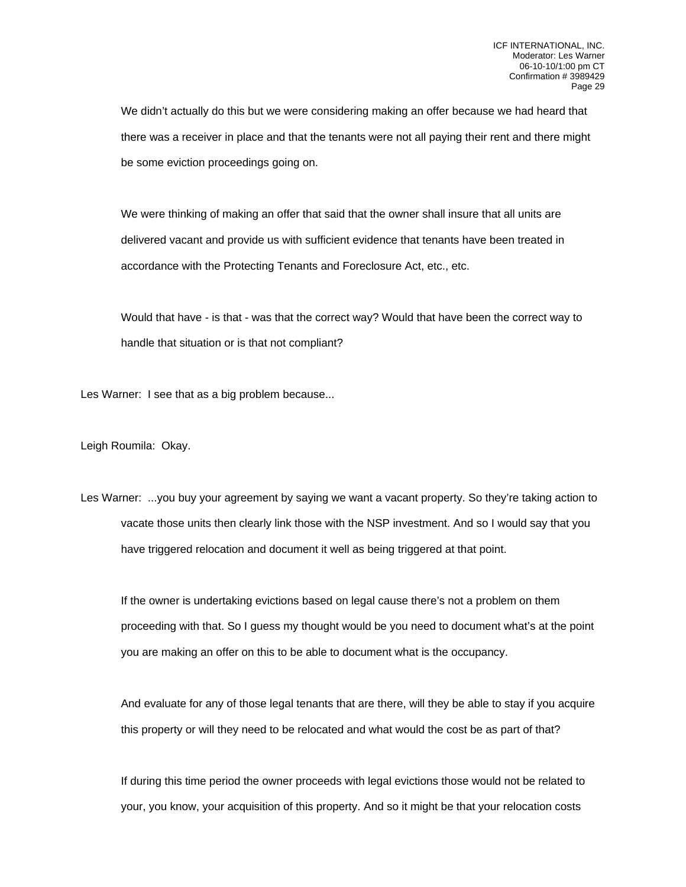We didn't actually do this but we were considering making an offer because we had heard that there was a receiver in place and that the tenants were not all paying their rent and there might be some eviction proceedings going on.

We were thinking of making an offer that said that the owner shall insure that all units are delivered vacant and provide us with sufficient evidence that tenants have been treated in accordance with the Protecting Tenants and Foreclosure Act, etc., etc.

Would that have - is that - was that the correct way? Would that have been the correct way to handle that situation or is that not compliant?

Les Warner: I see that as a big problem because...

Leigh Roumila: Okay.

Les Warner: ...you buy your agreement by saying we want a vacant property. So they're taking action to vacate those units then clearly link those with the NSP investment. And so I would say that you have triggered relocation and document it well as being triggered at that point.

If the owner is undertaking evictions based on legal cause there's not a problem on them proceeding with that. So I guess my thought would be you need to document what's at the point you are making an offer on this to be able to document what is the occupancy.

And evaluate for any of those legal tenants that are there, will they be able to stay if you acquire this property or will they need to be relocated and what would the cost be as part of that?

If during this time period the owner proceeds with legal evictions those would not be related to your, you know, your acquisition of this property. And so it might be that your relocation costs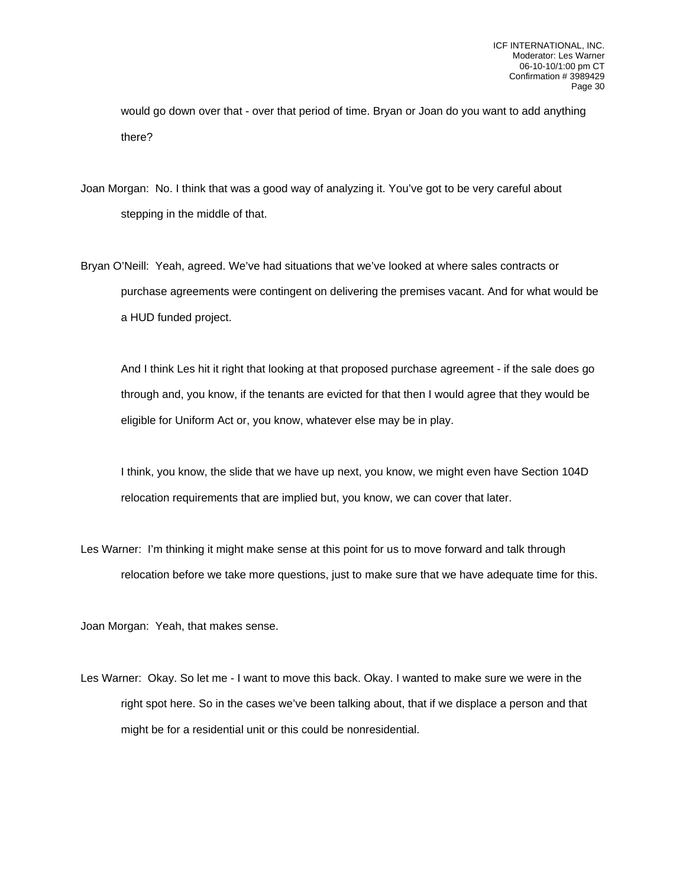would go down over that - over that period of time. Bryan or Joan do you want to add anything there?

Joan Morgan: No. I think that was a good way of analyzing it. You've got to be very careful about stepping in the middle of that.

Bryan O'Neill: Yeah, agreed. We've had situations that we've looked at where sales contracts or purchase agreements were contingent on delivering the premises vacant. And for what would be a HUD funded project.

And I think Les hit it right that looking at that proposed purchase agreement - if the sale does go through and, you know, if the tenants are evicted for that then I would agree that they would be eligible for Uniform Act or, you know, whatever else may be in play.

I think, you know, the slide that we have up next, you know, we might even have Section 104D relocation requirements that are implied but, you know, we can cover that later.

Les Warner: I'm thinking it might make sense at this point for us to move forward and talk through relocation before we take more questions, just to make sure that we have adequate time for this.

Joan Morgan: Yeah, that makes sense.

Les Warner: Okay. So let me - I want to move this back. Okay. I wanted to make sure we were in the right spot here. So in the cases we've been talking about, that if we displace a person and that might be for a residential unit or this could be nonresidential.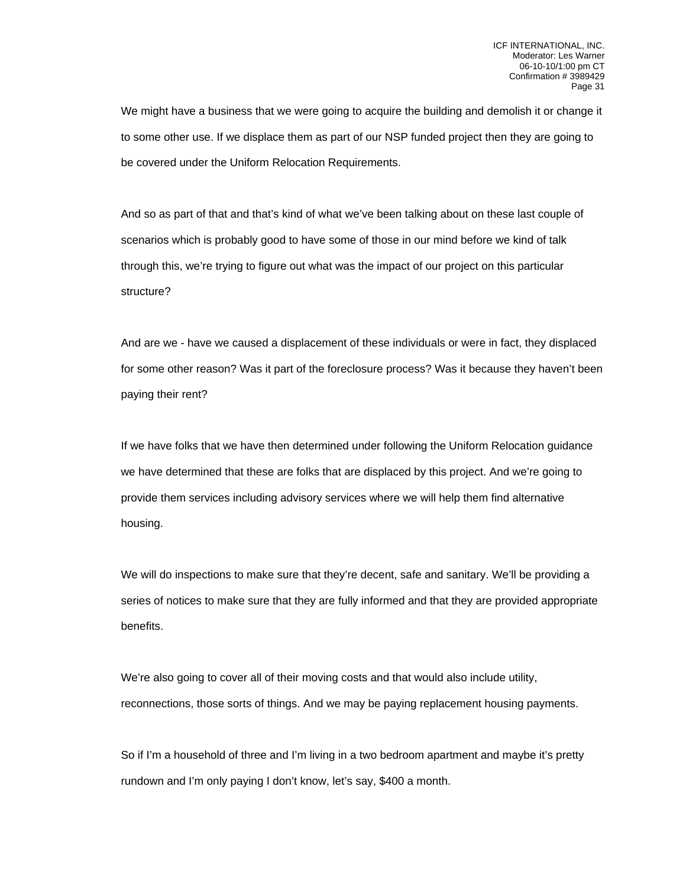We might have a business that we were going to acquire the building and demolish it or change it to some other use. If we displace them as part of our NSP funded project then they are going to be covered under the Uniform Relocation Requirements.

And so as part of that and that's kind of what we've been talking about on these last couple of scenarios which is probably good to have some of those in our mind before we kind of talk through this, we're trying to figure out what was the impact of our project on this particular structure?

And are we - have we caused a displacement of these individuals or were in fact, they displaced for some other reason? Was it part of the foreclosure process? Was it because they haven't been paying their rent?

If we have folks that we have then determined under following the Uniform Relocation guidance we have determined that these are folks that are displaced by this project. And we're going to provide them services including advisory services where we will help them find alternative housing.

We will do inspections to make sure that they're decent, safe and sanitary. We'll be providing a series of notices to make sure that they are fully informed and that they are provided appropriate benefits.

We're also going to cover all of their moving costs and that would also include utility, reconnections, those sorts of things. And we may be paying replacement housing payments.

So if I'm a household of three and I'm living in a two bedroom apartment and maybe it's pretty rundown and I'm only paying I don't know, let's say, \$400 a month.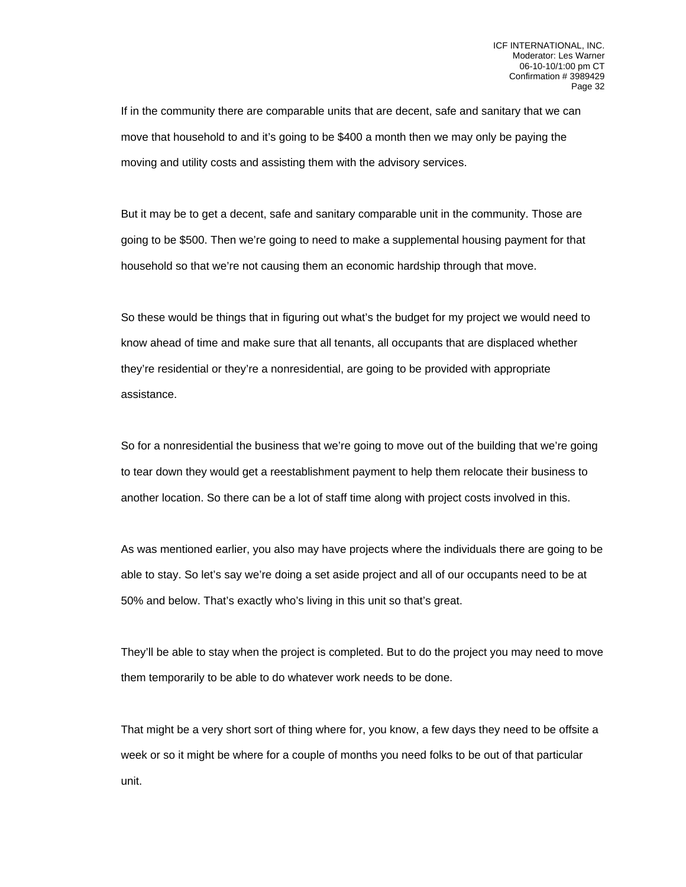If in the community there are comparable units that are decent, safe and sanitary that we can move that household to and it's going to be \$400 a month then we may only be paying the moving and utility costs and assisting them with the advisory services.

But it may be to get a decent, safe and sanitary comparable unit in the community. Those are going to be \$500. Then we're going to need to make a supplemental housing payment for that household so that we're not causing them an economic hardship through that move.

So these would be things that in figuring out what's the budget for my project we would need to know ahead of time and make sure that all tenants, all occupants that are displaced whether they're residential or they're a nonresidential, are going to be provided with appropriate assistance.

So for a nonresidential the business that we're going to move out of the building that we're going to tear down they would get a reestablishment payment to help them relocate their business to another location. So there can be a lot of staff time along with project costs involved in this.

As was mentioned earlier, you also may have projects where the individuals there are going to be able to stay. So let's say we're doing a set aside project and all of our occupants need to be at 50% and below. That's exactly who's living in this unit so that's great.

They'll be able to stay when the project is completed. But to do the project you may need to move them temporarily to be able to do whatever work needs to be done.

That might be a very short sort of thing where for, you know, a few days they need to be offsite a week or so it might be where for a couple of months you need folks to be out of that particular unit.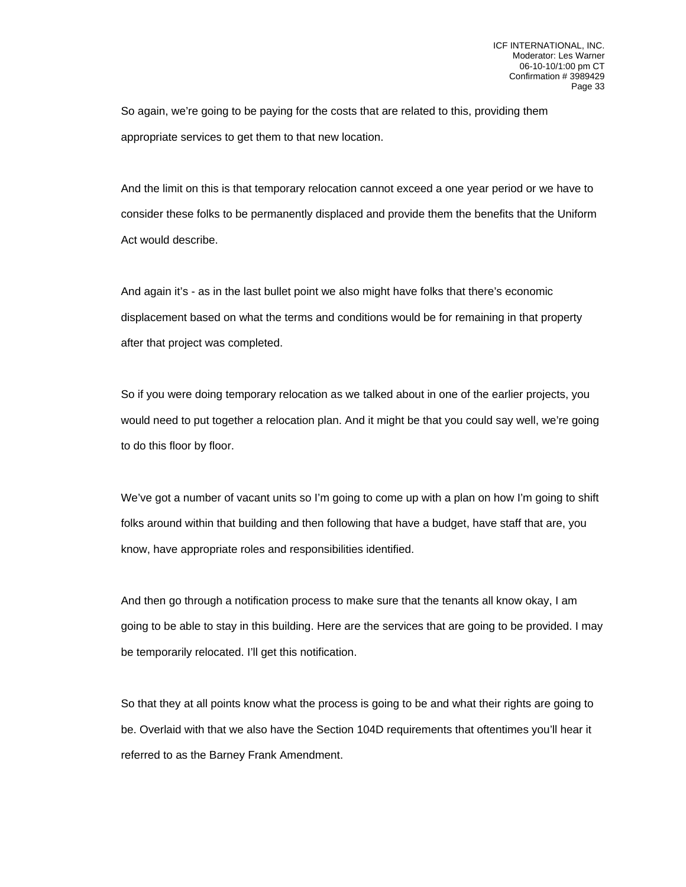So again, we're going to be paying for the costs that are related to this, providing them appropriate services to get them to that new location.

And the limit on this is that temporary relocation cannot exceed a one year period or we have to consider these folks to be permanently displaced and provide them the benefits that the Uniform Act would describe.

And again it's - as in the last bullet point we also might have folks that there's economic displacement based on what the terms and conditions would be for remaining in that property after that project was completed.

So if you were doing temporary relocation as we talked about in one of the earlier projects, you would need to put together a relocation plan. And it might be that you could say well, we're going to do this floor by floor.

We've got a number of vacant units so I'm going to come up with a plan on how I'm going to shift folks around within that building and then following that have a budget, have staff that are, you know, have appropriate roles and responsibilities identified.

And then go through a notification process to make sure that the tenants all know okay, I am going to be able to stay in this building. Here are the services that are going to be provided. I may be temporarily relocated. I'll get this notification.

So that they at all points know what the process is going to be and what their rights are going to be. Overlaid with that we also have the Section 104D requirements that oftentimes you'll hear it referred to as the Barney Frank Amendment.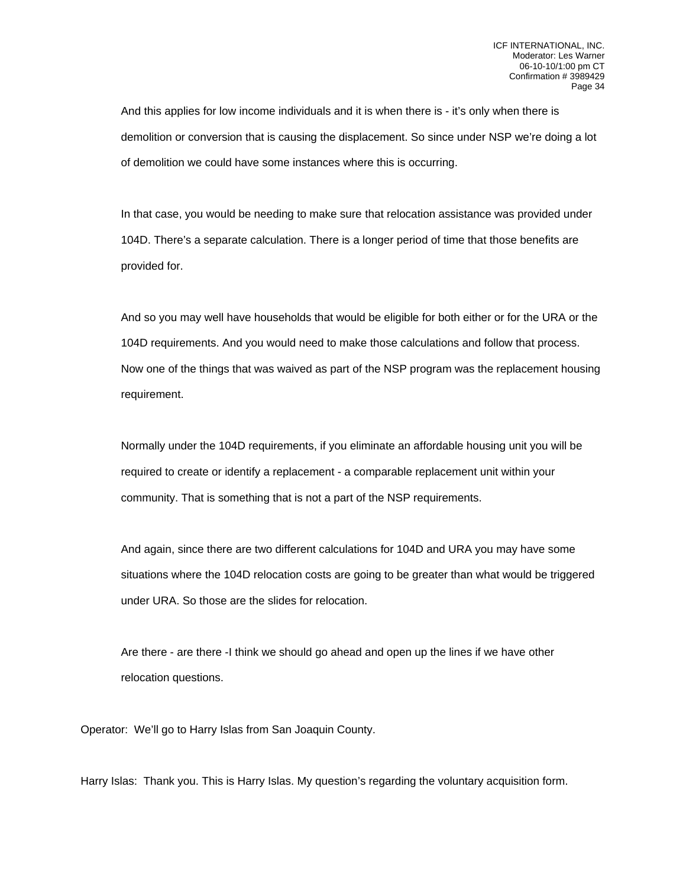And this applies for low income individuals and it is when there is - it's only when there is demolition or conversion that is causing the displacement. So since under NSP we're doing a lot of demolition we could have some instances where this is occurring.

In that case, you would be needing to make sure that relocation assistance was provided under 104D. There's a separate calculation. There is a longer period of time that those benefits are provided for.

And so you may well have households that would be eligible for both either or for the URA or the 104D requirements. And you would need to make those calculations and follow that process. Now one of the things that was waived as part of the NSP program was the replacement housing requirement.

Normally under the 104D requirements, if you eliminate an affordable housing unit you will be required to create or identify a replacement - a comparable replacement unit within your community. That is something that is not a part of the NSP requirements.

And again, since there are two different calculations for 104D and URA you may have some situations where the 104D relocation costs are going to be greater than what would be triggered under URA. So those are the slides for relocation.

Are there - are there -I think we should go ahead and open up the lines if we have other relocation questions.

Operator: We'll go to Harry Islas from San Joaquin County.

Harry Islas: Thank you. This is Harry Islas. My question's regarding the voluntary acquisition form.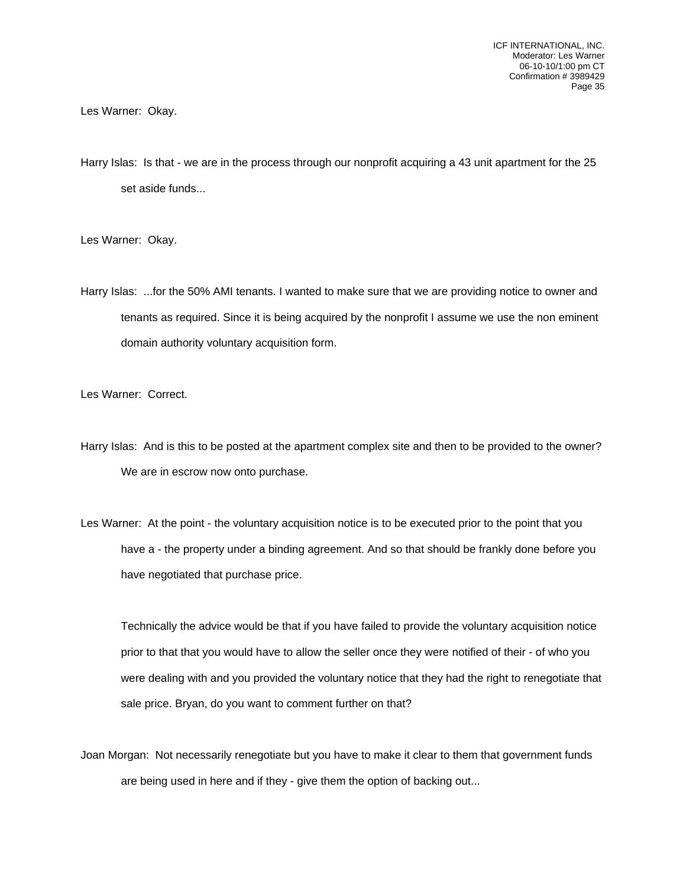Les Warner: Okay.

Harry Islas: Is that - we are in the process through our nonprofit acquiring a 43 unit apartment for the 25 set aside funds...

Les Warner: Okay.

Harry Islas: ...for the 50% AMI tenants. I wanted to make sure that we are providing notice to owner and tenants as required. Since it is being acquired by the nonprofit I assume we use the non eminent domain authority voluntary acquisition form.

Les Warner: Correct.

- Harry Islas: And is this to be posted at the apartment complex site and then to be provided to the owner? We are in escrow now onto purchase.
- Les Warner: At the point the voluntary acquisition notice is to be executed prior to the point that you have a - the property under a binding agreement. And so that should be frankly done before you have negotiated that purchase price.

Technically the advice would be that if you have failed to provide the voluntary acquisition notice prior to that that you would have to allow the seller once they were notified of their - of who you were dealing with and you provided the voluntary notice that they had the right to renegotiate that sale price. Bryan, do you want to comment further on that?

Joan Morgan: Not necessarily renegotiate but you have to make it clear to them that government funds are being used in here and if they - give them the option of backing out...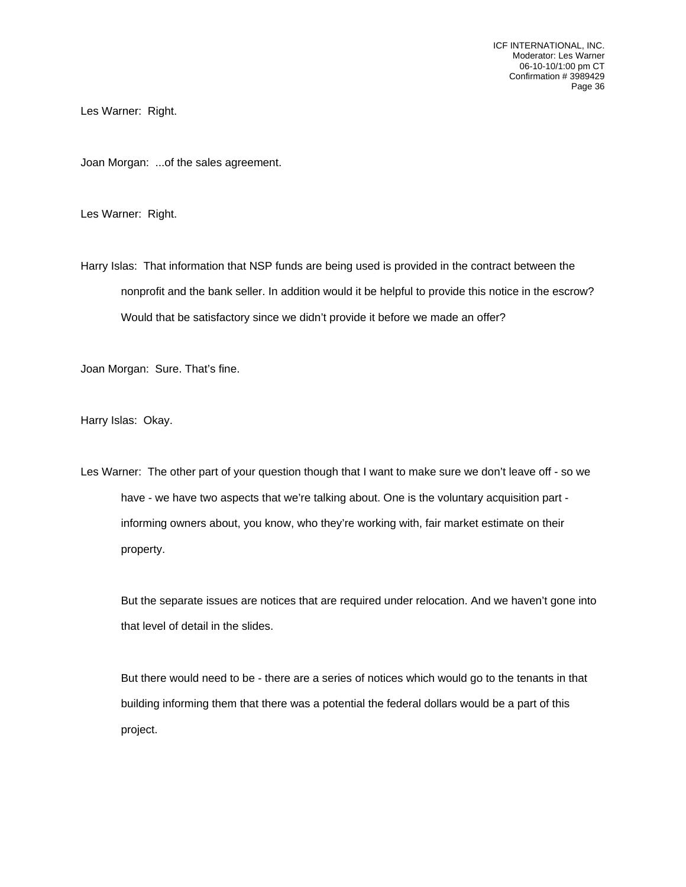ICF INTERNATIONAL, INC. Moderator: Les Warner 06-10-10/1:00 pm CT Confirmation # 3989429 Page 36

Les Warner: Right.

Joan Morgan: ...of the sales agreement.

Les Warner: Right.

Harry Islas: That information that NSP funds are being used is provided in the contract between the nonprofit and the bank seller. In addition would it be helpful to provide this notice in the escrow? Would that be satisfactory since we didn't provide it before we made an offer?

Joan Morgan: Sure. That's fine.

Harry Islas: Okay.

Les Warner: The other part of your question though that I want to make sure we don't leave off - so we have - we have two aspects that we're talking about. One is the voluntary acquisition part informing owners about, you know, who they're working with, fair market estimate on their property.

But the separate issues are notices that are required under relocation. And we haven't gone into that level of detail in the slides.

But there would need to be - there are a series of notices which would go to the tenants in that building informing them that there was a potential the federal dollars would be a part of this project.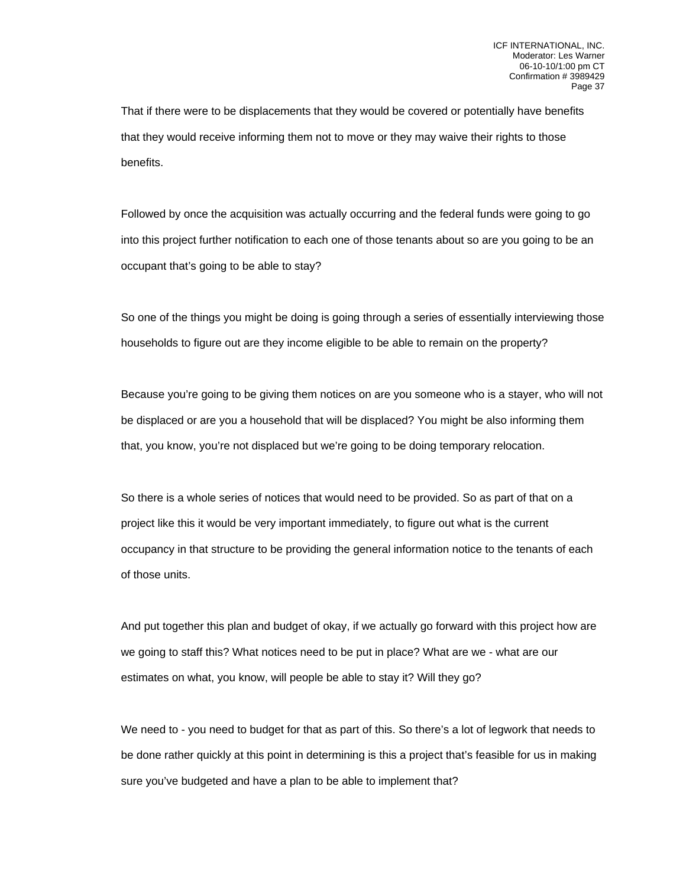That if there were to be displacements that they would be covered or potentially have benefits that they would receive informing them not to move or they may waive their rights to those benefits.

Followed by once the acquisition was actually occurring and the federal funds were going to go into this project further notification to each one of those tenants about so are you going to be an occupant that's going to be able to stay?

So one of the things you might be doing is going through a series of essentially interviewing those households to figure out are they income eligible to be able to remain on the property?

Because you're going to be giving them notices on are you someone who is a stayer, who will not be displaced or are you a household that will be displaced? You might be also informing them that, you know, you're not displaced but we're going to be doing temporary relocation.

So there is a whole series of notices that would need to be provided. So as part of that on a project like this it would be very important immediately, to figure out what is the current occupancy in that structure to be providing the general information notice to the tenants of each of those units.

And put together this plan and budget of okay, if we actually go forward with this project how are we going to staff this? What notices need to be put in place? What are we - what are our estimates on what, you know, will people be able to stay it? Will they go?

We need to - you need to budget for that as part of this. So there's a lot of legwork that needs to be done rather quickly at this point in determining is this a project that's feasible for us in making sure you've budgeted and have a plan to be able to implement that?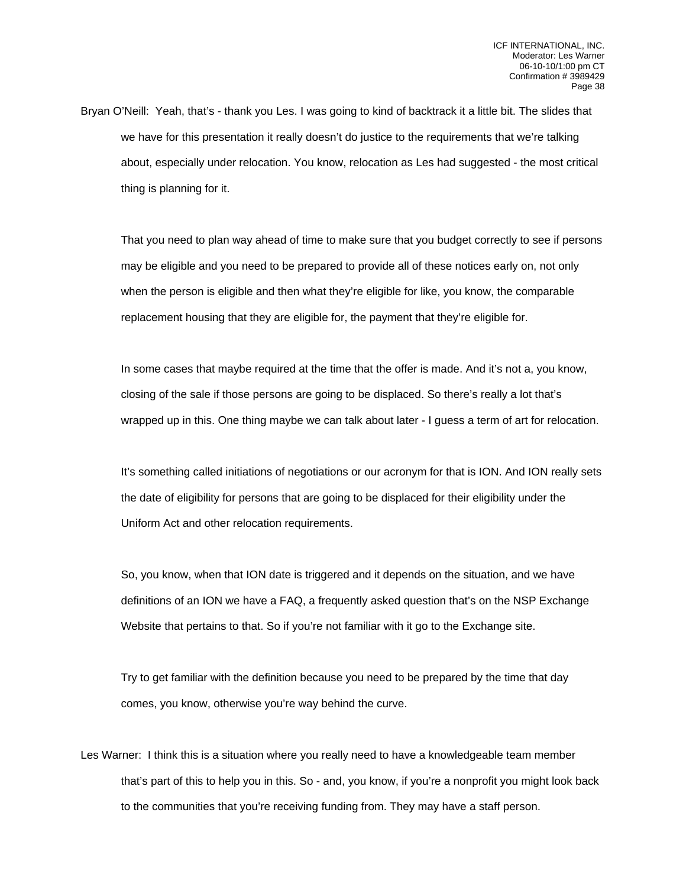Bryan O'Neill: Yeah, that's - thank you Les. I was going to kind of backtrack it a little bit. The slides that we have for this presentation it really doesn't do justice to the requirements that we're talking about, especially under relocation. You know, relocation as Les had suggested - the most critical thing is planning for it.

That you need to plan way ahead of time to make sure that you budget correctly to see if persons may be eligible and you need to be prepared to provide all of these notices early on, not only when the person is eligible and then what they're eligible for like, you know, the comparable replacement housing that they are eligible for, the payment that they're eligible for.

In some cases that maybe required at the time that the offer is made. And it's not a, you know, closing of the sale if those persons are going to be displaced. So there's really a lot that's wrapped up in this. One thing maybe we can talk about later - I guess a term of art for relocation.

It's something called initiations of negotiations or our acronym for that is ION. And ION really sets the date of eligibility for persons that are going to be displaced for their eligibility under the Uniform Act and other relocation requirements.

So, you know, when that ION date is triggered and it depends on the situation, and we have definitions of an ION we have a FAQ, a frequently asked question that's on the NSP Exchange Website that pertains to that. So if you're not familiar with it go to the Exchange site.

Try to get familiar with the definition because you need to be prepared by the time that day comes, you know, otherwise you're way behind the curve.

Les Warner: I think this is a situation where you really need to have a knowledgeable team member that's part of this to help you in this. So - and, you know, if you're a nonprofit you might look back to the communities that you're receiving funding from. They may have a staff person.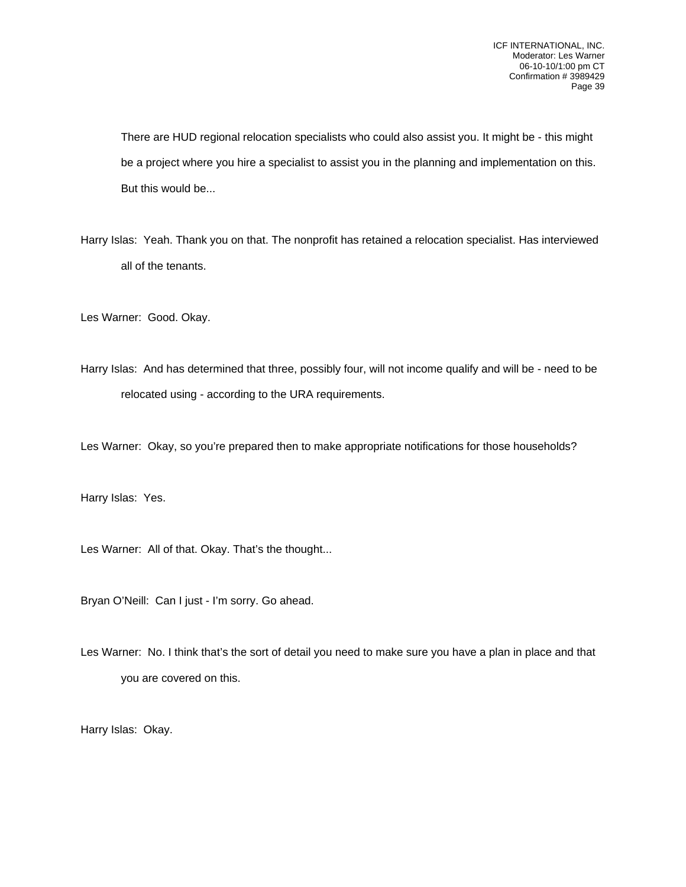There are HUD regional relocation specialists who could also assist you. It might be - this might be a project where you hire a specialist to assist you in the planning and implementation on this. But this would be...

Harry Islas: Yeah. Thank you on that. The nonprofit has retained a relocation specialist. Has interviewed all of the tenants.

Les Warner: Good. Okay.

Harry Islas: And has determined that three, possibly four, will not income qualify and will be - need to be relocated using - according to the URA requirements.

Les Warner: Okay, so you're prepared then to make appropriate notifications for those households?

Harry Islas: Yes.

Les Warner: All of that. Okay. That's the thought...

Bryan O'Neill: Can I just - I'm sorry. Go ahead.

Les Warner: No. I think that's the sort of detail you need to make sure you have a plan in place and that you are covered on this.

Harry Islas: Okay.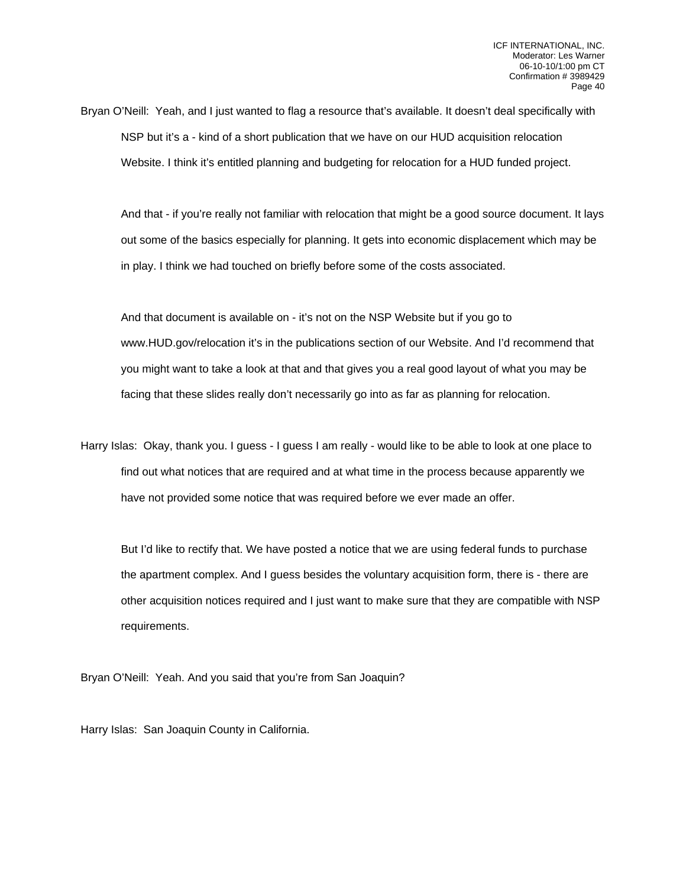Bryan O'Neill: Yeah, and I just wanted to flag a resource that's available. It doesn't deal specifically with NSP but it's a - kind of a short publication that we have on our HUD acquisition relocation Website. I think it's entitled planning and budgeting for relocation for a HUD funded project.

And that - if you're really not familiar with relocation that might be a good source document. It lays out some of the basics especially for planning. It gets into economic displacement which may be in play. I think we had touched on briefly before some of the costs associated.

And that document is available on - it's not on the NSP Website but if you go to www.HUD.gov/relocation it's in the publications section of our Website. And I'd recommend that you might want to take a look at that and that gives you a real good layout of what you may be facing that these slides really don't necessarily go into as far as planning for relocation.

Harry Islas: Okay, thank you. I guess - I guess I am really - would like to be able to look at one place to find out what notices that are required and at what time in the process because apparently we have not provided some notice that was required before we ever made an offer.

But I'd like to rectify that. We have posted a notice that we are using federal funds to purchase the apartment complex. And I guess besides the voluntary acquisition form, there is - there are other acquisition notices required and I just want to make sure that they are compatible with NSP requirements.

Bryan O'Neill: Yeah. And you said that you're from San Joaquin?

Harry Islas: San Joaquin County in California.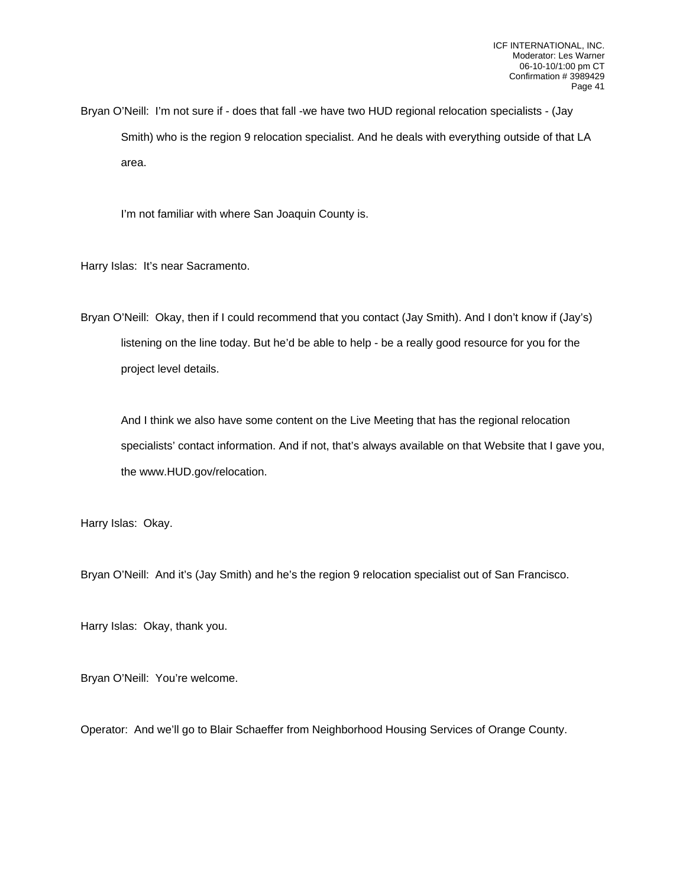Bryan O'Neill: I'm not sure if - does that fall -we have two HUD regional relocation specialists - (Jay Smith) who is the region 9 relocation specialist. And he deals with everything outside of that LA area.

I'm not familiar with where San Joaquin County is.

Harry Islas: It's near Sacramento.

Bryan O'Neill: Okay, then if I could recommend that you contact (Jay Smith). And I don't know if (Jay's) listening on the line today. But he'd be able to help - be a really good resource for you for the project level details.

And I think we also have some content on the Live Meeting that has the regional relocation specialists' contact information. And if not, that's always available on that Website that I gave you, the www.HUD.gov/relocation.

Harry Islas: Okay.

Bryan O'Neill: And it's (Jay Smith) and he's the region 9 relocation specialist out of San Francisco.

Harry Islas: Okay, thank you.

Bryan O'Neill: You're welcome.

Operator: And we'll go to Blair Schaeffer from Neighborhood Housing Services of Orange County.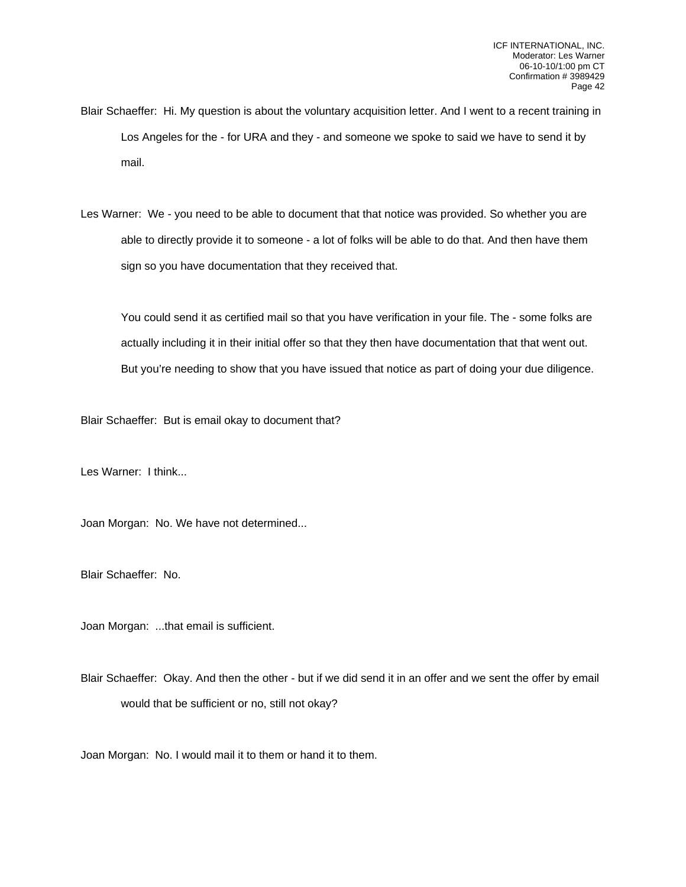- Blair Schaeffer: Hi. My question is about the voluntary acquisition letter. And I went to a recent training in Los Angeles for the - for URA and they - and someone we spoke to said we have to send it by mail.
- Les Warner: We you need to be able to document that that notice was provided. So whether you are able to directly provide it to someone - a lot of folks will be able to do that. And then have them sign so you have documentation that they received that.

You could send it as certified mail so that you have verification in your file. The - some folks are actually including it in their initial offer so that they then have documentation that that went out. But you're needing to show that you have issued that notice as part of doing your due diligence.

Blair Schaeffer: But is email okay to document that?

Les Warner: I think...

Joan Morgan: No. We have not determined...

Blair Schaeffer: No.

Joan Morgan: ...that email is sufficient.

Blair Schaeffer: Okay. And then the other - but if we did send it in an offer and we sent the offer by email would that be sufficient or no, still not okay?

Joan Morgan: No. I would mail it to them or hand it to them.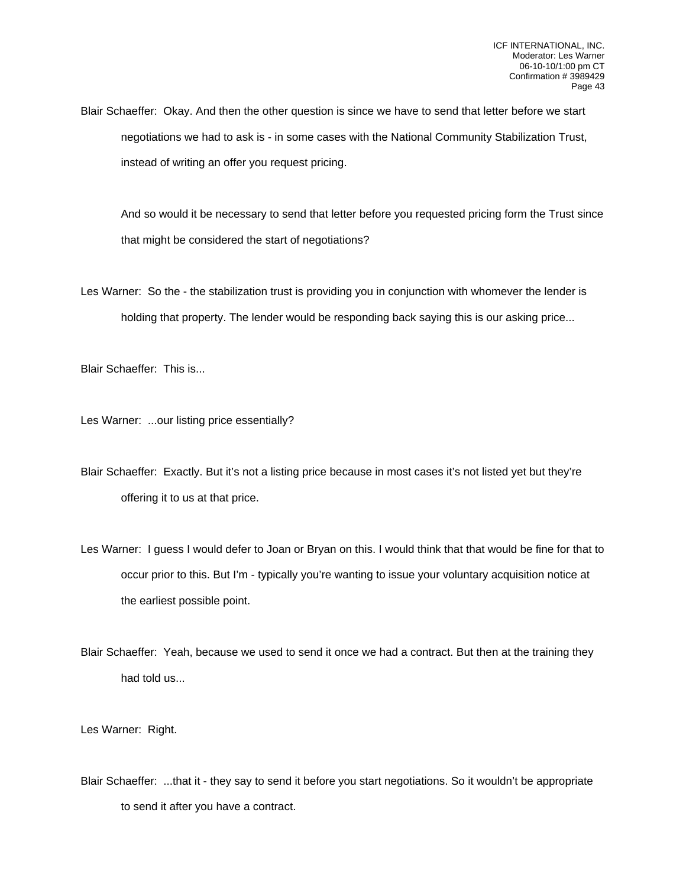Blair Schaeffer: Okay. And then the other question is since we have to send that letter before we start negotiations we had to ask is - in some cases with the National Community Stabilization Trust, instead of writing an offer you request pricing.

And so would it be necessary to send that letter before you requested pricing form the Trust since that might be considered the start of negotiations?

Les Warner: So the - the stabilization trust is providing you in conjunction with whomever the lender is holding that property. The lender would be responding back saying this is our asking price...

Blair Schaeffer: This is...

Les Warner: ...our listing price essentially?

Blair Schaeffer: Exactly. But it's not a listing price because in most cases it's not listed yet but they're offering it to us at that price.

Les Warner: I guess I would defer to Joan or Bryan on this. I would think that that would be fine for that to occur prior to this. But I'm - typically you're wanting to issue your voluntary acquisition notice at the earliest possible point.

Blair Schaeffer: Yeah, because we used to send it once we had a contract. But then at the training they had told us...

Les Warner: Right.

Blair Schaeffer: ...that it - they say to send it before you start negotiations. So it wouldn't be appropriate to send it after you have a contract.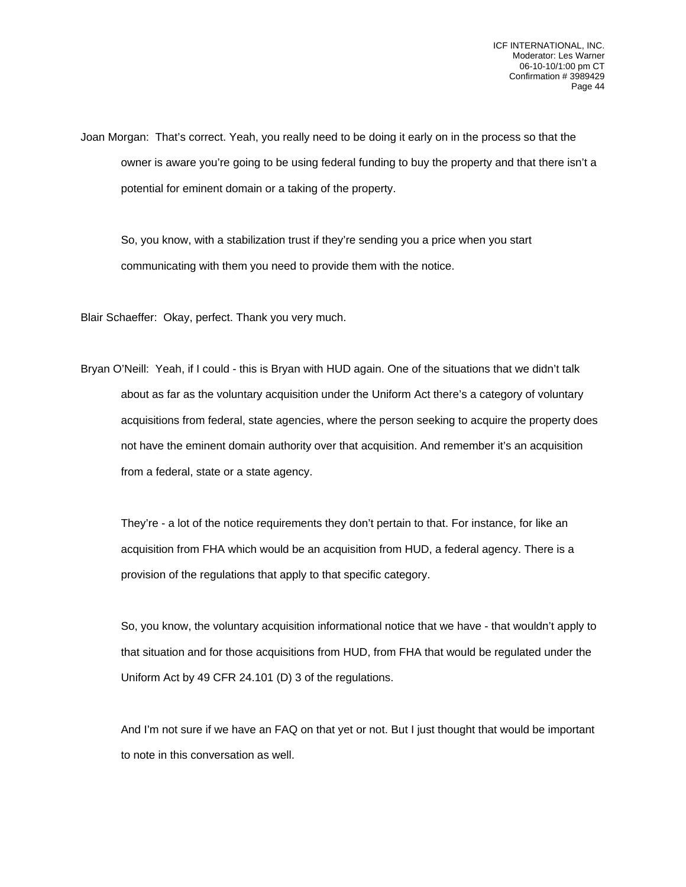Joan Morgan: That's correct. Yeah, you really need to be doing it early on in the process so that the owner is aware you're going to be using federal funding to buy the property and that there isn't a potential for eminent domain or a taking of the property.

So, you know, with a stabilization trust if they're sending you a price when you start communicating with them you need to provide them with the notice.

Blair Schaeffer: Okay, perfect. Thank you very much.

Bryan O'Neill: Yeah, if I could - this is Bryan with HUD again. One of the situations that we didn't talk about as far as the voluntary acquisition under the Uniform Act there's a category of voluntary acquisitions from federal, state agencies, where the person seeking to acquire the property does not have the eminent domain authority over that acquisition. And remember it's an acquisition from a federal, state or a state agency.

They're - a lot of the notice requirements they don't pertain to that. For instance, for like an acquisition from FHA which would be an acquisition from HUD, a federal agency. There is a provision of the regulations that apply to that specific category.

So, you know, the voluntary acquisition informational notice that we have - that wouldn't apply to that situation and for those acquisitions from HUD, from FHA that would be regulated under the Uniform Act by 49 CFR 24.101 (D) 3 of the regulations.

And I'm not sure if we have an FAQ on that yet or not. But I just thought that would be important to note in this conversation as well.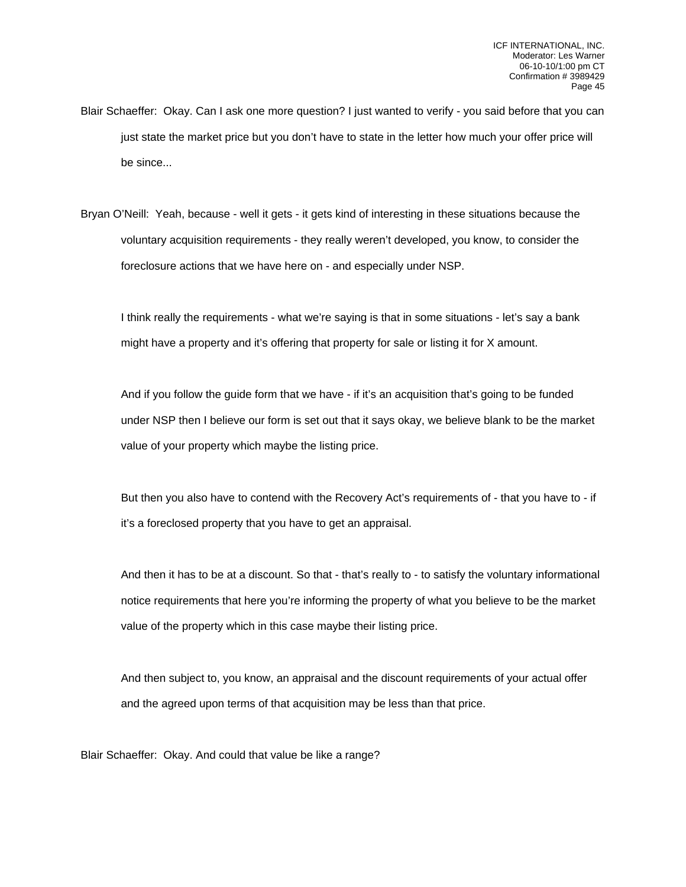- Blair Schaeffer: Okay. Can I ask one more question? I just wanted to verify you said before that you can just state the market price but you don't have to state in the letter how much your offer price will be since...
- Bryan O'Neill: Yeah, because well it gets it gets kind of interesting in these situations because the voluntary acquisition requirements - they really weren't developed, you know, to consider the foreclosure actions that we have here on - and especially under NSP.

I think really the requirements - what we're saying is that in some situations - let's say a bank might have a property and it's offering that property for sale or listing it for X amount.

And if you follow the guide form that we have - if it's an acquisition that's going to be funded under NSP then I believe our form is set out that it says okay, we believe blank to be the market value of your property which maybe the listing price.

But then you also have to contend with the Recovery Act's requirements of - that you have to - if it's a foreclosed property that you have to get an appraisal.

And then it has to be at a discount. So that - that's really to - to satisfy the voluntary informational notice requirements that here you're informing the property of what you believe to be the market value of the property which in this case maybe their listing price.

And then subject to, you know, an appraisal and the discount requirements of your actual offer and the agreed upon terms of that acquisition may be less than that price.

Blair Schaeffer: Okay. And could that value be like a range?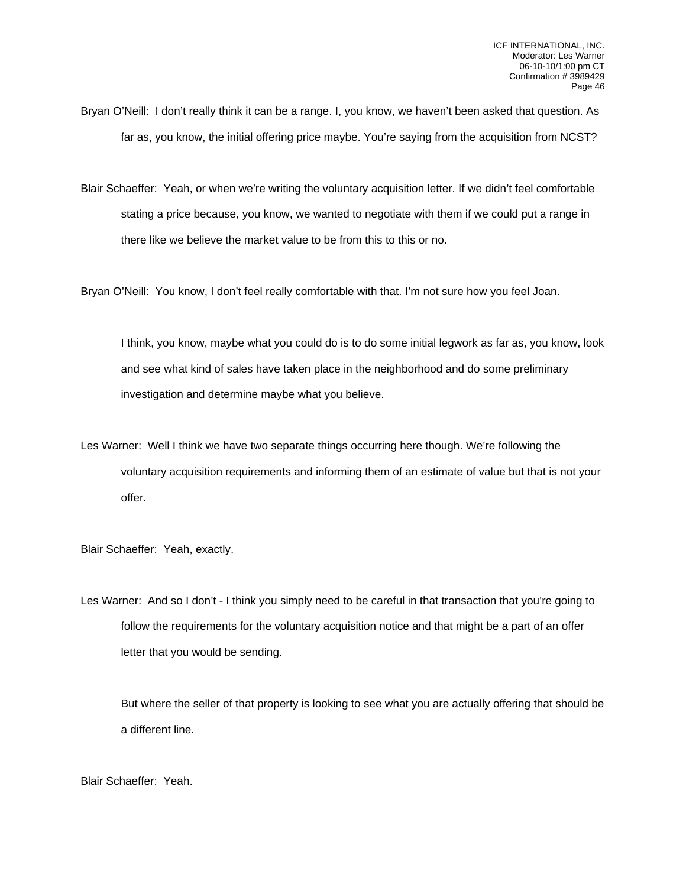- Bryan O'Neill: I don't really think it can be a range. I, you know, we haven't been asked that question. As far as, you know, the initial offering price maybe. You're saying from the acquisition from NCST?
- Blair Schaeffer: Yeah, or when we're writing the voluntary acquisition letter. If we didn't feel comfortable stating a price because, you know, we wanted to negotiate with them if we could put a range in there like we believe the market value to be from this to this or no.

Bryan O'Neill: You know, I don't feel really comfortable with that. I'm not sure how you feel Joan.

I think, you know, maybe what you could do is to do some initial legwork as far as, you know, look and see what kind of sales have taken place in the neighborhood and do some preliminary investigation and determine maybe what you believe.

Les Warner: Well I think we have two separate things occurring here though. We're following the voluntary acquisition requirements and informing them of an estimate of value but that is not your offer.

Blair Schaeffer: Yeah, exactly.

Les Warner: And so I don't - I think you simply need to be careful in that transaction that you're going to follow the requirements for the voluntary acquisition notice and that might be a part of an offer letter that you would be sending.

But where the seller of that property is looking to see what you are actually offering that should be a different line.

Blair Schaeffer: Yeah.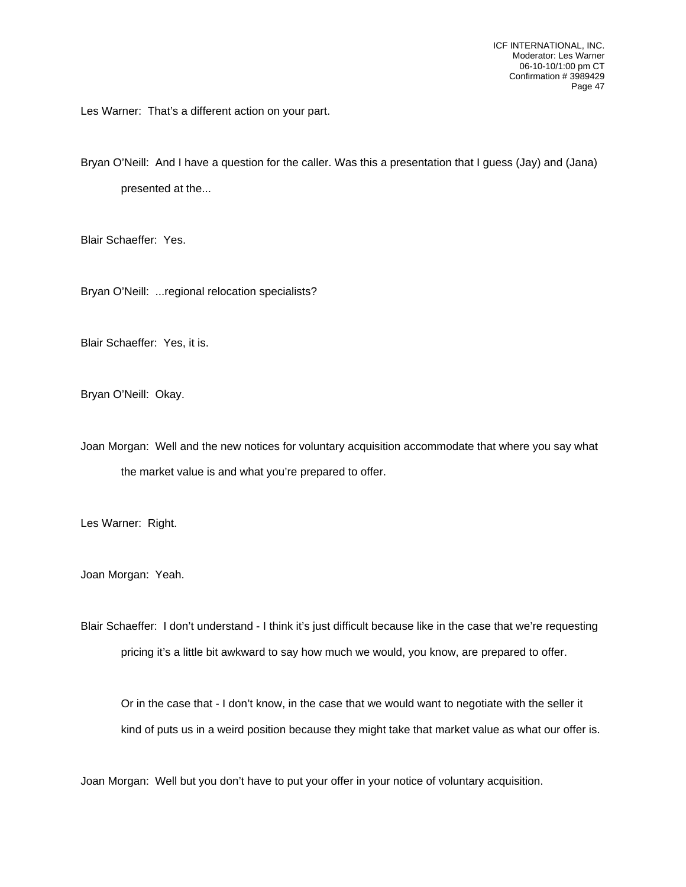Les Warner: That's a different action on your part.

Bryan O'Neill: And I have a question for the caller. Was this a presentation that I guess (Jay) and (Jana) presented at the...

Blair Schaeffer: Yes.

Bryan O'Neill: ...regional relocation specialists?

Blair Schaeffer: Yes, it is.

Bryan O'Neill: Okay.

Joan Morgan: Well and the new notices for voluntary acquisition accommodate that where you say what the market value is and what you're prepared to offer.

Les Warner: Right.

Joan Morgan: Yeah.

Blair Schaeffer: I don't understand - I think it's just difficult because like in the case that we're requesting pricing it's a little bit awkward to say how much we would, you know, are prepared to offer.

Or in the case that - I don't know, in the case that we would want to negotiate with the seller it kind of puts us in a weird position because they might take that market value as what our offer is.

Joan Morgan: Well but you don't have to put your offer in your notice of voluntary acquisition.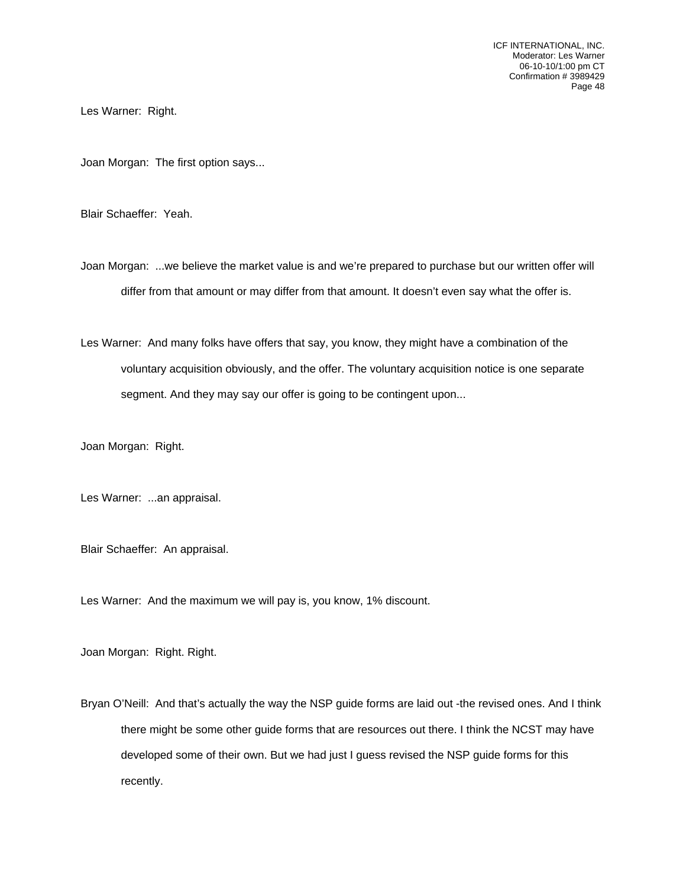Les Warner: Right.

Joan Morgan: The first option says...

Blair Schaeffer: Yeah.

Joan Morgan: ...we believe the market value is and we're prepared to purchase but our written offer will differ from that amount or may differ from that amount. It doesn't even say what the offer is.

Les Warner: And many folks have offers that say, you know, they might have a combination of the voluntary acquisition obviously, and the offer. The voluntary acquisition notice is one separate segment. And they may say our offer is going to be contingent upon...

Joan Morgan: Right.

Les Warner: ...an appraisal.

Blair Schaeffer: An appraisal.

Les Warner: And the maximum we will pay is, you know, 1% discount.

Joan Morgan: Right. Right.

Bryan O'Neill: And that's actually the way the NSP guide forms are laid out -the revised ones. And I think there might be some other guide forms that are resources out there. I think the NCST may have developed some of their own. But we had just I guess revised the NSP guide forms for this recently.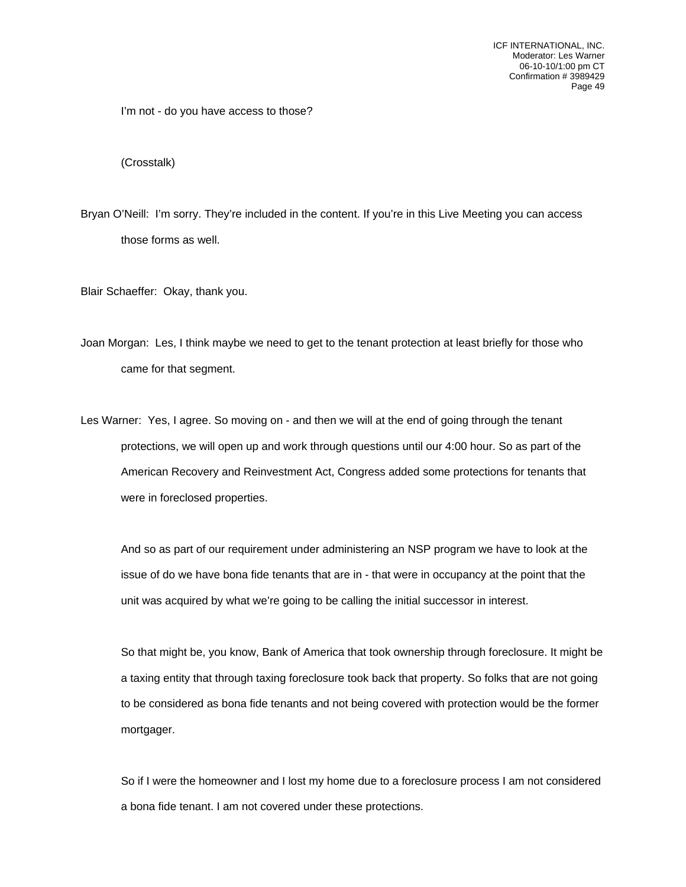I'm not - do you have access to those?

(Crosstalk)

Bryan O'Neill: I'm sorry. They're included in the content. If you're in this Live Meeting you can access those forms as well.

Blair Schaeffer: Okay, thank you.

Joan Morgan: Les, I think maybe we need to get to the tenant protection at least briefly for those who came for that segment.

Les Warner: Yes, I agree. So moving on - and then we will at the end of going through the tenant protections, we will open up and work through questions until our 4:00 hour. So as part of the American Recovery and Reinvestment Act, Congress added some protections for tenants that were in foreclosed properties.

And so as part of our requirement under administering an NSP program we have to look at the issue of do we have bona fide tenants that are in - that were in occupancy at the point that the unit was acquired by what we're going to be calling the initial successor in interest.

So that might be, you know, Bank of America that took ownership through foreclosure. It might be a taxing entity that through taxing foreclosure took back that property. So folks that are not going to be considered as bona fide tenants and not being covered with protection would be the former mortgager.

So if I were the homeowner and I lost my home due to a foreclosure process I am not considered a bona fide tenant. I am not covered under these protections.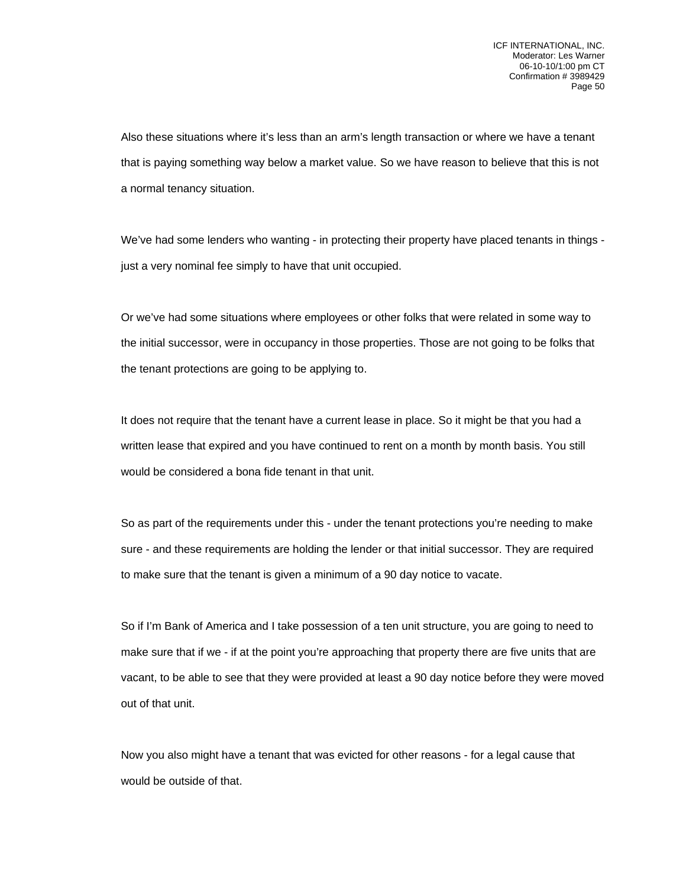Also these situations where it's less than an arm's length transaction or where we have a tenant that is paying something way below a market value. So we have reason to believe that this is not a normal tenancy situation.

We've had some lenders who wanting - in protecting their property have placed tenants in things just a very nominal fee simply to have that unit occupied.

Or we've had some situations where employees or other folks that were related in some way to the initial successor, were in occupancy in those properties. Those are not going to be folks that the tenant protections are going to be applying to.

It does not require that the tenant have a current lease in place. So it might be that you had a written lease that expired and you have continued to rent on a month by month basis. You still would be considered a bona fide tenant in that unit.

So as part of the requirements under this - under the tenant protections you're needing to make sure - and these requirements are holding the lender or that initial successor. They are required to make sure that the tenant is given a minimum of a 90 day notice to vacate.

So if I'm Bank of America and I take possession of a ten unit structure, you are going to need to make sure that if we - if at the point you're approaching that property there are five units that are vacant, to be able to see that they were provided at least a 90 day notice before they were moved out of that unit.

Now you also might have a tenant that was evicted for other reasons - for a legal cause that would be outside of that.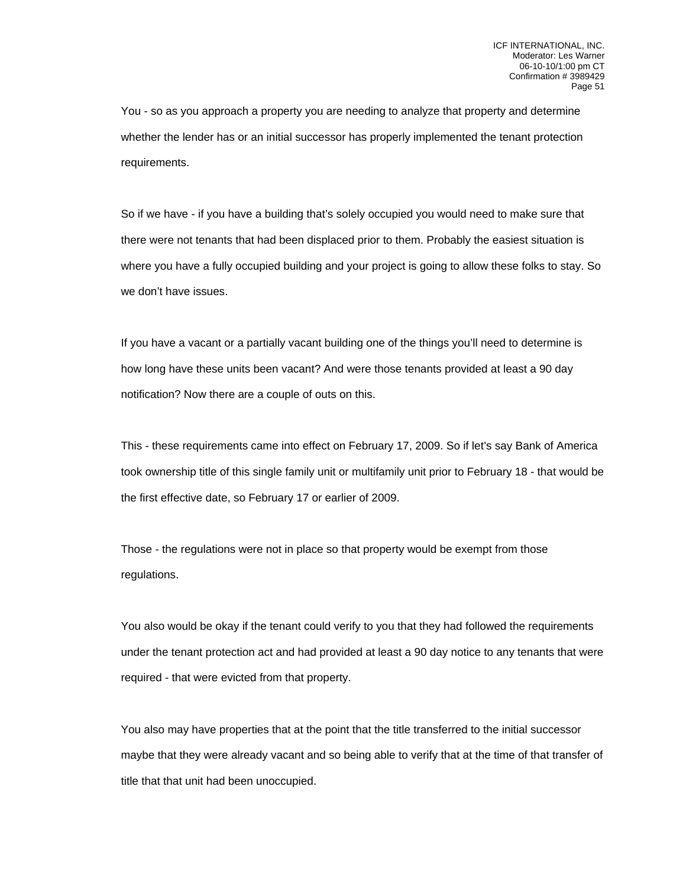You - so as you approach a property you are needing to analyze that property and determine whether the lender has or an initial successor has properly implemented the tenant protection requirements.

So if we have - if you have a building that's solely occupied you would need to make sure that there were not tenants that had been displaced prior to them. Probably the easiest situation is where you have a fully occupied building and your project is going to allow these folks to stay. So we don't have issues.

If you have a vacant or a partially vacant building one of the things you'll need to determine is how long have these units been vacant? And were those tenants provided at least a 90 day notification? Now there are a couple of outs on this.

This - these requirements came into effect on February 17, 2009. So if let's say Bank of America took ownership title of this single family unit or multifamily unit prior to February 18 - that would be the first effective date, so February 17 or earlier of 2009.

Those - the regulations were not in place so that property would be exempt from those regulations.

You also would be okay if the tenant could verify to you that they had followed the requirements under the tenant protection act and had provided at least a 90 day notice to any tenants that were required - that were evicted from that property.

You also may have properties that at the point that the title transferred to the initial successor maybe that they were already vacant and so being able to verify that at the time of that transfer of title that that unit had been unoccupied.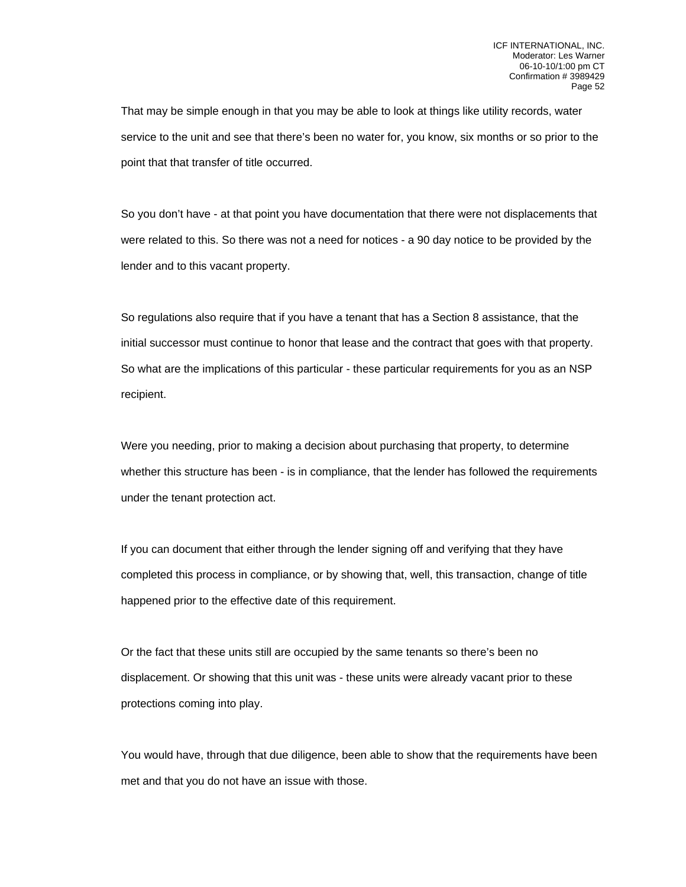That may be simple enough in that you may be able to look at things like utility records, water service to the unit and see that there's been no water for, you know, six months or so prior to the point that that transfer of title occurred.

So you don't have - at that point you have documentation that there were not displacements that were related to this. So there was not a need for notices - a 90 day notice to be provided by the lender and to this vacant property.

So regulations also require that if you have a tenant that has a Section 8 assistance, that the initial successor must continue to honor that lease and the contract that goes with that property. So what are the implications of this particular - these particular requirements for you as an NSP recipient.

Were you needing, prior to making a decision about purchasing that property, to determine whether this structure has been - is in compliance, that the lender has followed the requirements under the tenant protection act.

If you can document that either through the lender signing off and verifying that they have completed this process in compliance, or by showing that, well, this transaction, change of title happened prior to the effective date of this requirement.

Or the fact that these units still are occupied by the same tenants so there's been no displacement. Or showing that this unit was - these units were already vacant prior to these protections coming into play.

You would have, through that due diligence, been able to show that the requirements have been met and that you do not have an issue with those.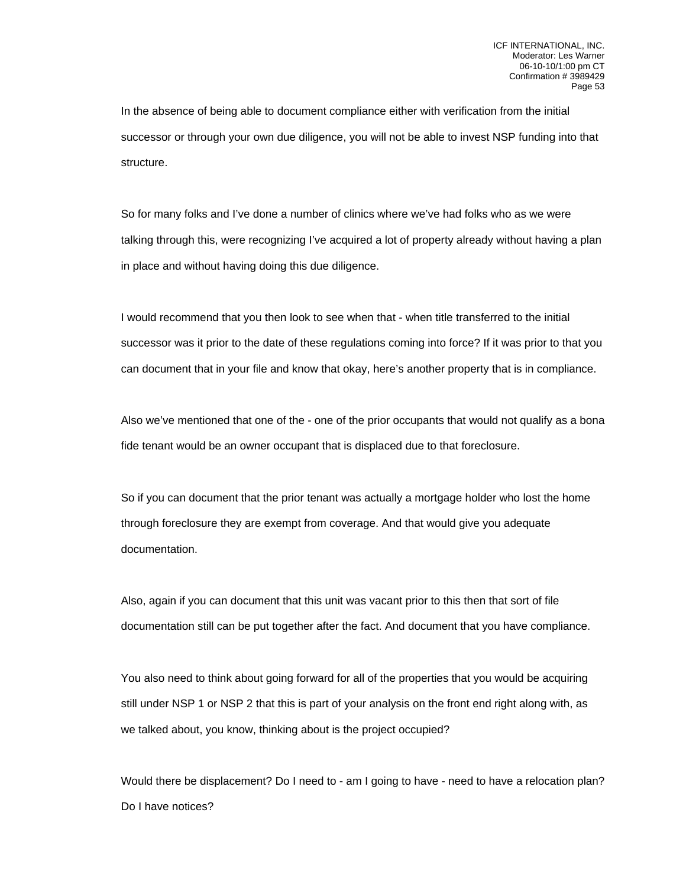In the absence of being able to document compliance either with verification from the initial successor or through your own due diligence, you will not be able to invest NSP funding into that structure.

So for many folks and I've done a number of clinics where we've had folks who as we were talking through this, were recognizing I've acquired a lot of property already without having a plan in place and without having doing this due diligence.

I would recommend that you then look to see when that - when title transferred to the initial successor was it prior to the date of these regulations coming into force? If it was prior to that you can document that in your file and know that okay, here's another property that is in compliance.

Also we've mentioned that one of the - one of the prior occupants that would not qualify as a bona fide tenant would be an owner occupant that is displaced due to that foreclosure.

So if you can document that the prior tenant was actually a mortgage holder who lost the home through foreclosure they are exempt from coverage. And that would give you adequate documentation.

Also, again if you can document that this unit was vacant prior to this then that sort of file documentation still can be put together after the fact. And document that you have compliance.

You also need to think about going forward for all of the properties that you would be acquiring still under NSP 1 or NSP 2 that this is part of your analysis on the front end right along with, as we talked about, you know, thinking about is the project occupied?

Would there be displacement? Do I need to - am I going to have - need to have a relocation plan? Do I have notices?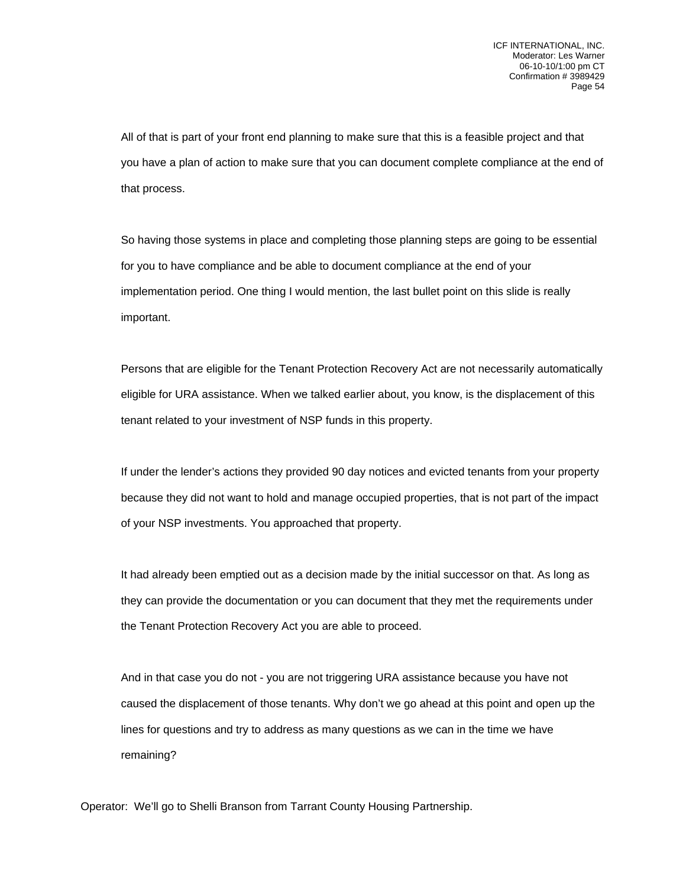All of that is part of your front end planning to make sure that this is a feasible project and that you have a plan of action to make sure that you can document complete compliance at the end of that process.

So having those systems in place and completing those planning steps are going to be essential for you to have compliance and be able to document compliance at the end of your implementation period. One thing I would mention, the last bullet point on this slide is really important.

Persons that are eligible for the Tenant Protection Recovery Act are not necessarily automatically eligible for URA assistance. When we talked earlier about, you know, is the displacement of this tenant related to your investment of NSP funds in this property.

If under the lender's actions they provided 90 day notices and evicted tenants from your property because they did not want to hold and manage occupied properties, that is not part of the impact of your NSP investments. You approached that property.

It had already been emptied out as a decision made by the initial successor on that. As long as they can provide the documentation or you can document that they met the requirements under the Tenant Protection Recovery Act you are able to proceed.

And in that case you do not - you are not triggering URA assistance because you have not caused the displacement of those tenants. Why don't we go ahead at this point and open up the lines for questions and try to address as many questions as we can in the time we have remaining?

Operator: We'll go to Shelli Branson from Tarrant County Housing Partnership.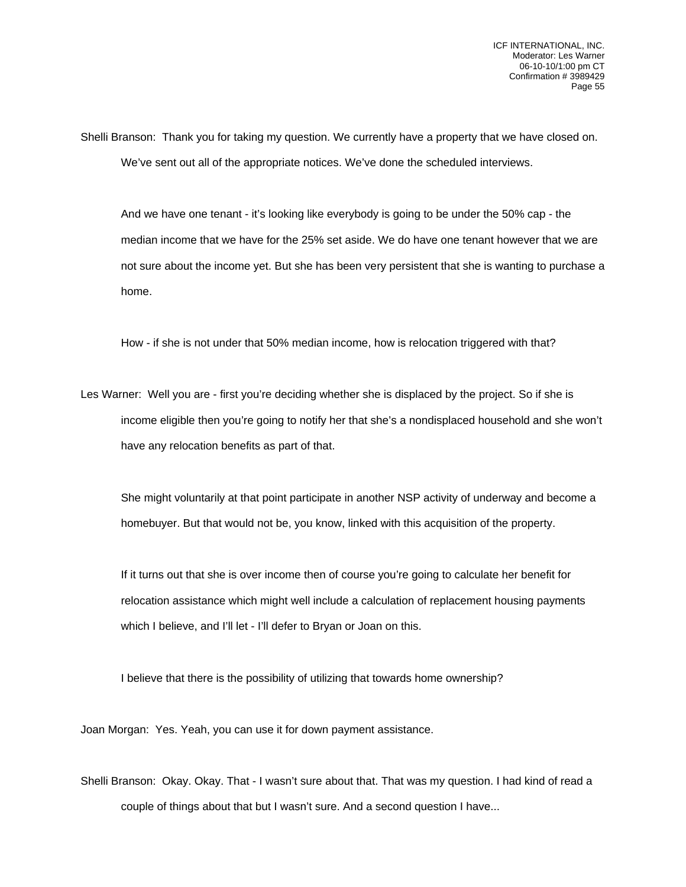Shelli Branson: Thank you for taking my question. We currently have a property that we have closed on. We've sent out all of the appropriate notices. We've done the scheduled interviews.

And we have one tenant - it's looking like everybody is going to be under the 50% cap - the median income that we have for the 25% set aside. We do have one tenant however that we are not sure about the income yet. But she has been very persistent that she is wanting to purchase a home.

How - if she is not under that 50% median income, how is relocation triggered with that?

Les Warner: Well you are - first you're deciding whether she is displaced by the project. So if she is income eligible then you're going to notify her that she's a nondisplaced household and she won't have any relocation benefits as part of that.

She might voluntarily at that point participate in another NSP activity of underway and become a homebuyer. But that would not be, you know, linked with this acquisition of the property.

If it turns out that she is over income then of course you're going to calculate her benefit for relocation assistance which might well include a calculation of replacement housing payments which I believe, and I'll let - I'll defer to Bryan or Joan on this.

I believe that there is the possibility of utilizing that towards home ownership?

Joan Morgan: Yes. Yeah, you can use it for down payment assistance.

Shelli Branson: Okay. Okay. That - I wasn't sure about that. That was my question. I had kind of read a couple of things about that but I wasn't sure. And a second question I have...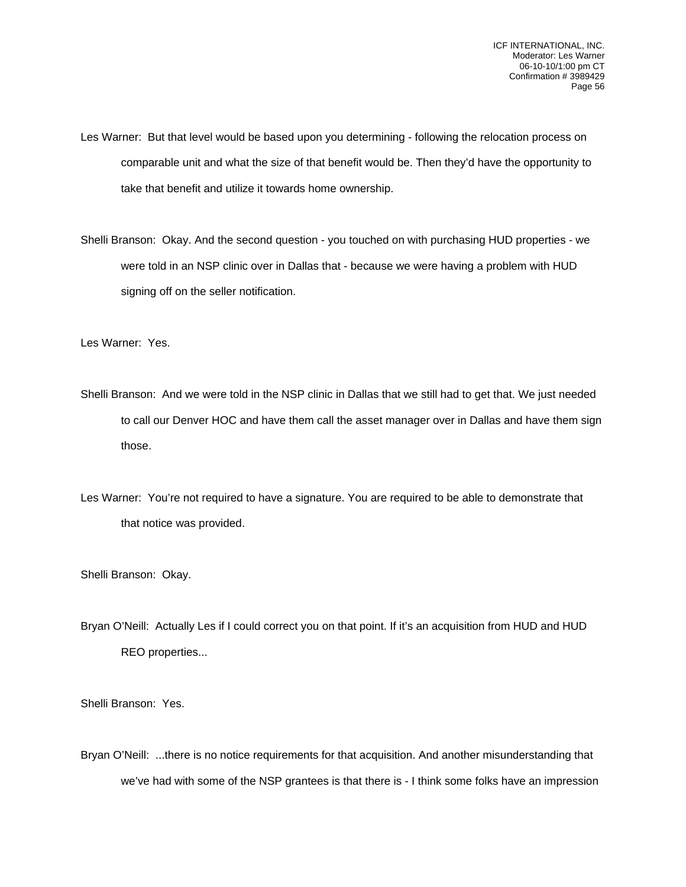Les Warner: But that level would be based upon you determining - following the relocation process on comparable unit and what the size of that benefit would be. Then they'd have the opportunity to take that benefit and utilize it towards home ownership.

Shelli Branson: Okay. And the second question - you touched on with purchasing HUD properties - we were told in an NSP clinic over in Dallas that - because we were having a problem with HUD signing off on the seller notification.

Les Warner: Yes.

Shelli Branson: And we were told in the NSP clinic in Dallas that we still had to get that. We just needed to call our Denver HOC and have them call the asset manager over in Dallas and have them sign those.

Les Warner: You're not required to have a signature. You are required to be able to demonstrate that that notice was provided.

Shelli Branson: Okay.

Bryan O'Neill: Actually Les if I could correct you on that point. If it's an acquisition from HUD and HUD REO properties...

Shelli Branson: Yes.

Bryan O'Neill: ...there is no notice requirements for that acquisition. And another misunderstanding that we've had with some of the NSP grantees is that there is - I think some folks have an impression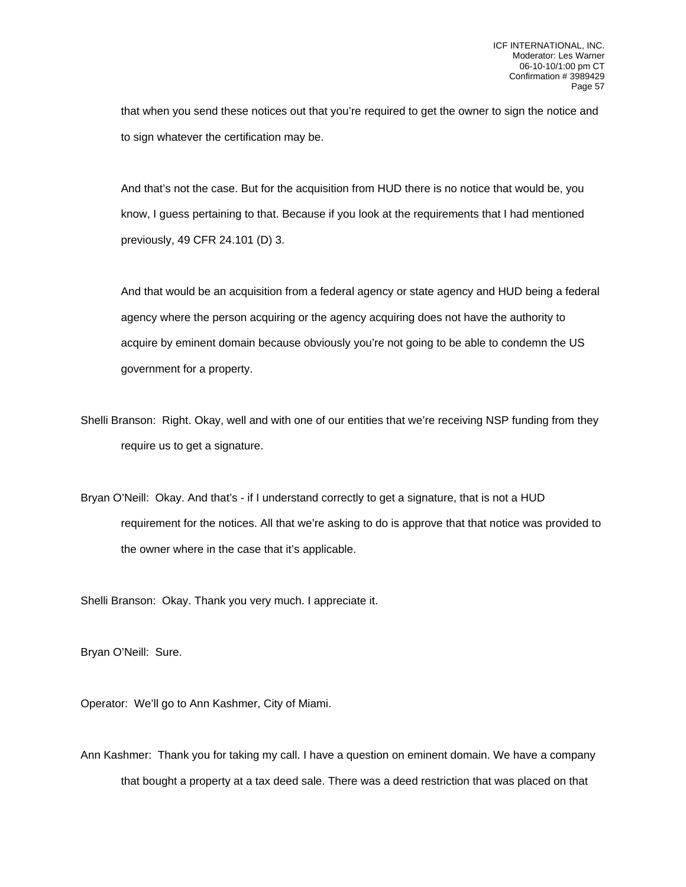that when you send these notices out that you're required to get the owner to sign the notice and to sign whatever the certification may be.

And that's not the case. But for the acquisition from HUD there is no notice that would be, you know, I guess pertaining to that. Because if you look at the requirements that I had mentioned previously, 49 CFR 24.101 (D) 3.

And that would be an acquisition from a federal agency or state agency and HUD being a federal agency where the person acquiring or the agency acquiring does not have the authority to acquire by eminent domain because obviously you're not going to be able to condemn the US government for a property.

Shelli Branson: Right. Okay, well and with one of our entities that we're receiving NSP funding from they require us to get a signature.

Bryan O'Neill: Okay. And that's - if I understand correctly to get a signature, that is not a HUD requirement for the notices. All that we're asking to do is approve that that notice was provided to the owner where in the case that it's applicable.

Shelli Branson: Okay. Thank you very much. I appreciate it.

Bryan O'Neill: Sure.

Operator: We'll go to Ann Kashmer, City of Miami.

Ann Kashmer: Thank you for taking my call. I have a question on eminent domain. We have a company that bought a property at a tax deed sale. There was a deed restriction that was placed on that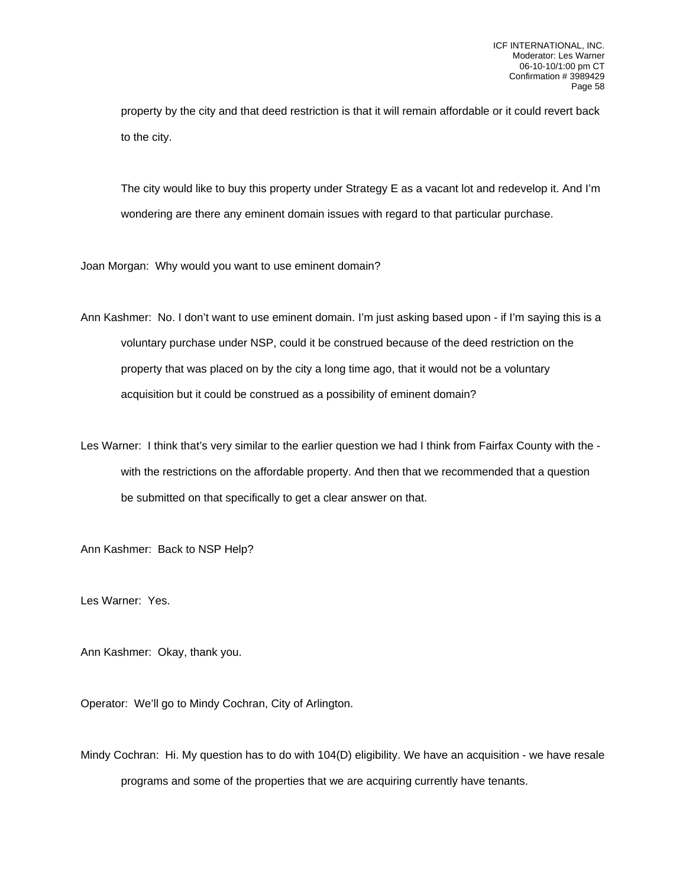property by the city and that deed restriction is that it will remain affordable or it could revert back to the city.

The city would like to buy this property under Strategy E as a vacant lot and redevelop it. And I'm wondering are there any eminent domain issues with regard to that particular purchase.

Joan Morgan: Why would you want to use eminent domain?

Ann Kashmer: No. I don't want to use eminent domain. I'm just asking based upon - if I'm saying this is a voluntary purchase under NSP, could it be construed because of the deed restriction on the property that was placed on by the city a long time ago, that it would not be a voluntary acquisition but it could be construed as a possibility of eminent domain?

Les Warner: I think that's very similar to the earlier question we had I think from Fairfax County with the with the restrictions on the affordable property. And then that we recommended that a question be submitted on that specifically to get a clear answer on that.

Ann Kashmer: Back to NSP Help?

Les Warner: Yes.

Ann Kashmer: Okay, thank you.

Operator: We'll go to Mindy Cochran, City of Arlington.

Mindy Cochran: Hi. My question has to do with 104(D) eligibility. We have an acquisition - we have resale programs and some of the properties that we are acquiring currently have tenants.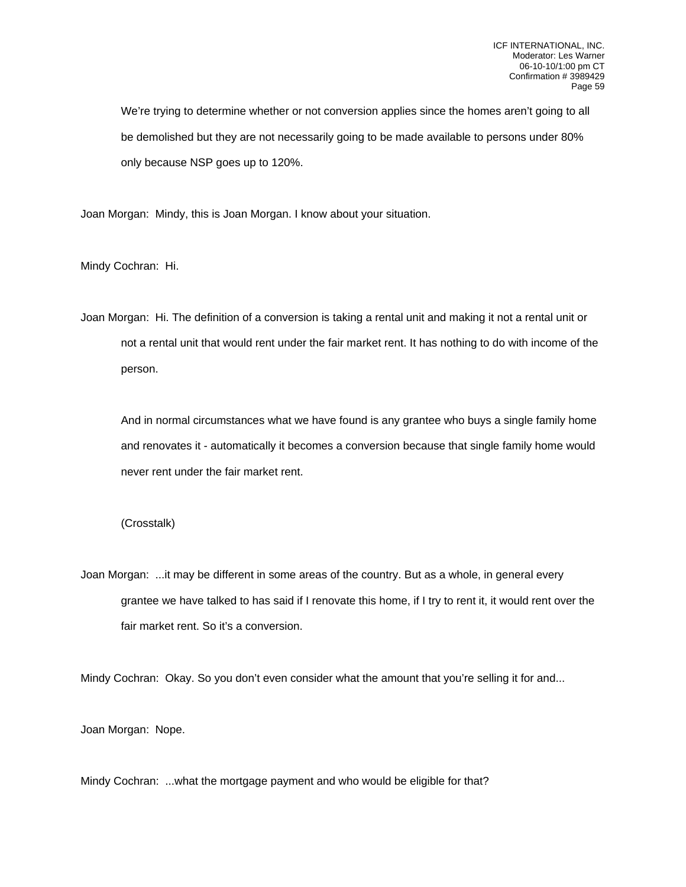We're trying to determine whether or not conversion applies since the homes aren't going to all be demolished but they are not necessarily going to be made available to persons under 80% only because NSP goes up to 120%.

Joan Morgan: Mindy, this is Joan Morgan. I know about your situation.

Mindy Cochran: Hi.

Joan Morgan: Hi. The definition of a conversion is taking a rental unit and making it not a rental unit or not a rental unit that would rent under the fair market rent. It has nothing to do with income of the person.

And in normal circumstances what we have found is any grantee who buys a single family home and renovates it - automatically it becomes a conversion because that single family home would never rent under the fair market rent.

## (Crosstalk)

Joan Morgan: ...it may be different in some areas of the country. But as a whole, in general every grantee we have talked to has said if I renovate this home, if I try to rent it, it would rent over the fair market rent. So it's a conversion.

Mindy Cochran: Okay. So you don't even consider what the amount that you're selling it for and...

Joan Morgan: Nope.

Mindy Cochran: ...what the mortgage payment and who would be eligible for that?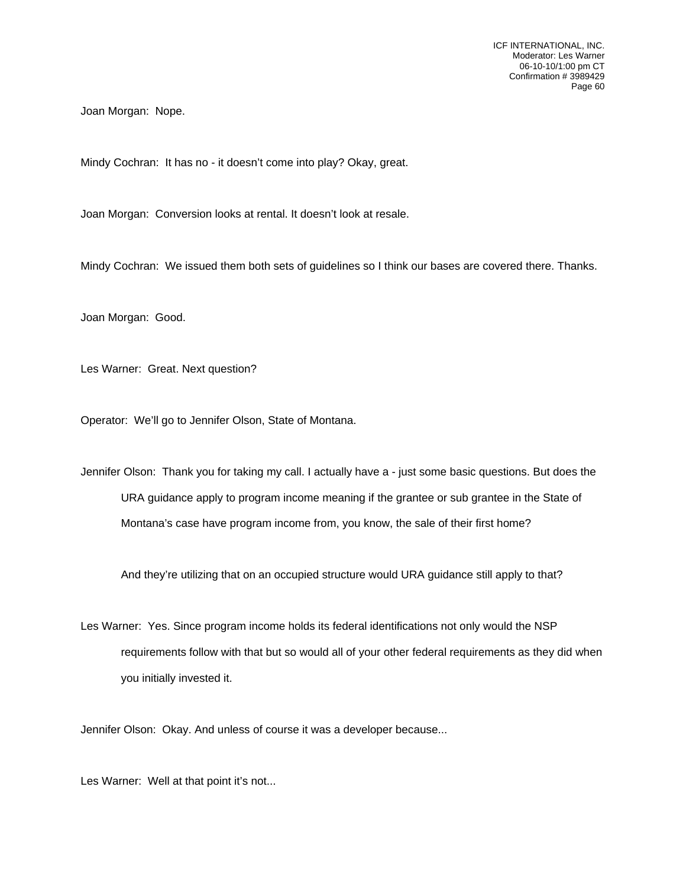Joan Morgan: Nope.

Mindy Cochran: It has no - it doesn't come into play? Okay, great.

Joan Morgan: Conversion looks at rental. It doesn't look at resale.

Mindy Cochran: We issued them both sets of guidelines so I think our bases are covered there. Thanks.

Joan Morgan: Good.

Les Warner: Great. Next question?

Operator: We'll go to Jennifer Olson, State of Montana.

Jennifer Olson: Thank you for taking my call. I actually have a - just some basic questions. But does the URA guidance apply to program income meaning if the grantee or sub grantee in the State of Montana's case have program income from, you know, the sale of their first home?

And they're utilizing that on an occupied structure would URA guidance still apply to that?

Les Warner: Yes. Since program income holds its federal identifications not only would the NSP requirements follow with that but so would all of your other federal requirements as they did when you initially invested it.

Jennifer Olson: Okay. And unless of course it was a developer because...

Les Warner: Well at that point it's not...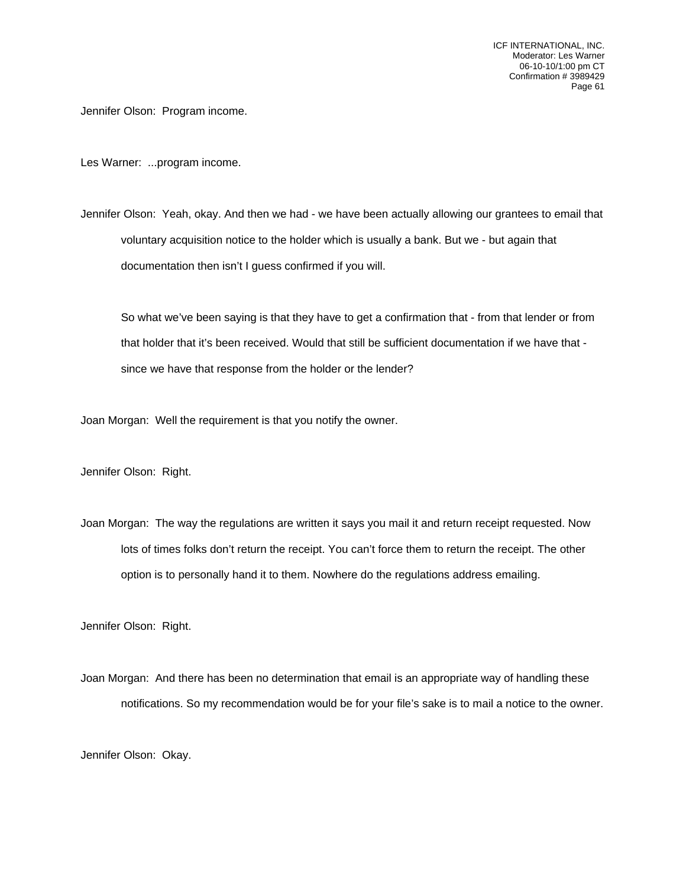Jennifer Olson: Program income.

Les Warner: ...program income.

Jennifer Olson: Yeah, okay. And then we had - we have been actually allowing our grantees to email that voluntary acquisition notice to the holder which is usually a bank. But we - but again that documentation then isn't I guess confirmed if you will.

So what we've been saying is that they have to get a confirmation that - from that lender or from that holder that it's been received. Would that still be sufficient documentation if we have that since we have that response from the holder or the lender?

Joan Morgan: Well the requirement is that you notify the owner.

Jennifer Olson: Right.

Joan Morgan: The way the regulations are written it says you mail it and return receipt requested. Now lots of times folks don't return the receipt. You can't force them to return the receipt. The other option is to personally hand it to them. Nowhere do the regulations address emailing.

Jennifer Olson: Right.

Joan Morgan: And there has been no determination that email is an appropriate way of handling these notifications. So my recommendation would be for your file's sake is to mail a notice to the owner.

Jennifer Olson: Okay.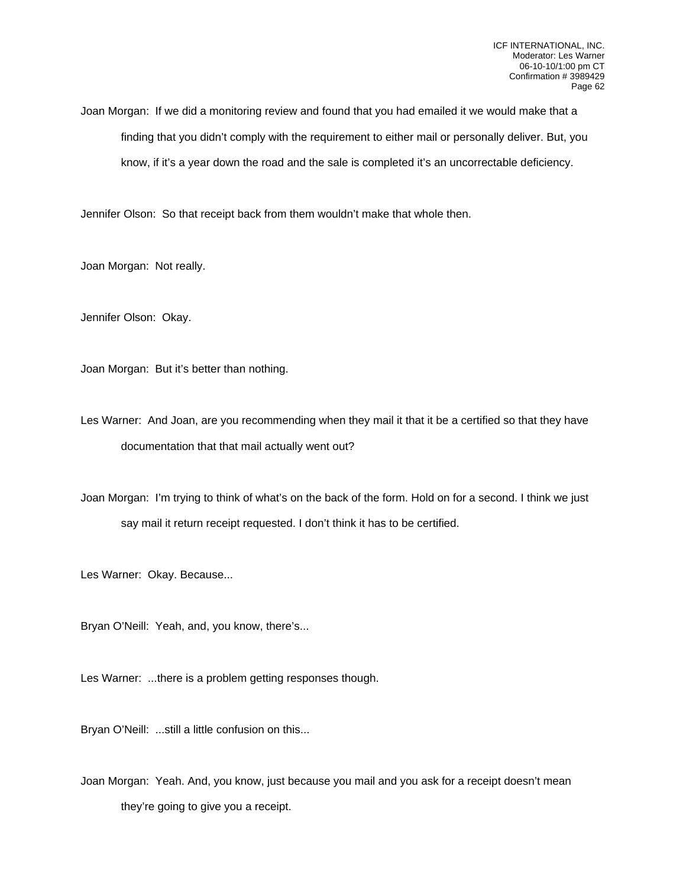Joan Morgan: If we did a monitoring review and found that you had emailed it we would make that a finding that you didn't comply with the requirement to either mail or personally deliver. But, you know, if it's a year down the road and the sale is completed it's an uncorrectable deficiency.

Jennifer Olson: So that receipt back from them wouldn't make that whole then.

Joan Morgan: Not really.

Jennifer Olson: Okay.

Joan Morgan: But it's better than nothing.

Les Warner: And Joan, are you recommending when they mail it that it be a certified so that they have documentation that that mail actually went out?

Joan Morgan: I'm trying to think of what's on the back of the form. Hold on for a second. I think we just say mail it return receipt requested. I don't think it has to be certified.

Les Warner: Okay. Because...

Bryan O'Neill: Yeah, and, you know, there's...

Les Warner: ...there is a problem getting responses though.

Bryan O'Neill: ...still a little confusion on this...

Joan Morgan: Yeah. And, you know, just because you mail and you ask for a receipt doesn't mean they're going to give you a receipt.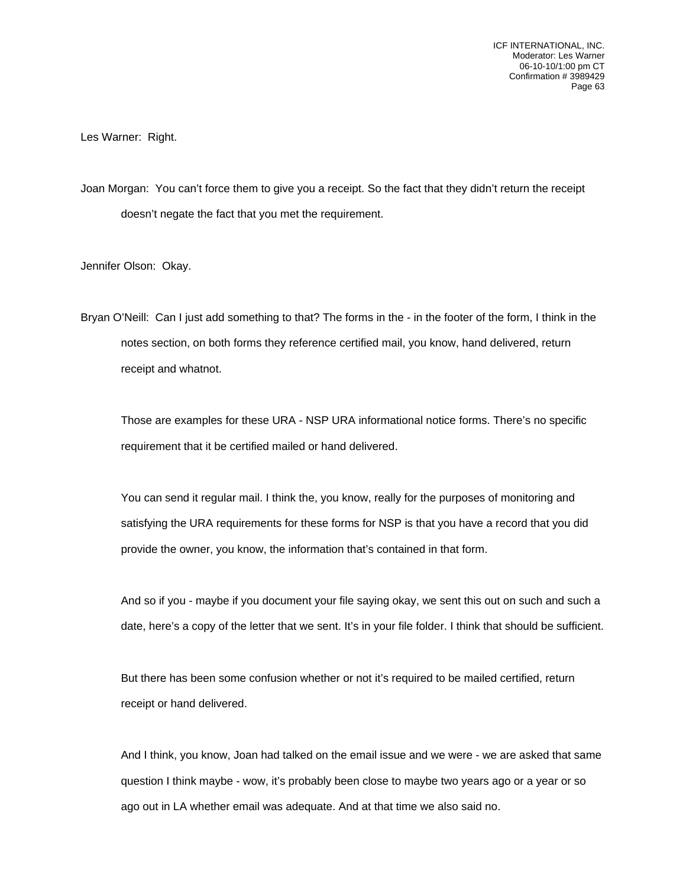Les Warner: Right.

Joan Morgan: You can't force them to give you a receipt. So the fact that they didn't return the receipt doesn't negate the fact that you met the requirement.

Jennifer Olson: Okay.

Bryan O'Neill: Can I just add something to that? The forms in the - in the footer of the form, I think in the notes section, on both forms they reference certified mail, you know, hand delivered, return receipt and whatnot.

Those are examples for these URA - NSP URA informational notice forms. There's no specific requirement that it be certified mailed or hand delivered.

You can send it regular mail. I think the, you know, really for the purposes of monitoring and satisfying the URA requirements for these forms for NSP is that you have a record that you did provide the owner, you know, the information that's contained in that form.

And so if you - maybe if you document your file saying okay, we sent this out on such and such a date, here's a copy of the letter that we sent. It's in your file folder. I think that should be sufficient.

But there has been some confusion whether or not it's required to be mailed certified, return receipt or hand delivered.

And I think, you know, Joan had talked on the email issue and we were - we are asked that same question I think maybe - wow, it's probably been close to maybe two years ago or a year or so ago out in LA whether email was adequate. And at that time we also said no.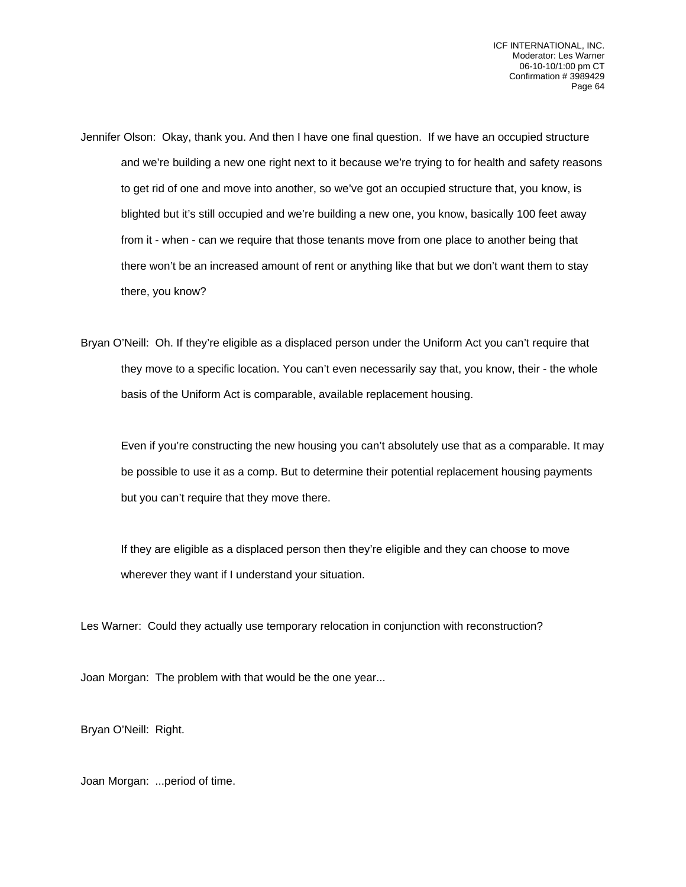- Jennifer Olson: Okay, thank you. And then I have one final question. If we have an occupied structure and we're building a new one right next to it because we're trying to for health and safety reasons to get rid of one and move into another, so we've got an occupied structure that, you know, is blighted but it's still occupied and we're building a new one, you know, basically 100 feet away from it - when - can we require that those tenants move from one place to another being that there won't be an increased amount of rent or anything like that but we don't want them to stay there, you know?
- Bryan O'Neill: Oh. If they're eligible as a displaced person under the Uniform Act you can't require that they move to a specific location. You can't even necessarily say that, you know, their - the whole basis of the Uniform Act is comparable, available replacement housing.

Even if you're constructing the new housing you can't absolutely use that as a comparable. It may be possible to use it as a comp. But to determine their potential replacement housing payments but you can't require that they move there.

If they are eligible as a displaced person then they're eligible and they can choose to move wherever they want if I understand your situation.

Les Warner: Could they actually use temporary relocation in conjunction with reconstruction?

Joan Morgan: The problem with that would be the one year...

Bryan O'Neill: Right.

Joan Morgan: ...period of time.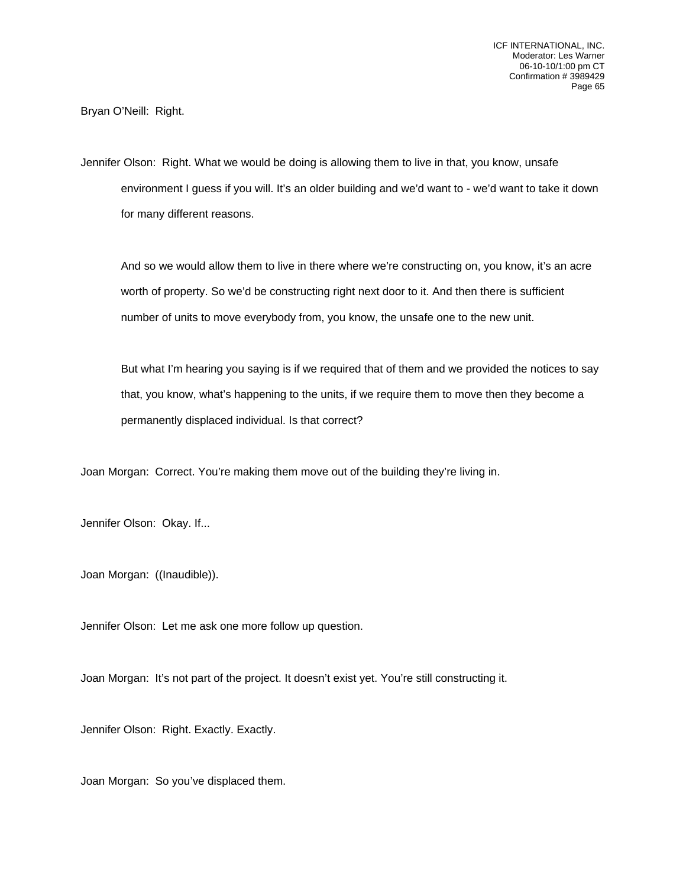Bryan O'Neill: Right.

Jennifer Olson: Right. What we would be doing is allowing them to live in that, you know, unsafe environment I guess if you will. It's an older building and we'd want to - we'd want to take it down for many different reasons.

And so we would allow them to live in there where we're constructing on, you know, it's an acre worth of property. So we'd be constructing right next door to it. And then there is sufficient number of units to move everybody from, you know, the unsafe one to the new unit.

But what I'm hearing you saying is if we required that of them and we provided the notices to say that, you know, what's happening to the units, if we require them to move then they become a permanently displaced individual. Is that correct?

Joan Morgan: Correct. You're making them move out of the building they're living in.

Jennifer Olson: Okay. If...

Joan Morgan: ((Inaudible)).

Jennifer Olson: Let me ask one more follow up question.

Joan Morgan: It's not part of the project. It doesn't exist yet. You're still constructing it.

Jennifer Olson: Right. Exactly. Exactly.

Joan Morgan: So you've displaced them.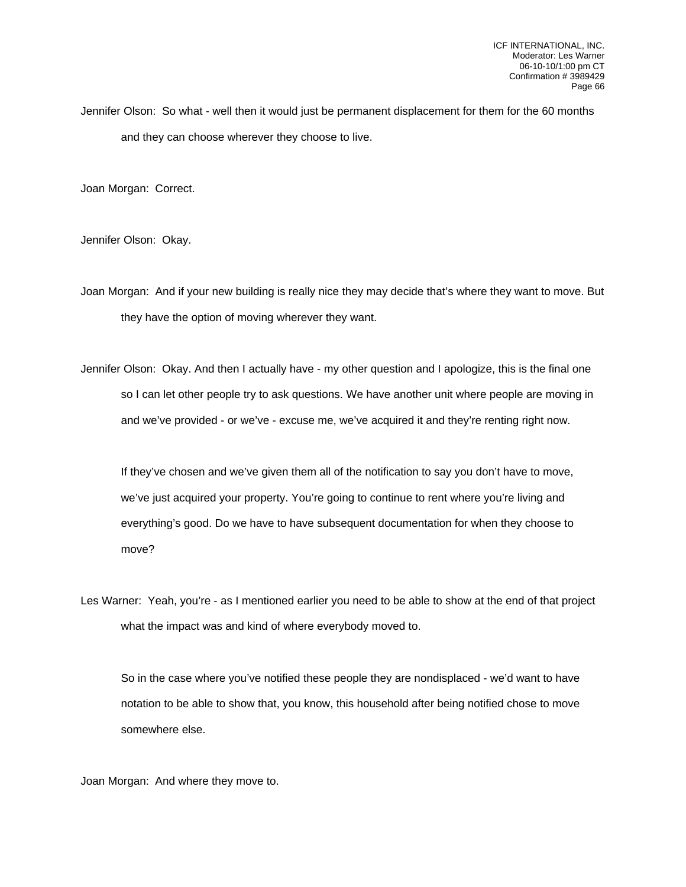Jennifer Olson: So what - well then it would just be permanent displacement for them for the 60 months and they can choose wherever they choose to live.

Joan Morgan: Correct.

Jennifer Olson: Okay.

Joan Morgan: And if your new building is really nice they may decide that's where they want to move. But they have the option of moving wherever they want.

Jennifer Olson: Okay. And then I actually have - my other question and I apologize, this is the final one so I can let other people try to ask questions. We have another unit where people are moving in and we've provided - or we've - excuse me, we've acquired it and they're renting right now.

If they've chosen and we've given them all of the notification to say you don't have to move, we've just acquired your property. You're going to continue to rent where you're living and everything's good. Do we have to have subsequent documentation for when they choose to move?

Les Warner: Yeah, you're - as I mentioned earlier you need to be able to show at the end of that project what the impact was and kind of where everybody moved to.

So in the case where you've notified these people they are nondisplaced - we'd want to have notation to be able to show that, you know, this household after being notified chose to move somewhere else.

Joan Morgan: And where they move to.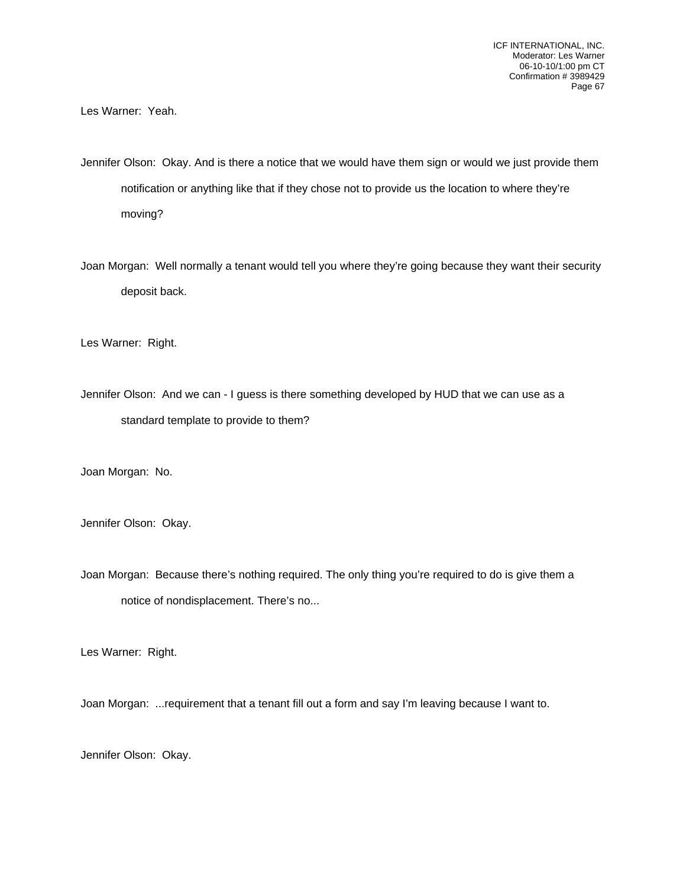Les Warner: Yeah.

Jennifer Olson: Okay. And is there a notice that we would have them sign or would we just provide them notification or anything like that if they chose not to provide us the location to where they're moving?

Joan Morgan: Well normally a tenant would tell you where they're going because they want their security deposit back.

Les Warner: Right.

Jennifer Olson: And we can - I guess is there something developed by HUD that we can use as a standard template to provide to them?

Joan Morgan: No.

Jennifer Olson: Okay.

Joan Morgan: Because there's nothing required. The only thing you're required to do is give them a notice of nondisplacement. There's no...

Les Warner: Right.

Joan Morgan: ...requirement that a tenant fill out a form and say I'm leaving because I want to.

Jennifer Olson: Okay.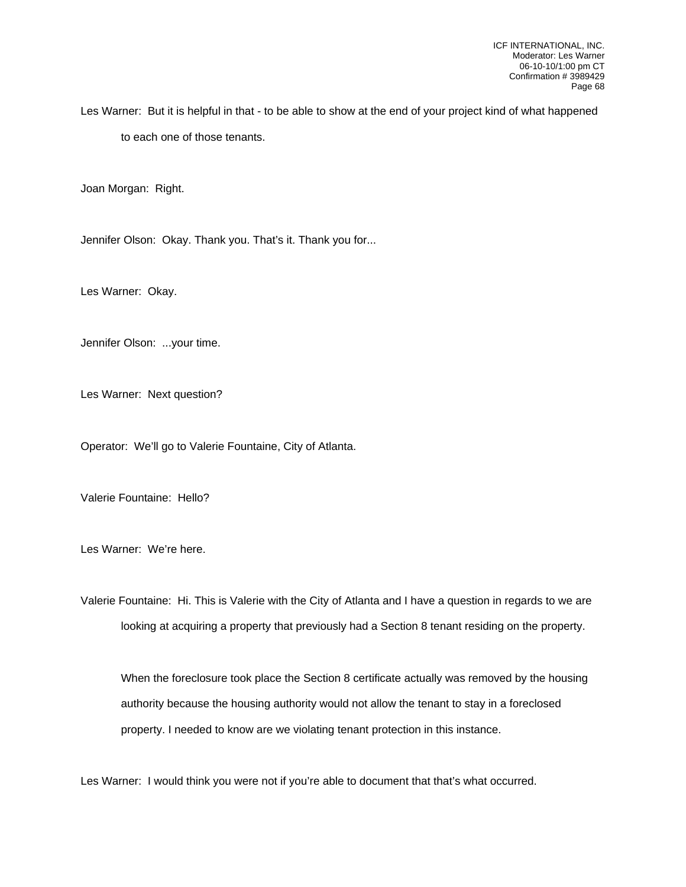Les Warner: But it is helpful in that - to be able to show at the end of your project kind of what happened to each one of those tenants.

Joan Morgan: Right.

Jennifer Olson: Okay. Thank you. That's it. Thank you for...

Les Warner: Okay.

Jennifer Olson: ...your time.

Les Warner: Next question?

Operator: We'll go to Valerie Fountaine, City of Atlanta.

Valerie Fountaine: Hello?

Les Warner: We're here.

Valerie Fountaine: Hi. This is Valerie with the City of Atlanta and I have a question in regards to we are looking at acquiring a property that previously had a Section 8 tenant residing on the property.

When the foreclosure took place the Section 8 certificate actually was removed by the housing authority because the housing authority would not allow the tenant to stay in a foreclosed property. I needed to know are we violating tenant protection in this instance.

Les Warner: I would think you were not if you're able to document that that's what occurred.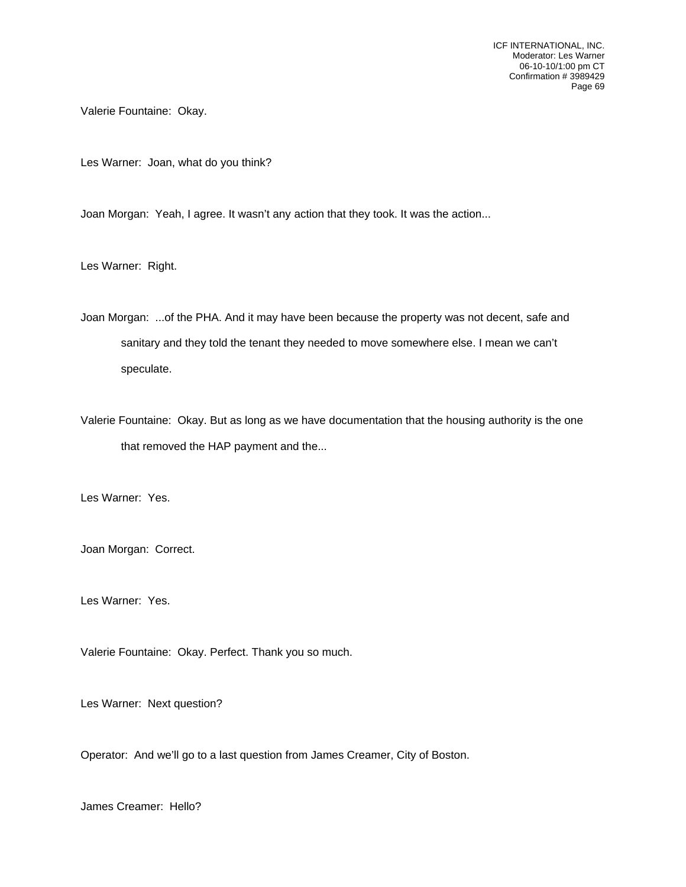Valerie Fountaine: Okay.

Les Warner: Joan, what do you think?

Joan Morgan: Yeah, I agree. It wasn't any action that they took. It was the action...

Les Warner: Right.

Joan Morgan: ...of the PHA. And it may have been because the property was not decent, safe and sanitary and they told the tenant they needed to move somewhere else. I mean we can't speculate.

Valerie Fountaine: Okay. But as long as we have documentation that the housing authority is the one that removed the HAP payment and the...

Les Warner: Yes.

Joan Morgan: Correct.

Les Warner: Yes.

Valerie Fountaine: Okay. Perfect. Thank you so much.

Les Warner: Next question?

Operator: And we'll go to a last question from James Creamer, City of Boston.

James Creamer: Hello?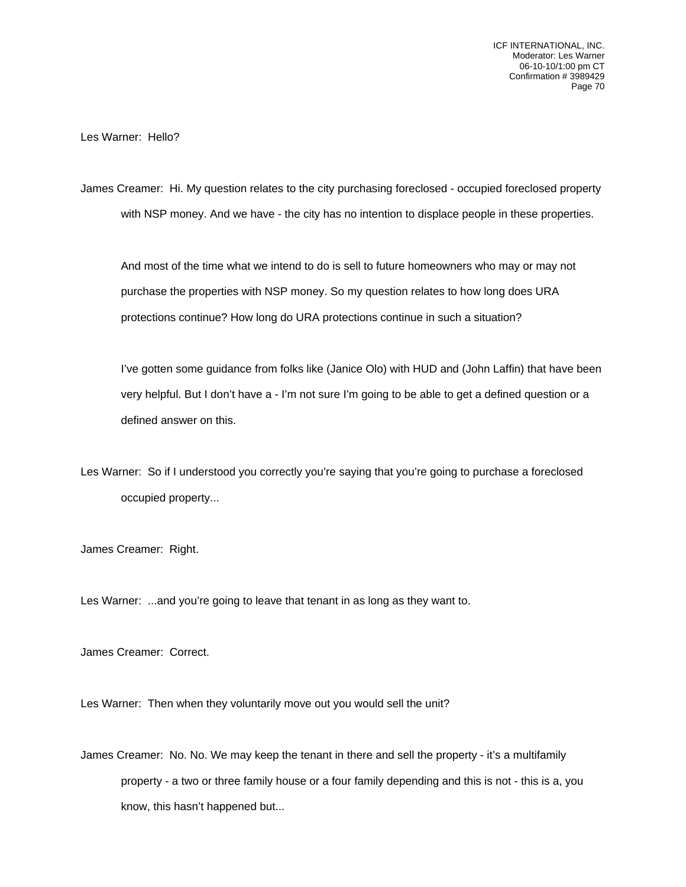Les Warner: Hello?

James Creamer: Hi. My question relates to the city purchasing foreclosed - occupied foreclosed property with NSP money. And we have - the city has no intention to displace people in these properties.

And most of the time what we intend to do is sell to future homeowners who may or may not purchase the properties with NSP money. So my question relates to how long does URA protections continue? How long do URA protections continue in such a situation?

I've gotten some guidance from folks like (Janice Olo) with HUD and (John Laffin) that have been very helpful. But I don't have a - I'm not sure I'm going to be able to get a defined question or a defined answer on this.

Les Warner: So if I understood you correctly you're saying that you're going to purchase a foreclosed occupied property...

James Creamer: Right.

Les Warner: ...and you're going to leave that tenant in as long as they want to.

James Creamer: Correct.

Les Warner: Then when they voluntarily move out you would sell the unit?

James Creamer: No. No. We may keep the tenant in there and sell the property - it's a multifamily property - a two or three family house or a four family depending and this is not - this is a, you know, this hasn't happened but...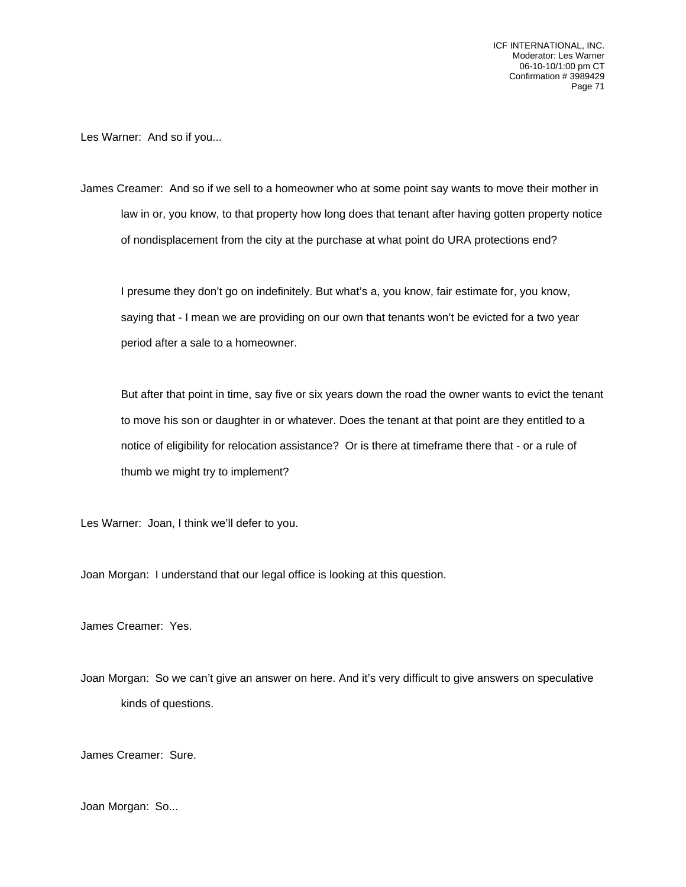Les Warner: And so if you...

James Creamer: And so if we sell to a homeowner who at some point say wants to move their mother in law in or, you know, to that property how long does that tenant after having gotten property notice of nondisplacement from the city at the purchase at what point do URA protections end?

I presume they don't go on indefinitely. But what's a, you know, fair estimate for, you know, saying that - I mean we are providing on our own that tenants won't be evicted for a two year period after a sale to a homeowner.

But after that point in time, say five or six years down the road the owner wants to evict the tenant to move his son or daughter in or whatever. Does the tenant at that point are they entitled to a notice of eligibility for relocation assistance? Or is there at timeframe there that - or a rule of thumb we might try to implement?

Les Warner: Joan, I think we'll defer to you.

Joan Morgan: I understand that our legal office is looking at this question.

James Creamer: Yes.

Joan Morgan: So we can't give an answer on here. And it's very difficult to give answers on speculative kinds of questions.

James Creamer: Sure.

Joan Morgan: So...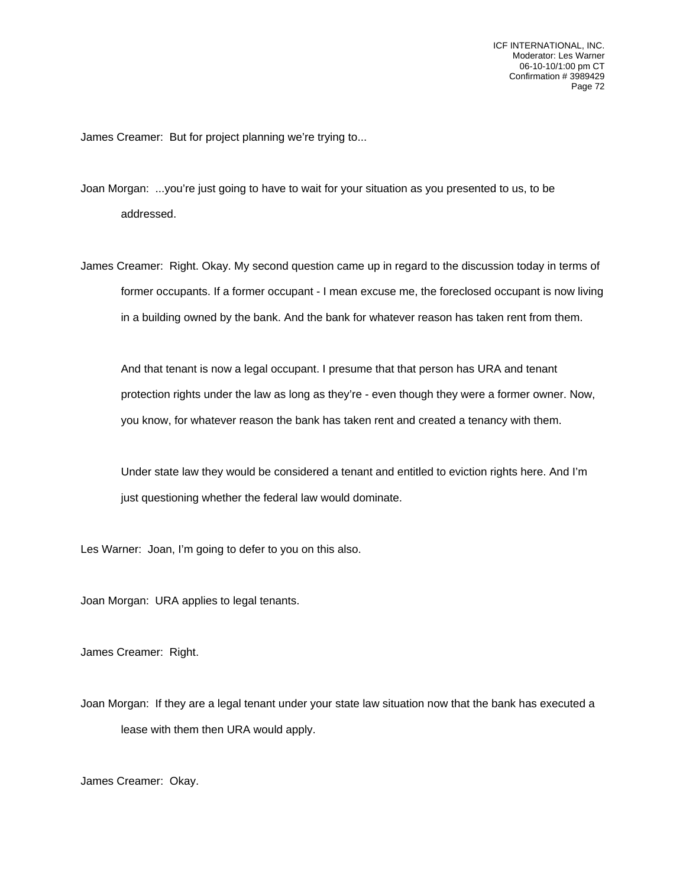James Creamer: But for project planning we're trying to...

- Joan Morgan: ...you're just going to have to wait for your situation as you presented to us, to be addressed.
- James Creamer: Right. Okay. My second question came up in regard to the discussion today in terms of former occupants. If a former occupant - I mean excuse me, the foreclosed occupant is now living in a building owned by the bank. And the bank for whatever reason has taken rent from them.

And that tenant is now a legal occupant. I presume that that person has URA and tenant protection rights under the law as long as they're - even though they were a former owner. Now, you know, for whatever reason the bank has taken rent and created a tenancy with them.

Under state law they would be considered a tenant and entitled to eviction rights here. And I'm just questioning whether the federal law would dominate.

Les Warner: Joan, I'm going to defer to you on this also.

Joan Morgan: URA applies to legal tenants.

James Creamer: Right.

Joan Morgan: If they are a legal tenant under your state law situation now that the bank has executed a lease with them then URA would apply.

James Creamer: Okay.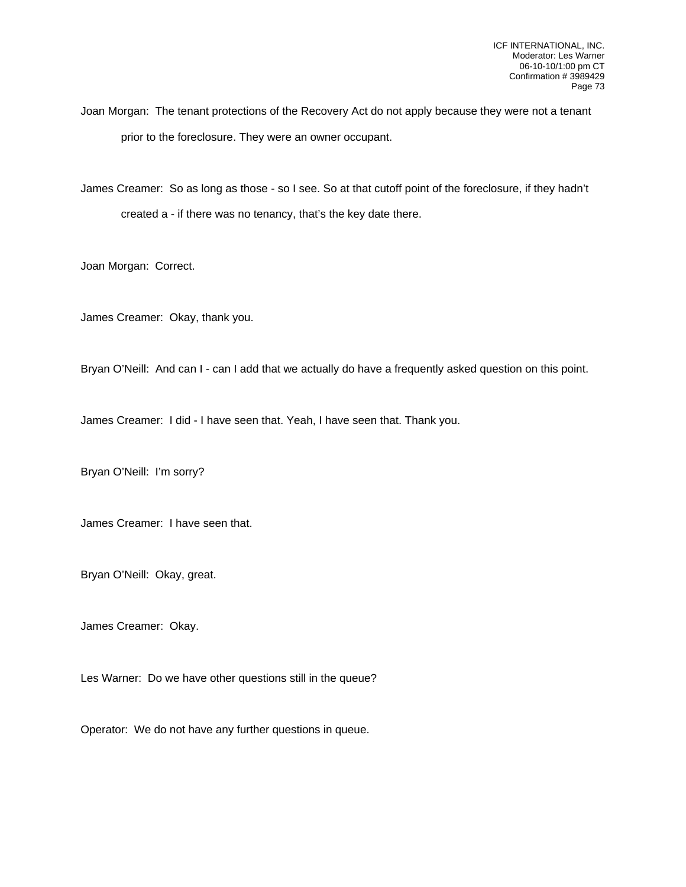Joan Morgan: The tenant protections of the Recovery Act do not apply because they were not a tenant prior to the foreclosure. They were an owner occupant.

James Creamer: So as long as those - so I see. So at that cutoff point of the foreclosure, if they hadn't created a - if there was no tenancy, that's the key date there.

Joan Morgan: Correct.

James Creamer: Okay, thank you.

Bryan O'Neill: And can I - can I add that we actually do have a frequently asked question on this point.

James Creamer: I did - I have seen that. Yeah, I have seen that. Thank you.

Bryan O'Neill: I'm sorry?

James Creamer: I have seen that.

Bryan O'Neill: Okay, great.

James Creamer: Okay.

Les Warner: Do we have other questions still in the queue?

Operator: We do not have any further questions in queue.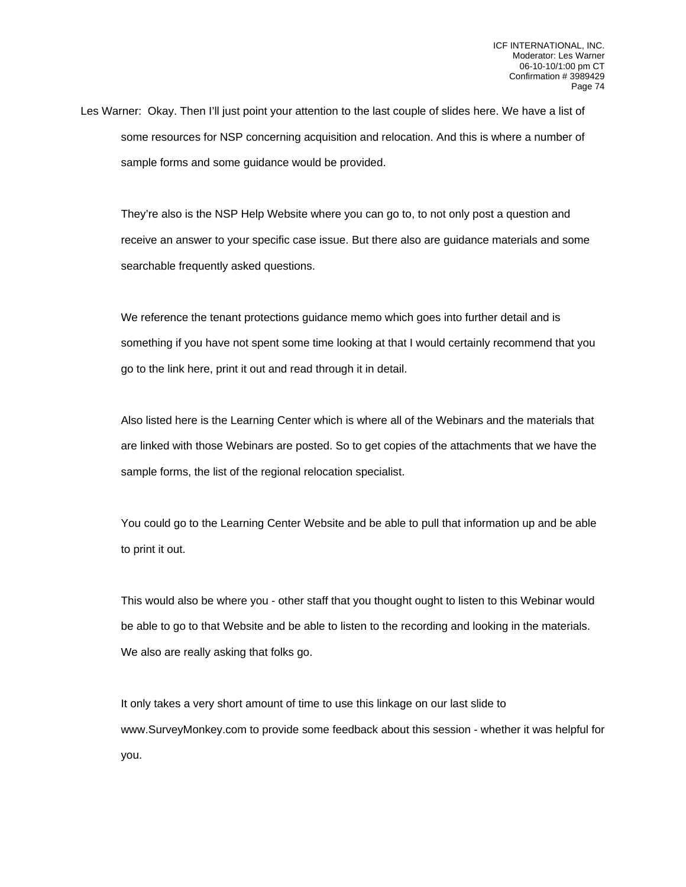Les Warner: Okay. Then I'll just point your attention to the last couple of slides here. We have a list of some resources for NSP concerning acquisition and relocation. And this is where a number of sample forms and some guidance would be provided.

They're also is the NSP Help Website where you can go to, to not only post a question and receive an answer to your specific case issue. But there also are guidance materials and some searchable frequently asked questions.

We reference the tenant protections guidance memo which goes into further detail and is something if you have not spent some time looking at that I would certainly recommend that you go to the link here, print it out and read through it in detail.

Also listed here is the Learning Center which is where all of the Webinars and the materials that are linked with those Webinars are posted. So to get copies of the attachments that we have the sample forms, the list of the regional relocation specialist.

You could go to the Learning Center Website and be able to pull that information up and be able to print it out.

This would also be where you - other staff that you thought ought to listen to this Webinar would be able to go to that Website and be able to listen to the recording and looking in the materials. We also are really asking that folks go.

It only takes a very short amount of time to use this linkage on our last slide to www.SurveyMonkey.com to provide some feedback about this session - whether it was helpful for you.